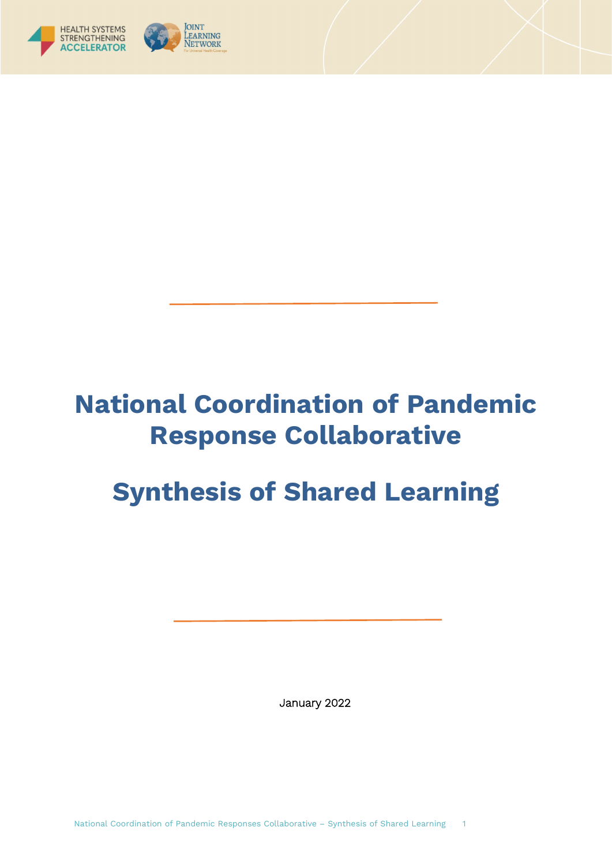

# **National Coordination of Pandemic Response Collaborative**

# **Synthesis of Shared Learning**

January 2022

National Coordination of Pandemic Responses Collaborative – Synthesis of Shared Learning 1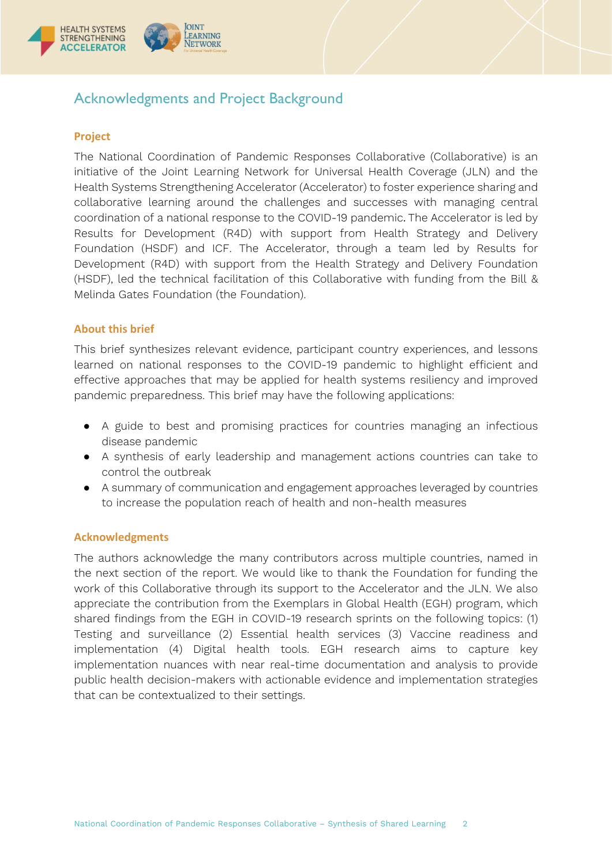

# <span id="page-1-1"></span><span id="page-1-0"></span>Acknowledgments and Project Background

# **Project**

The National Coordination of Pandemic Responses Collaborative (Collaborative) is an initiative of the Joint Learning Network for Universal Health Coverage (JLN) and the Health Systems Strengthening Accelerator (Accelerator) to foster experience sharing and collaborative learning around the challenges and successes with managing central coordination of a national response to the COVID-19 pandemic. The Accelerator is led by Results for Development (R4D) with support from Health Strategy and Delivery Foundation (HSDF) and ICF. The Accelerator, through a team led by Results for Development (R4D) with support from the Health Strategy and Delivery Foundation (HSDF), led the technical facilitation of this Collaborative with funding from the Bill & Melinda Gates Foundation (the Foundation).

# <span id="page-1-2"></span>**About this brief**

This brief synthesizes relevant evidence, participant country experiences, and lessons learned on national responses to the COVID-19 pandemic to highlight efficient and effective approaches that may be applied for health systems resiliency and improved pandemic preparedness. This brief may have the following applications:

- A guide to best and promising practices for countries managing an infectious disease pandemic
- A synthesis of early leadership and management actions countries can take to control the outbreak
- A summary of communication and engagement approaches leveraged by countries to increase the population reach of health and non-health measures

# <span id="page-1-3"></span>**Acknowledgments**

The authors acknowledge the many contributors across multiple countries, named in the next section of the report. We would like to thank the Foundation for funding the work of this Collaborative through its support to the Accelerator and the JLN. We also appreciate the contribution from the Exemplars in Global Health (EGH) program, which shared findings from the EGH in COVID-19 research sprints on the following topics: (1) Testing and surveillance (2) Essential health services (3) Vaccine readiness and implementation (4) Digital health tools. EGH research aims to capture key implementation nuances with near real-time documentation and analysis to provide public health decision-makers with actionable evidence and implementation strategies that can be contextualized to their settings.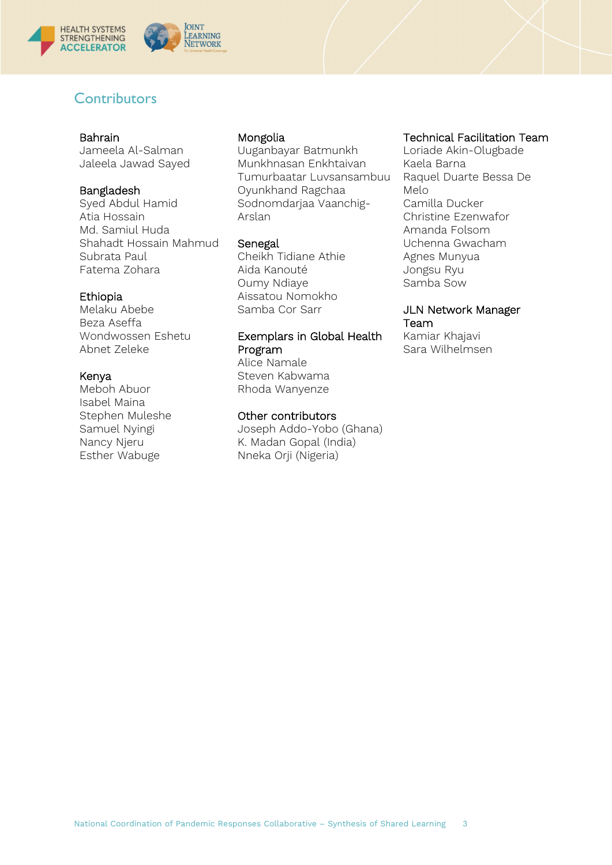

# <span id="page-2-0"></span>**Contributors**

#### Bahrain

Jameela Al-Salman Jaleela Jawad Sayed

### Bangladesh

Syed Abdul Hamid Atia Hossain Md. Samiul Huda Shahadt Hossain Mahmud Subrata Paul Fatema Zohara

#### Ethiopia

Melaku Abebe Beza Aseffa Wondwossen Eshetu Abnet Zeleke

### Kenya

Meboh Abuor Isabel Maina Stephen Muleshe Samuel Nyingi Nancy Njeru Esther Wabuge

### Mongolia

Uuganbayar Batmunkh Munkhnasan Enkhtaivan Tumurbaatar Luvsansambuu Oyunkhand Ragchaa Sodnomdarjaa Vaanchig-Arslan

#### Senegal

Cheikh Tidiane Athie Aida Kanouté Oumy Ndiaye Aissatou Nomokho Samba Cor Sarr

# Exemplars in Global Health Program

Alice Namale Steven Kabwama Rhoda Wanyenze

### Other contributors

Joseph Addo-Yobo (Ghana) K. Madan Gopal (India) Nneka Orji (Nigeria)

### Technical Facilitation Team

Loriade Akin-Olugbade Kaela Barna Raquel Duarte Bessa De Melo Camilla Ducker Christine Ezenwafor Amanda Folsom Uchenna Gwacham Agnes Munyua Jongsu Ryu Samba Sow

# JLN Network Manager Team

Kamiar Khajavi Sara Wilhelmsen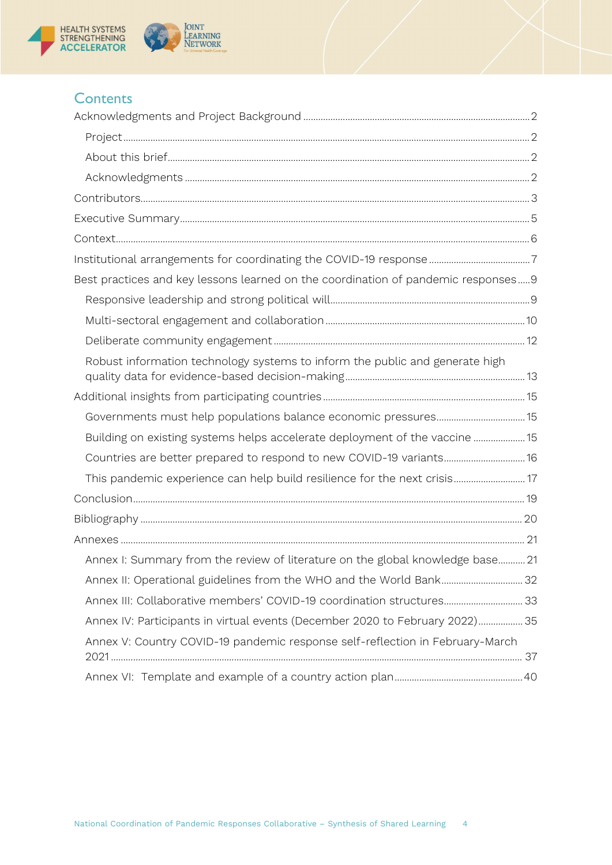



# **Contents**

| Best practices and key lessons learned on the coordination of pandemic responses9 |  |
|-----------------------------------------------------------------------------------|--|
|                                                                                   |  |
|                                                                                   |  |
|                                                                                   |  |
| Robust information technology systems to inform the public and generate high      |  |
|                                                                                   |  |
|                                                                                   |  |
| Building on existing systems helps accelerate deployment of the vaccine  15       |  |
| Countries are better prepared to respond to new COVID-19 variants16               |  |
| This pandemic experience can help build resilience for the next crisis 17         |  |
|                                                                                   |  |
|                                                                                   |  |
|                                                                                   |  |
| Annex I: Summary from the review of literature on the global knowledge base 21    |  |
| Annex II: Operational guidelines from the WHO and the World Bank 32               |  |
| Annex III: Collaborative members' COVID-19 coordination structures 33             |  |
| Annex IV: Participants in virtual events (December 2020 to February 2022) 35      |  |
| Annex V: Country COVID-19 pandemic response self-reflection in February-March     |  |
|                                                                                   |  |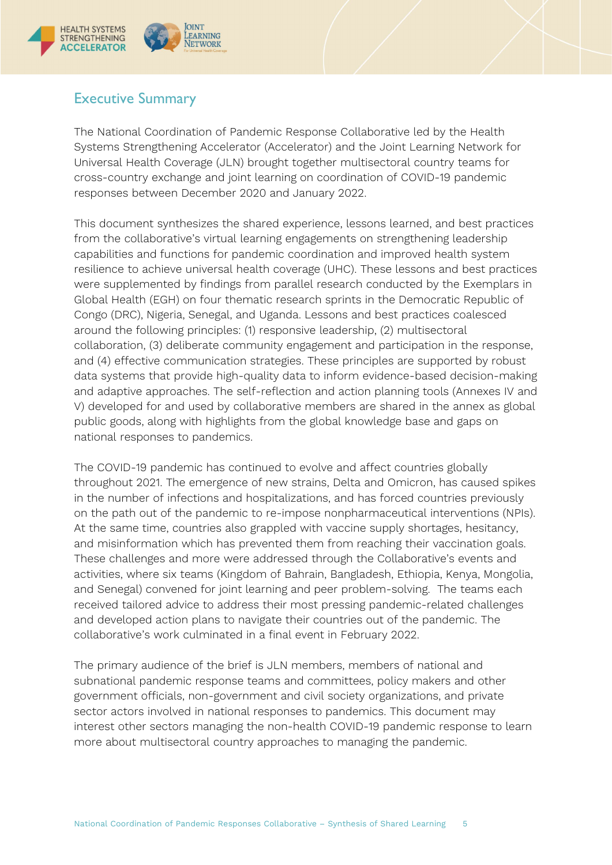

# <span id="page-4-0"></span>Executive Summary

The National Coordination of Pandemic Response Collaborative led by the Health Systems Strengthening Accelerator (Accelerator) and the Joint Learning Network for Universal Health Coverage (JLN) brought together multisectoral country teams for cross-country exchange and joint learning on coordination of COVID-19 pandemic responses between December 2020 and January 2022.

This document synthesizes the shared experience, lessons learned, and best practices from the collaborative's virtual learning engagements on strengthening leadership capabilities and functions for pandemic coordination and improved health system resilience to achieve universal health coverage (UHC). These lessons and best practices were supplemented by findings from parallel research conducted by the Exemplars in Global Health (EGH) on four thematic research sprints in the Democratic Republic of Congo (DRC), Nigeria, Senegal, and Uganda. Lessons and best practices coalesced around the following principles: (1) responsive leadership, (2) multisectoral collaboration, (3) deliberate community engagement and participation in the response, and (4) effective communication strategies. These principles are supported by robust data systems that provide high-quality data to inform evidence-based decision-making and adaptive approaches. The self-reflection and action planning tools (Annexes IV and V) developed for and used by collaborative members are shared in the annex as global public goods, along with highlights from the global knowledge base and gaps on national responses to pandemics.

The COVID-19 pandemic has continued to evolve and affect countries globally throughout 2021. The emergence of new strains, Delta and Omicron, has caused spikes in the number of infections and hospitalizations, and has forced countries previously on the path out of the pandemic to re-impose nonpharmaceutical interventions (NPIs). At the same time, countries also grappled with vaccine supply shortages, hesitancy, and misinformation which has prevented them from reaching their vaccination goals. These challenges and more were addressed through the Collaborative's events and activities, where six teams (Kingdom of Bahrain, Bangladesh, Ethiopia, Kenya, Mongolia, and Senegal) convened for joint learning and peer problem-solving. The teams each received tailored advice to address their most pressing pandemic-related challenges and developed action plans to navigate their countries out of the pandemic. The collaborative's work culminated in a final event in February 2022.

<span id="page-4-1"></span>The primary audience of the brief is JLN members, members of national and subnational pandemic response teams and committees, policy makers and other government officials, non-government and civil society organizations, and private sector actors involved in national responses to pandemics. This document may interest other sectors managing the non-health COVID-19 pandemic response to learn more about multisectoral country approaches to managing the pandemic.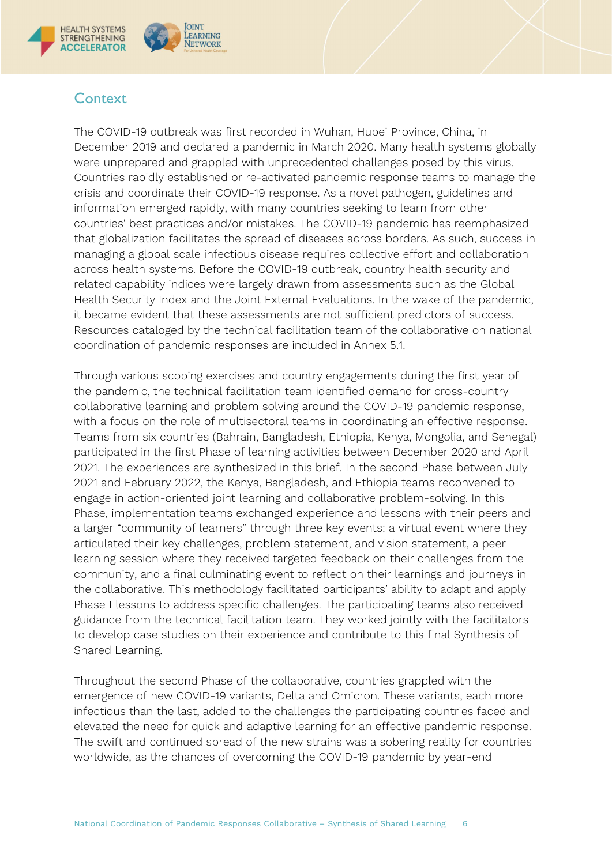

# **Context**

The COVID-19 outbreak was first recorded in Wuhan, Hubei Province, China, in December 2019 and declared a pandemic in March 2020. Many health systems globally were unprepared and grappled with unprecedented challenges posed by this virus. Countries rapidly established or re-activated pandemic response teams to manage the crisis and coordinate their COVID-19 response. As a novel pathogen, guidelines and information emerged rapidly, with many countries seeking to learn from other countries' best practices and/or mistakes. The COVID-19 pandemic has reemphasized that globalization facilitates the spread of diseases across borders. As such, success in managing a global scale infectious disease requires collective effort and collaboration across health systems. Before the COVID-19 outbreak, country health security and related capability indices were largely drawn from assessments such as the Global Health Security Index and the Joint External Evaluations. In the wake of the pandemic, it became evident that these assessments are not sufficient predictors of success. Resources cataloged by the technical facilitation team of the collaborative on national coordination of pandemic responses are included in Annex 5.1.

Through various scoping exercises and country engagements during the first year of the pandemic, the technical facilitation team identified demand for cross-country collaborative learning and problem solving around the COVID-19 pandemic response, with a focus on the role of multisectoral teams in coordinating an effective response. Teams from six countries (Bahrain, Bangladesh, Ethiopia, Kenya, Mongolia, and Senegal) participated in the first Phase of learning activities between December 2020 and April 2021. The experiences are synthesized in this brief. In the second Phase between July 2021 and February 2022, the Kenya, Bangladesh, and Ethiopia teams reconvened to engage in action-oriented joint learning and collaborative problem-solving. In this Phase, implementation teams exchanged experience and lessons with their peers and a larger "community of learners" through three key events: a virtual event where they articulated their key challenges, problem statement, and vision statement, a peer learning session where they received targeted feedback on their challenges from the community, and a final culminating event to reflect on their learnings and journeys in the collaborative. This methodology facilitated participants' ability to adapt and apply Phase I lessons to address specific challenges. The participating teams also received guidance from the technical facilitation team. They worked jointly with the facilitators to develop case studies on their experience and contribute to this final Synthesis of Shared Learning.

Throughout the second Phase of the collaborative, countries grappled with the emergence of new COVID-19 variants, Delta and Omicron. These variants, each more infectious than the last, added to the challenges the participating countries faced and elevated the need for quick and adaptive learning for an effective pandemic response. The swift and continued spread of the new strains was a sobering reality for countries worldwide, as the chances of overcoming the COVID-19 pandemic by year-end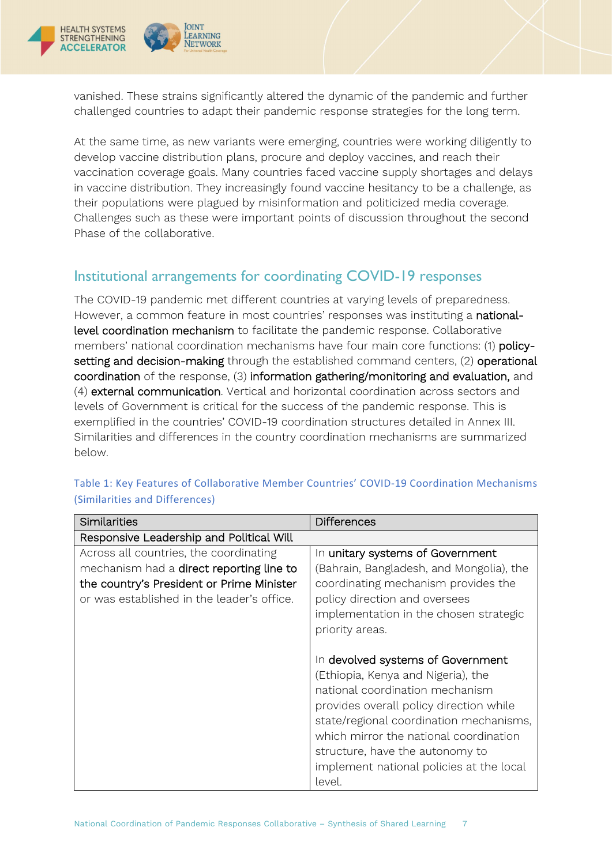

**OINT** 

LEARNING

NETWORK

vanished. These strains significantly altered the dynamic of the pandemic and further challenged countries to adapt their pandemic response strategies for the long term.

At the same time, as new variants were emerging, countries were working diligently to develop vaccine distribution plans, procure and deploy vaccines, and reach their vaccination coverage goals. Many countries faced vaccine supply shortages and delays in vaccine distribution. They increasingly found vaccine hesitancy to be a challenge, as their populations were plagued by misinformation and politicized media coverage. Challenges such as these were important points of discussion throughout the second Phase of the collaborative.

# <span id="page-6-0"></span>Institutional arrangements for coordinating COVID-19 responses

The COVID-19 pandemic met different countries at varying levels of preparedness. However, a common feature in most countries' responses was instituting a nationallevel coordination mechanism to facilitate the pandemic response. Collaborative members' national coordination mechanisms have four main core functions: (1) policysetting and decision-making through the established command centers, (2) operational coordination of the response, (3) information gathering/monitoring and evaluation, and (4) external communication. Vertical and horizontal coordination across sectors and levels of Government is critical for the success of the pandemic response. This is exemplified in the countries' COVID-19 coordination structures detailed in Annex III. Similarities and differences in the country coordination mechanisms are summarized below.

| Similarities                                                                                                                                                                  | <b>Differences</b>                                                                                                                                                                                                                                                                                                                  |
|-------------------------------------------------------------------------------------------------------------------------------------------------------------------------------|-------------------------------------------------------------------------------------------------------------------------------------------------------------------------------------------------------------------------------------------------------------------------------------------------------------------------------------|
| Responsive Leadership and Political Will                                                                                                                                      |                                                                                                                                                                                                                                                                                                                                     |
| Across all countries, the coordinating<br>mechanism had a direct reporting line to<br>the country's President or Prime Minister<br>or was established in the leader's office. | In unitary systems of Government<br>(Bahrain, Bangladesh, and Mongolia), the<br>coordinating mechanism provides the<br>policy direction and oversees                                                                                                                                                                                |
|                                                                                                                                                                               | implementation in the chosen strategic<br>priority areas.                                                                                                                                                                                                                                                                           |
|                                                                                                                                                                               | In devolved systems of Government<br>(Ethiopia, Kenya and Nigeria), the<br>national coordination mechanism<br>provides overall policy direction while<br>state/regional coordination mechanisms,<br>which mirror the national coordination<br>structure, have the autonomy to<br>implement national policies at the local<br>level. |

Table 1: Key Features of Collaborative Member Countries' COVID-19 Coordination Mechanisms (Similarities and Differences)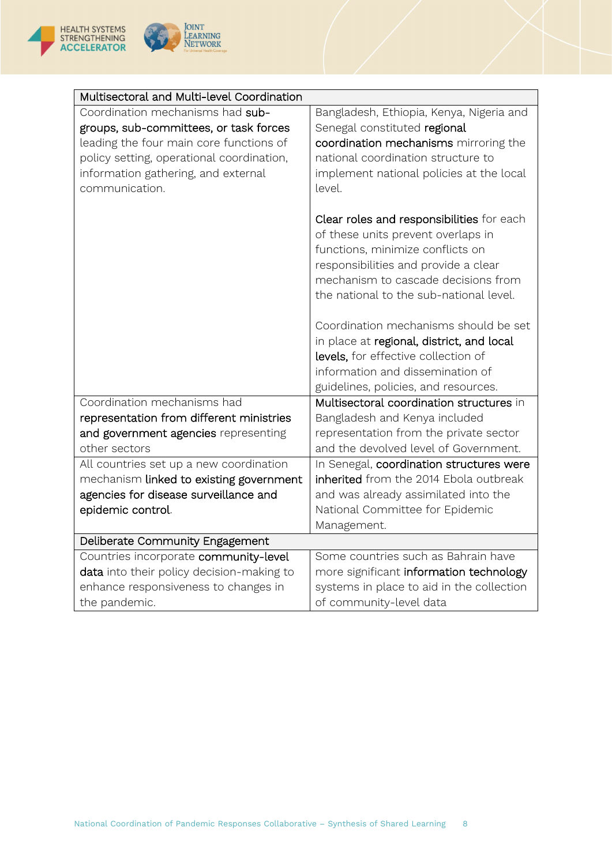



| Multisectoral and Multi-level Coordination                                                                                                                                                                                                                                           |                                                                                                                                                                                                                                                                                                                                              |
|--------------------------------------------------------------------------------------------------------------------------------------------------------------------------------------------------------------------------------------------------------------------------------------|----------------------------------------------------------------------------------------------------------------------------------------------------------------------------------------------------------------------------------------------------------------------------------------------------------------------------------------------|
| Coordination mechanisms had sub-<br>groups, sub-committees, or task forces<br>leading the four main core functions of<br>policy setting, operational coordination,<br>information gathering, and external<br>communication.                                                          | Bangladesh, Ethiopia, Kenya, Nigeria and<br>Senegal constituted regional<br>coordination mechanisms mirroring the<br>national coordination structure to<br>implement national policies at the local<br>level.                                                                                                                                |
|                                                                                                                                                                                                                                                                                      | Clear roles and responsibilities for each<br>of these units prevent overlaps in<br>functions, minimize conflicts on<br>responsibilities and provide a clear<br>mechanism to cascade decisions from<br>the national to the sub-national level.                                                                                                |
|                                                                                                                                                                                                                                                                                      | Coordination mechanisms should be set<br>in place at regional, district, and local<br>levels, for effective collection of<br>information and dissemination of<br>guidelines, policies, and resources.                                                                                                                                        |
| Coordination mechanisms had<br>representation from different ministries<br>and government agencies representing<br>other sectors<br>All countries set up a new coordination<br>mechanism linked to existing government<br>agencies for disease surveillance and<br>epidemic control. | Multisectoral coordination structures in<br>Bangladesh and Kenya included<br>representation from the private sector<br>and the devolved level of Government.<br>In Senegal, coordination structures were<br>inherited from the 2014 Ebola outbreak<br>and was already assimilated into the<br>National Committee for Epidemic<br>Management. |
| Deliberate Community Engagement                                                                                                                                                                                                                                                      |                                                                                                                                                                                                                                                                                                                                              |
| Countries incorporate community-level<br>data into their policy decision-making to<br>enhance responsiveness to changes in<br>the pandemic.                                                                                                                                          | Some countries such as Bahrain have<br>more significant information technology<br>systems in place to aid in the collection<br>of community-level data                                                                                                                                                                                       |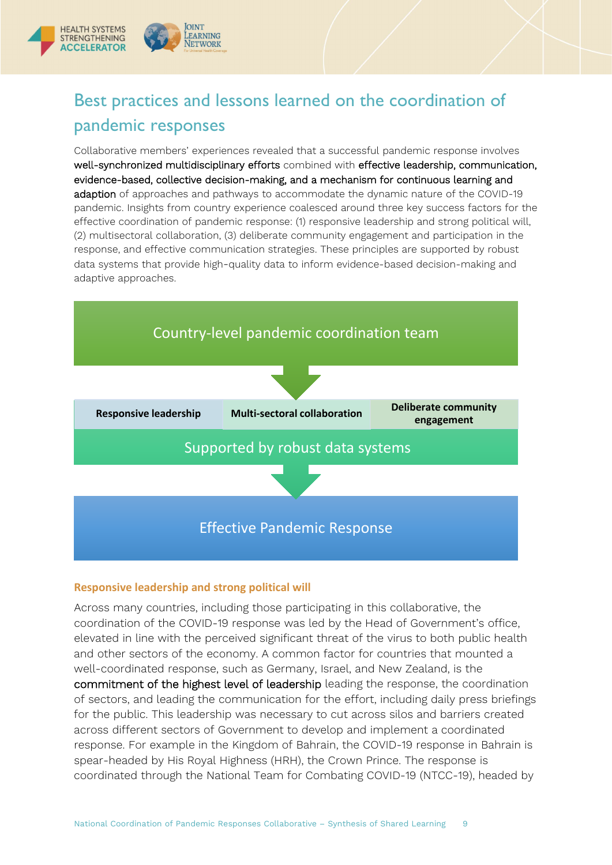

# <span id="page-8-0"></span>Best practices and lessons learned on the coordination of pandemic responses

Collaborative members' experiences revealed that a successful pandemic response involves well-synchronized multidisciplinary efforts combined with effective leadership, communication, evidence-based, collective decision-making, and a mechanism for continuous learning and adaption of approaches and pathways to accommodate the dynamic nature of the COVID-19 pandemic. Insights from country experience coalesced around three key success factors for the effective coordination of pandemic response: (1) responsive leadership and strong political will, (2) multisectoral collaboration, (3) deliberate community engagement and participation in the response, and effective communication strategies. These principles are supported by robust data systems that provide high-quality data to inform evidence-based decision-making and adaptive approaches.



### <span id="page-8-1"></span>**Responsive leadership and strong political will**

Across many countries, including those participating in this collaborative, the coordination of the COVID-19 response was led by the Head of Government's office, elevated in line with the perceived significant threat of the virus to both public health and other sectors of the economy. A common factor for countries that mounted a well-coordinated response, such as Germany, Israel, and New Zealand, is the commitment of the highest level of leadership leading the response, the coordination of sectors, and leading the communication for the effort, including daily press briefings for the public. This leadership was necessary to cut across silos and barriers created across different sectors of Government to develop and implement a coordinated response. For example in the Kingdom of Bahrain, the COVID-19 response in Bahrain is spear-headed by His Royal Highness (HRH), the Crown Prince. The response is coordinated through the National Team for Combating COVID-19 (NTCC-19), headed by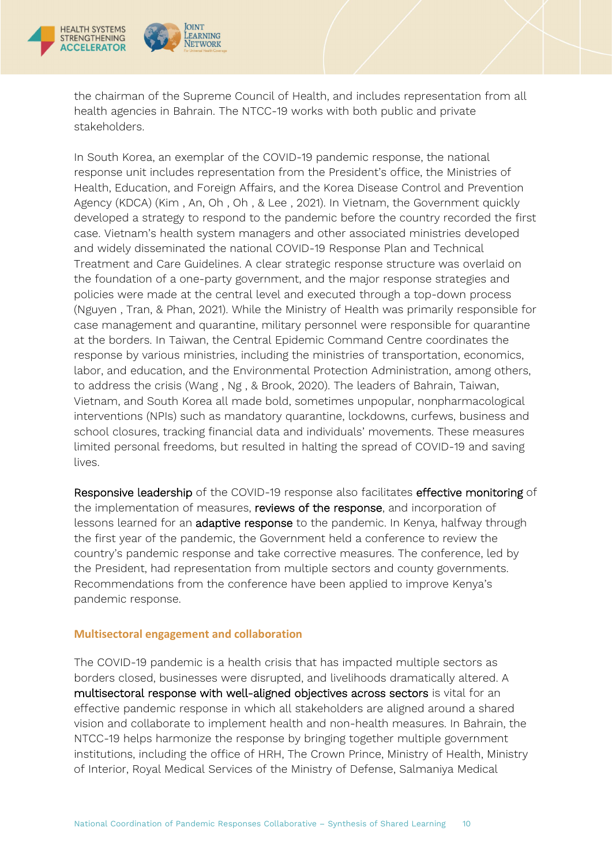

the chairman of the Supreme Council of Health, and includes representation from all health agencies in Bahrain. The NTCC-19 works with both public and private stakeholders.

In South Korea, an exemplar of the COVID-19 pandemic response, the national response unit includes representation from the President's office, the Ministries of Health, Education, and Foreign Affairs, and the Korea Disease Control and Prevention Agency (KDCA) (Kim , An, Oh , Oh , & Lee , 2021). In Vietnam, the Government quickly developed a strategy to respond to the pandemic before the country recorded the first case. Vietnam's health system managers and other associated ministries developed and widely disseminated the national COVID-19 Response Plan and Technical Treatment and Care Guidelines. A clear strategic response structure was overlaid on the foundation of a one-party government, and the major response strategies and policies were made at the central level and executed through a top-down process (Nguyen , Tran, & Phan, 2021). While the Ministry of Health was primarily responsible for case management and quarantine, military personnel were responsible for quarantine at the borders. In Taiwan, the Central Epidemic Command Centre coordinates the response by various ministries, including the ministries of transportation, economics, labor, and education, and the Environmental Protection Administration, among others, to address the crisis (Wang , Ng , & Brook, 2020). The leaders of Bahrain, Taiwan, Vietnam, and South Korea all made bold, sometimes unpopular, nonpharmacological interventions (NPIs) such as mandatory quarantine, lockdowns, curfews, business and school closures, tracking financial data and individuals' movements. These measures limited personal freedoms, but resulted in halting the spread of COVID-19 and saving lives.

Responsive leadership of the COVID-19 response also facilitates effective monitoring of the implementation of measures, reviews of the response, and incorporation of lessons learned for an adaptive response to the pandemic. In Kenya, halfway through the first year of the pandemic, the Government held a conference to review the country's pandemic response and take corrective measures. The conference, led by the President, had representation from multiple sectors and county governments. Recommendations from the conference have been applied to improve Kenya's pandemic response.

### <span id="page-9-0"></span>**Multisectoral engagement and collaboration**

The COVID-19 pandemic is a health crisis that has impacted multiple sectors as borders closed, businesses were disrupted, and livelihoods dramatically altered. A multisectoral response with well-aligned objectives across sectors is vital for an effective pandemic response in which all stakeholders are aligned around a shared vision and collaborate to implement health and non-health measures. In Bahrain, the NTCC-19 helps harmonize the response by bringing together multiple government institutions, including the office of HRH, The Crown Prince, Ministry of Health, Ministry of Interior, Royal Medical Services of the Ministry of Defense, Salmaniya Medical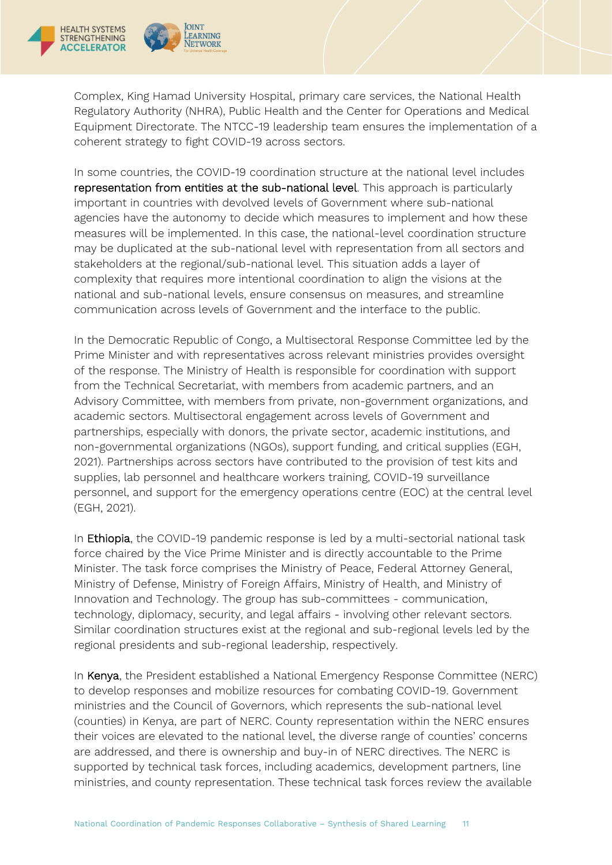

Complex, King Hamad University Hospital, primary care services, the National Health Regulatory Authority (NHRA), Public Health and the Center for Operations and Medical Equipment Directorate. The NTCC-19 leadership team ensures the implementation of a coherent strategy to fight COVID-19 across sectors.

In some countries, the COVID-19 coordination structure at the national level includes representation from entities at the sub-national level. This approach is particularly important in countries with devolved levels of Government where sub-national agencies have the autonomy to decide which measures to implement and how these measures will be implemented. In this case, the national-level coordination structure may be duplicated at the sub-national level with representation from all sectors and stakeholders at the regional/sub-national level. This situation adds a layer of complexity that requires more intentional coordination to align the visions at the national and sub-national levels, ensure consensus on measures, and streamline communication across levels of Government and the interface to the public.

In the Democratic Republic of Congo, a Multisectoral Response Committee led by the Prime Minister and with representatives across relevant ministries provides oversight of the response. The Ministry of Health is responsible for coordination with support from the Technical Secretariat, with members from academic partners, and an Advisory Committee, with members from private, non-government organizations, and academic sectors. Multisectoral engagement across levels of Government and partnerships, especially with donors, the private sector, academic institutions, and non-governmental organizations (NGOs), support funding, and critical supplies (EGH, 2021). Partnerships across sectors have contributed to the provision of test kits and supplies, lab personnel and healthcare workers training, COVID-19 surveillance personnel, and support for the emergency operations centre (EOC) at the central level (EGH, 2021).

In Ethiopia, the COVID-19 pandemic response is led by a multi-sectorial national task force chaired by the Vice Prime Minister and is directly accountable to the Prime Minister. The task force comprises the Ministry of Peace, Federal Attorney General, Ministry of Defense, Ministry of Foreign Affairs, Ministry of Health, and Ministry of Innovation and Technology. The group has sub-committees - communication, technology, diplomacy, security, and legal affairs - involving other relevant sectors. Similar coordination structures exist at the regional and sub-regional levels led by the regional presidents and sub-regional leadership, respectively.

In Kenya, the President established a National Emergency Response Committee (NERC) to develop responses and mobilize resources for combating COVID-19. Government ministries and the Council of Governors, which represents the sub-national level (counties) in Kenya, are part of NERC. County representation within the NERC ensures their voices are elevated to the national level, the diverse range of counties' concerns are addressed, and there is ownership and buy-in of NERC directives. The NERC is supported by technical task forces, including academics, development partners, line ministries, and county representation. These technical task forces review the available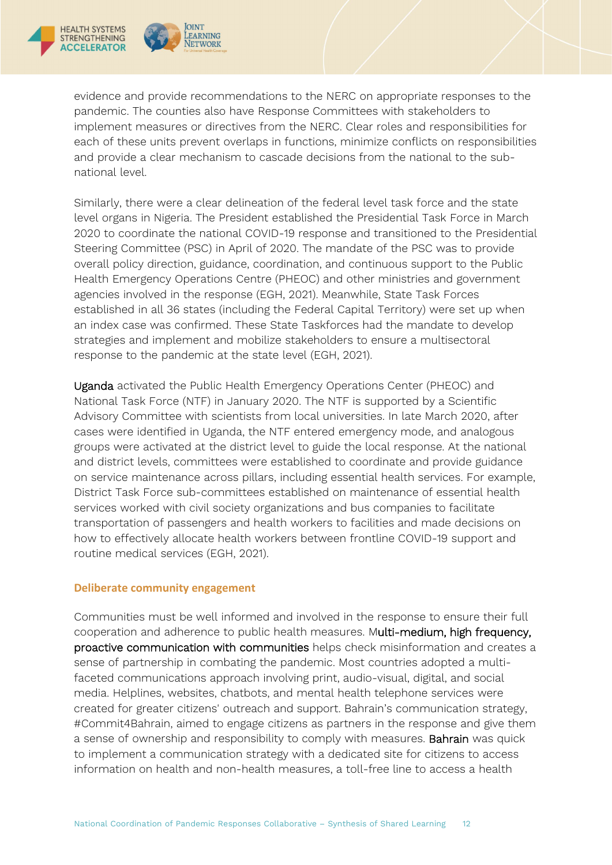



evidence and provide recommendations to the NERC on appropriate responses to the pandemic. The counties also have Response Committees with stakeholders to implement measures or directives from the NERC. Clear roles and responsibilities for each of these units prevent overlaps in functions, minimize conflicts on responsibilities and provide a clear mechanism to cascade decisions from the national to the subnational level.

Similarly, there were a clear delineation of the federal level task force and the state level organs in Nigeria. The President established the Presidential Task Force in March 2020 to coordinate the national COVID-19 response and transitioned to the Presidential Steering Committee (PSC) in April of 2020. The mandate of the PSC was to provide overall policy direction, guidance, coordination, and continuous support to the Public Health Emergency Operations Centre (PHEOC) and other ministries and government agencies involved in the response (EGH, 2021). Meanwhile, State Task Forces established in all 36 states (including the Federal Capital Territory) were set up when an index case was confirmed. These State Taskforces had the mandate to develop strategies and implement and mobilize stakeholders to ensure a multisectoral response to the pandemic at the state level (EGH, 2021).

Uganda activated the Public Health Emergency Operations Center (PHEOC) and National Task Force (NTF) in January 2020. The NTF is supported by a Scientific Advisory Committee with scientists from local universities. In late March 2020, after cases were identified in Uganda, the NTF entered emergency mode, and analogous groups were activated at the district level to guide the local response. At the national and district levels, committees were established to coordinate and provide guidance on service maintenance across pillars, including essential health services. For example, District Task Force sub-committees established on maintenance of essential health services worked with civil society organizations and bus companies to facilitate transportation of passengers and health workers to facilities and made decisions on how to effectively allocate health workers between frontline COVID-19 support and routine medical services (EGH, 2021).

# <span id="page-11-0"></span>**Deliberate community engagement**

Communities must be well informed and involved in the response to ensure their full cooperation and adherence to public health measures. Multi-medium, high frequency, proactive communication with communities helps check misinformation and creates a sense of partnership in combating the pandemic. Most countries adopted a multifaceted communications approach involving print, audio-visual, digital, and social media. Helplines, websites, chatbots, and mental health telephone services were created for greater citizens' outreach and support. Bahrain's communication strategy, #Commit4Bahrain, aimed to engage citizens as partners in the response and give them a sense of ownership and responsibility to comply with measures. Bahrain was quick to implement a communication strategy with a dedicated site for citizens to access information on health and non-health measures, a toll-free line to access a health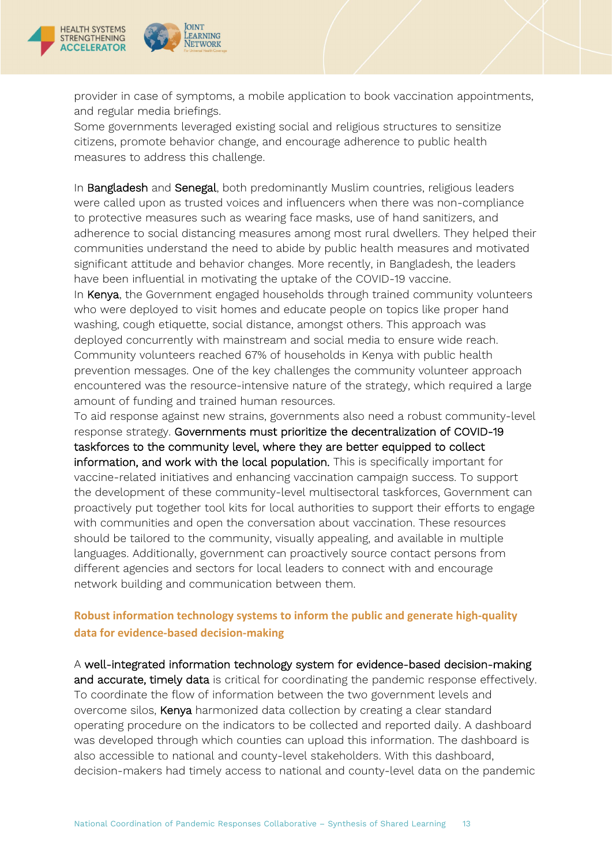



provider in case of symptoms, a mobile application to book vaccination appointments, and regular media briefings.

Some governments leveraged existing social and religious structures to sensitize citizens, promote behavior change, and encourage adherence to public health measures to address this challenge.

In Bangladesh and Senegal, both predominantly Muslim countries, religious leaders were called upon as trusted voices and influencers when there was non-compliance to protective measures such as wearing face masks, use of hand sanitizers, and adherence to social distancing measures among most rural dwellers. They helped their communities understand the need to abide by public health measures and motivated significant attitude and behavior changes. More recently, in Bangladesh, the leaders have been influential in motivating the uptake of the COVID-19 vaccine.

In Kenya, the Government engaged households through trained community volunteers who were deployed to visit homes and educate people on topics like proper hand washing, cough etiquette, social distance, amongst others. This approach was deployed concurrently with mainstream and social media to ensure wide reach. Community volunteers reached 67% of households in Kenya with public health prevention messages. One of the key challenges the community volunteer approach encountered was the resource-intensive nature of the strategy, which required a large amount of funding and trained human resources.

To aid response against new strains, governments also need a robust community-level response strategy. Governments must prioritize the decentralization of COVID-19 taskforces to the community level, where they are better equipped to collect information, and work with the local population. This is specifically important for vaccine-related initiatives and enhancing vaccination campaign success. To support the development of these community-level multisectoral taskforces, Government can proactively put together tool kits for local authorities to support their efforts to engage with communities and open the conversation about vaccination. These resources should be tailored to the community, visually appealing, and available in multiple languages. Additionally, government can proactively source contact persons from different agencies and sectors for local leaders to connect with and encourage network building and communication between them.

# <span id="page-12-0"></span>**Robust information technology systems to inform the public and generate high-quality data for evidence-based decision-making**

A well-integrated information technology system for evidence-based decision-making and accurate, timely data is critical for coordinating the pandemic response effectively. To coordinate the flow of information between the two government levels and overcome silos, Kenya harmonized data collection by creating a clear standard operating procedure on the indicators to be collected and reported daily. A dashboard was developed through which counties can upload this information. The dashboard is also accessible to national and county-level stakeholders. With this dashboard, decision-makers had timely access to national and county-level data on the pandemic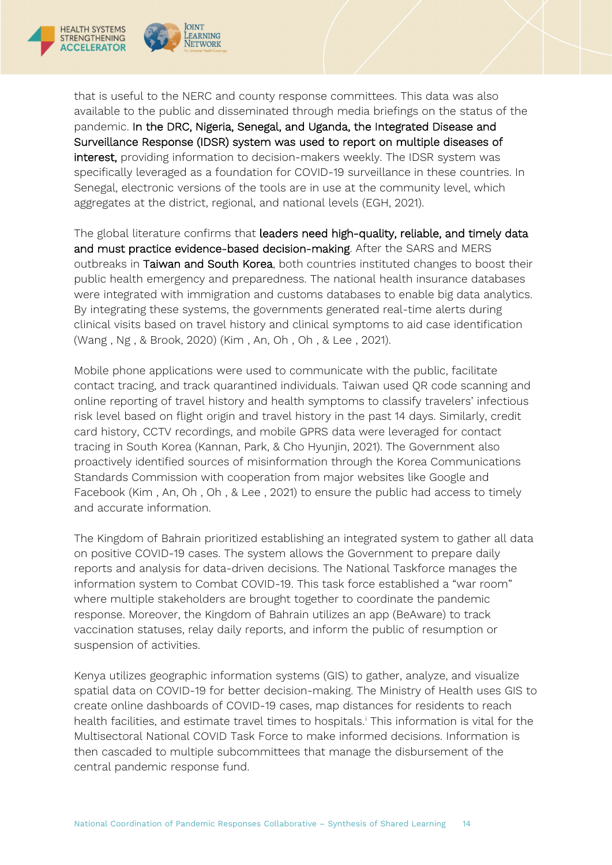

that is useful to the NERC and county response committees. This data was also available to the public and disseminated through media briefings on the status of the pandemic. In the DRC, Nigeria, Senegal, and Uganda, the Integrated Disease and Surveillance Response (IDSR) system was used to report on multiple diseases of interest, providing information to decision-makers weekly. The IDSR system was specifically leveraged as a foundation for COVID-19 surveillance in these countries. In Senegal, electronic versions of the tools are in use at the community level, which aggregates at the district, regional, and national levels (EGH, 2021).

The global literature confirms that leaders need high-quality, reliable, and timely data and must practice evidence-based decision-making. After the SARS and MERS outbreaks in Taiwan and South Korea, both countries instituted changes to boost their public health emergency and preparedness. The national health insurance databases were integrated with immigration and customs databases to enable big data analytics. By integrating these systems, the governments generated real-time alerts during clinical visits based on travel history and clinical symptoms to aid case identification (Wang , Ng , & Brook, 2020) (Kim , An, Oh , Oh , & Lee , 2021).

Mobile phone applications were used to communicate with the public, facilitate contact tracing, and track quarantined individuals. Taiwan used QR code scanning and online reporting of travel history and health symptoms to classify travelers' infectious risk level based on flight origin and travel history in the past 14 days. Similarly, credit card history, CCTV recordings, and mobile GPRS data were leveraged for contact tracing in South Korea (Kannan, Park, & Cho Hyunjin, 2021). The Government also proactively identified sources of misinformation through the Korea Communications Standards Commission with cooperation from major websites like Google and Facebook (Kim , An, Oh , Oh , & Lee , 2021) to ensure the public had access to timely and accurate information.

The Kingdom of Bahrain prioritized establishing an integrated system to gather all data on positive COVID-19 cases. The system allows the Government to prepare daily reports and analysis for data-driven decisions. The National Taskforce manages the information system to Combat COVID-19. This task force established a "war room" where multiple stakeholders are brought together to coordinate the pandemic response. Moreover, the Kingdom of Bahrain utilizes an app (BeAware) to track vaccination statuses, relay daily reports, and inform the public of resumption or suspension of activities.

Kenya utilizes geographic information systems (GIS) to gather, analyze, and visualize spatial data on COVID-19 for better decision-making. The Ministry of Health uses GIS to create online dashboards of COVID-19 cases, map distances for residents to reach health facilities, and estimate travel times to hospitals. [i](#page-40-0) This information is vital for the Multisectoral National COVID Task Force to make informed decisions. Information is then cascaded to multiple subcommittees that manage the disbursement of the central pandemic response fund.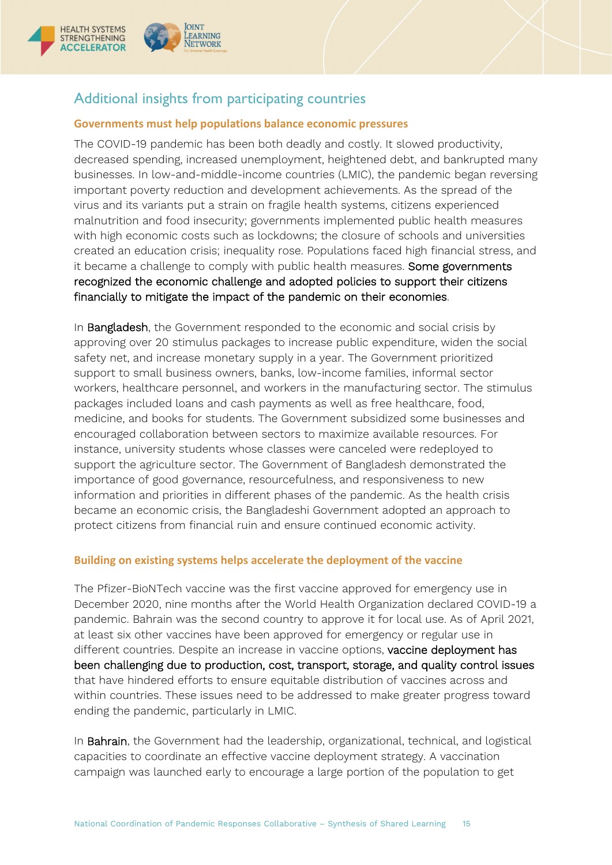

# <span id="page-14-0"></span>Additional insights from participating countries

**OINT** 

LEARNING

NETWORK

# <span id="page-14-1"></span>**Governments must help populations balance economic pressures**

The COVID-19 pandemic has been both deadly and costly. It slowed productivity, decreased spending, increased unemployment, heightened debt, and bankrupted many businesses. In low-and-middle-income countries (LMIC), the pandemic began reversing important poverty reduction and development achievements. As the spread of the virus and its variants put a strain on fragile health systems, citizens experienced malnutrition and food insecurity; governments implemented public health measures with high economic costs such as lockdowns; the closure of schools and universities created an education crisis; inequality rose. Populations faced high financial stress, and it became a challenge to comply with public health measures. Some governments recognized the economic challenge and adopted policies to support their citizens financially to mitigate the impact of the pandemic on their economies.

In **Bangladesh**, the Government responded to the economic and social crisis by approving over 20 stimulus packages to increase public expenditure, widen the social safety net, and increase monetary supply in a year. The Government prioritized support to small business owners, banks, low-income families, informal sector workers, healthcare personnel, and workers in the manufacturing sector. The stimulus packages included loans and cash payments as well as free healthcare, food, medicine, and books for students. The Government subsidized some businesses and encouraged collaboration between sectors to maximize available resources. For instance, university students whose classes were canceled were redeployed to support the agriculture sector. The Government of Bangladesh demonstrated the importance of good governance, resourcefulness, and responsiveness to new information and priorities in different phases of the pandemic. As the health crisis became an economic crisis, the Bangladeshi Government adopted an approach to protect citizens from financial ruin and ensure continued economic activity.

# <span id="page-14-2"></span>**Building on existing systems helps accelerate the deployment of the vaccine**

The Pfizer-BioNTech vaccine was the first vaccine approved for emergency use in December 2020, nine months after the World Health Organization declared COVID-19 a pandemic. Bahrain was the second country to approve it for local use. As of April 2021, at least six other vaccines have been approved for emergency or regular use in different countries. Despite an increase in vaccine options, vaccine deployment has been challenging due to production, cost, transport, storage, and quality control issues that have hindered efforts to ensure equitable distribution of vaccines across and within countries. These issues need to be addressed to make greater progress toward ending the pandemic, particularly in LMIC.

In Bahrain, the Government had the leadership, organizational, technical, and logistical capacities to coordinate an effective vaccine deployment strategy. A vaccination campaign was launched early to encourage a large portion of the population to get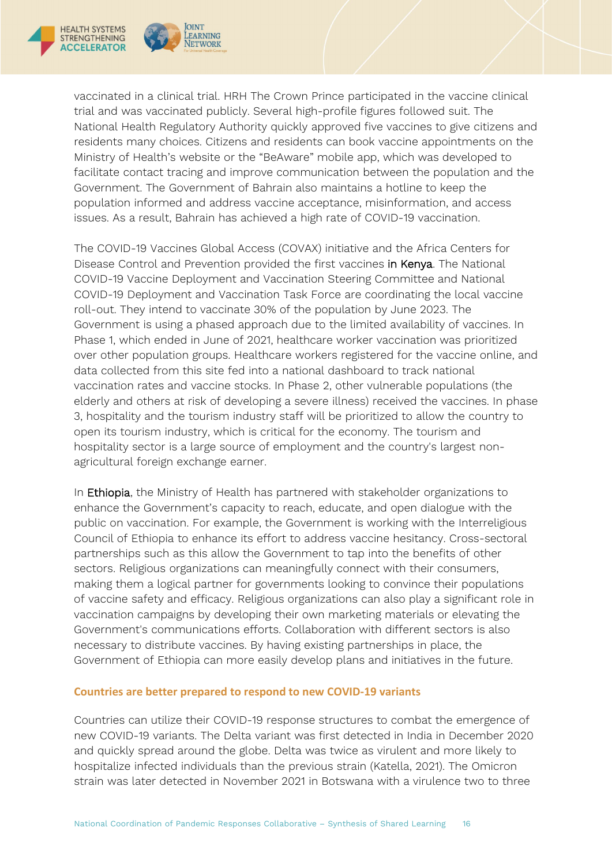

**OINT** 

LEARNING

NETWORK

vaccinated in a clinical trial. HRH The Crown Prince participated in the vaccine clinical trial and was vaccinated publicly. Several high-profile figures followed suit. The National Health Regulatory Authority quickly approved five vaccines to give citizens and residents many choices. Citizens and residents can book vaccine appointments on the Ministry of Health's website or the "BeAware" mobile app, which was developed to facilitate contact tracing and improve communication between the population and the Government. The Government of Bahrain also maintains a hotline to keep the population informed and address vaccine acceptance, misinformation, and access issues. As a result, Bahrain has achieved a high rate of COVID-19 vaccination.

The COVID-19 Vaccines Global Access (COVAX) initiative and the Africa Centers for Disease Control and Prevention provided the first vaccines in Kenya. The National COVID-19 Vaccine Deployment and Vaccination Steering Committee and National COVID-19 Deployment and Vaccination Task Force are coordinating the local vaccine roll-out. They intend to vaccinate 30% of the population by June 2023. The Government is using a phased approach due to the limited availability of vaccines. In Phase 1, which ended in June of 2021, healthcare worker vaccination was prioritized over other population groups. Healthcare workers registered for the vaccine online, and data collected from this site fed into a national dashboard to track national vaccination rates and vaccine stocks. In Phase 2, other vulnerable populations (the elderly and others at risk of developing a severe illness) received the vaccines. In phase 3, hospitality and the tourism industry staff will be prioritized to allow the country to open its tourism industry, which is critical for the economy. The tourism and hospitality sector is a large source of employment and the country's largest nonagricultural foreign exchange earner.

In **Ethiopia**, the Ministry of Health has partnered with stakeholder organizations to enhance the Government's capacity to reach, educate, and open dialogue with the public on vaccination. For example, the Government is working with the Interreligious Council of Ethiopia to enhance its effort to address vaccine hesitancy. Cross-sectoral partnerships such as this allow the Government to tap into the benefits of other sectors. Religious organizations can meaningfully connect with their consumers, making them a logical partner for governments looking to convince their populations of vaccine safety and efficacy. Religious organizations can also play a significant role in vaccination campaigns by developing their own marketing materials or elevating the Government's communications efforts. Collaboration with different sectors is also necessary to distribute vaccines. By having existing partnerships in place, the Government of Ethiopia can more easily develop plans and initiatives in the future.

### <span id="page-15-0"></span>**Countries are better prepared to respond to new COVID-19 variants**

Countries can utilize their COVID-19 response structures to combat the emergence of new COVID-19 variants. The Delta variant was first detected in India in December 2020 and quickly spread around the globe. Delta was twice as virulent and more likely to hospitalize infected individuals than the previous strain (Katella, 2021). The Omicron strain was later detected in November 2021 in Botswana with a virulence two to three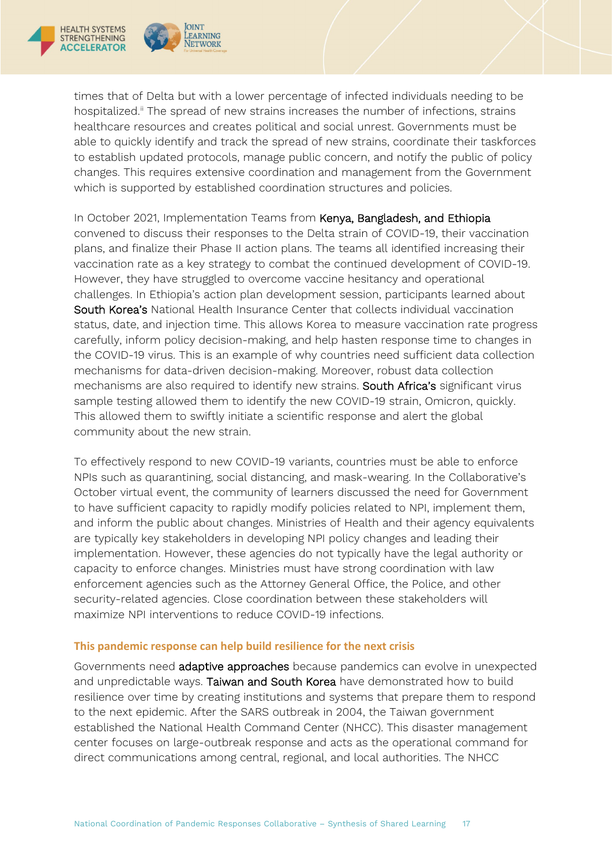

times that of Delta but with a lower percentage of infected individuals needing to be hospitalized.<sup>[ii](#page-40-1)</sup> The spread of new strains increases the number of infections, strains healthcare resources and creates political and social unrest. Governments must be able to quickly identify and track the spread of new strains, coordinate their taskforces to establish updated protocols, manage public concern, and notify the public of policy changes. This requires extensive coordination and management from the Government which is supported by established coordination structures and policies.

In October 2021, Implementation Teams from Kenya, Bangladesh, and Ethiopia convened to discuss their responses to the Delta strain of COVID-19, their vaccination plans, and finalize their Phase II action plans. The teams all identified increasing their vaccination rate as a key strategy to combat the continued development of COVID-19. However, they have struggled to overcome vaccine hesitancy and operational challenges. In Ethiopia's action plan development session, participants learned about South Korea's National Health Insurance Center that collects individual vaccination status, date, and injection time. This allows Korea to measure vaccination rate progress carefully, inform policy decision-making, and help hasten response time to changes in the COVID-19 virus. This is an example of why countries need sufficient data collection mechanisms for data-driven decision-making. Moreover, robust data collection mechanisms are also required to identify new strains. South Africa's significant virus sample testing allowed them to identify the new COVID-19 strain, Omicron, quickly. This allowed them to swiftly initiate a scientific response and alert the global community about the new strain.

To effectively respond to new COVID-19 variants, countries must be able to enforce NPIs such as quarantining, social distancing, and mask-wearing. In the Collaborative's October virtual event, the community of learners discussed the need for Government to have sufficient capacity to rapidly modify policies related to NPI, implement them, and inform the public about changes. Ministries of Health and their agency equivalents are typically key stakeholders in developing NPI policy changes and leading their implementation. However, these agencies do not typically have the legal authority or capacity to enforce changes. Ministries must have strong coordination with law enforcement agencies such as the Attorney General Office, the Police, and other security-related agencies. Close coordination between these stakeholders will maximize NPI interventions to reduce COVID-19 infections.

#### <span id="page-16-0"></span>**This pandemic response can help build resilience for the next crisis**

Governments need adaptive approaches because pandemics can evolve in unexpected and unpredictable ways. Taiwan and South Korea have demonstrated how to build resilience over time by creating institutions and systems that prepare them to respond to the next epidemic. After the SARS outbreak in 2004, the Taiwan government established the National Health Command Center (NHCC). This disaster management center focuses on large-outbreak response and acts as the operational command for direct communications among central, regional, and local authorities. The NHCC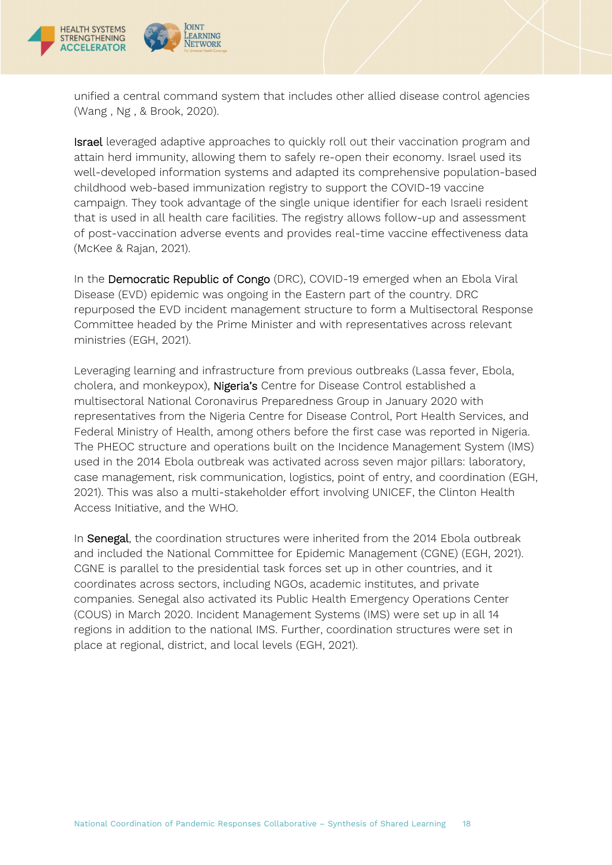

**IOINT** 

EARNING

NETWORK

unified a central command system that includes other allied disease control agencies (Wang , Ng , & Brook, 2020).

Israel leveraged adaptive approaches to quickly roll out their vaccination program and attain herd immunity, allowing them to safely re-open their economy. Israel used its well-developed information systems and adapted its comprehensive population-based childhood web-based immunization registry to support the COVID-19 vaccine campaign. They took advantage of the single unique identifier for each Israeli resident that is used in all health care facilities. The registry allows follow-up and assessment of post-vaccination adverse events and provides real-time vaccine effectiveness data (McKee & Rajan, 2021).

In the Democratic Republic of Congo (DRC), COVID-19 emerged when an Ebola Viral Disease (EVD) epidemic was ongoing in the Eastern part of the country. DRC repurposed the EVD incident management structure to form a Multisectoral Response Committee headed by the Prime Minister and with representatives across relevant ministries (EGH, 2021).

Leveraging learning and infrastructure from previous outbreaks (Lassa fever, Ebola, cholera, and monkeypox), Nigeria's Centre for Disease Control established a multisectoral National Coronavirus Preparedness Group in January 2020 with representatives from the Nigeria Centre for Disease Control, Port Health Services, and Federal Ministry of Health, among others before the first case was reported in Nigeria. The PHEOC structure and operations built on the Incidence Management System (IMS) used in the 2014 Ebola outbreak was activated across seven major pillars: laboratory, case management, risk communication, logistics, point of entry, and coordination (EGH, 2021). This was also a multi-stakeholder effort involving UNICEF, the Clinton Health Access Initiative, and the WHO.

In **Senegal**, the coordination structures were inherited from the 2014 Ebola outbreak and included the National Committee for Epidemic Management (CGNE) (EGH, 2021). CGNE is parallel to the presidential task forces set up in other countries, and it coordinates across sectors, including NGOs, academic institutes, and private companies. Senegal also activated its Public Health Emergency Operations Center (COUS) in March 2020. Incident Management Systems (IMS) were set up in all 14 regions in addition to the national IMS. Further, coordination structures were set in place at regional, district, and local levels (EGH, 2021).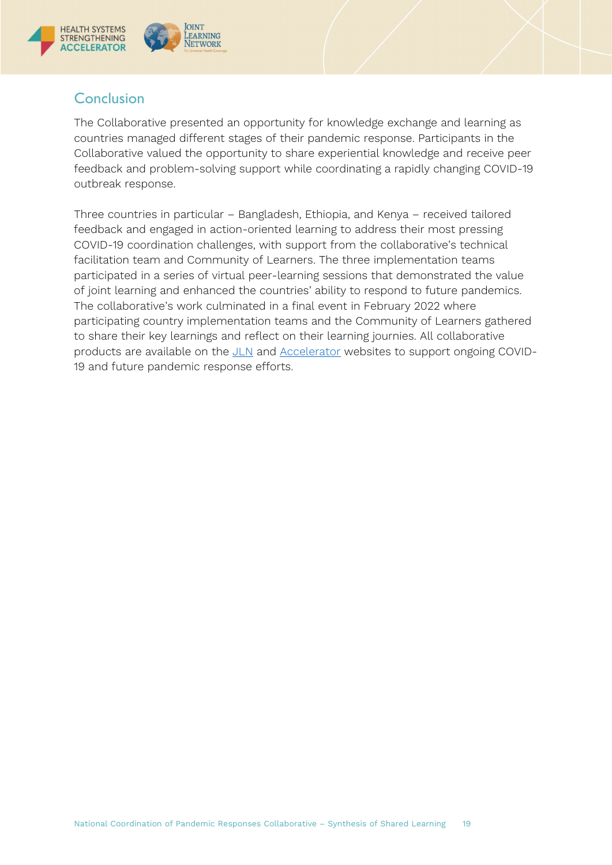

# <span id="page-18-0"></span>**Conclusion**

The Collaborative presented an opportunity for knowledge exchange and learning as countries managed different stages of their pandemic response. Participants in the Collaborative valued the opportunity to share experiential knowledge and receive peer feedback and problem-solving support while coordinating a rapidly changing COVID-19 outbreak response.

Three countries in particular – Bangladesh, Ethiopia, and Kenya – received tailored feedback and engaged in action-oriented learning to address their most pressing COVID-19 coordination challenges, with support from the collaborative's technical facilitation team and Community of Learners. The three implementation teams participated in a series of virtual peer-learning sessions that demonstrated the value of joint learning and enhanced the countries' ability to respond to future pandemics. The collaborative's work culminated in a final event in February 2022 where participating country implementation teams and the Community of Learners gathered to share their key learnings and reflect on their learning journies. All collaborative products are available on the [JLN](https://www.jointlearningnetwork.org/) and [Accelerator](https://www.acceleratehss.org/) websites to support ongoing COVID-19 and future pandemic response efforts.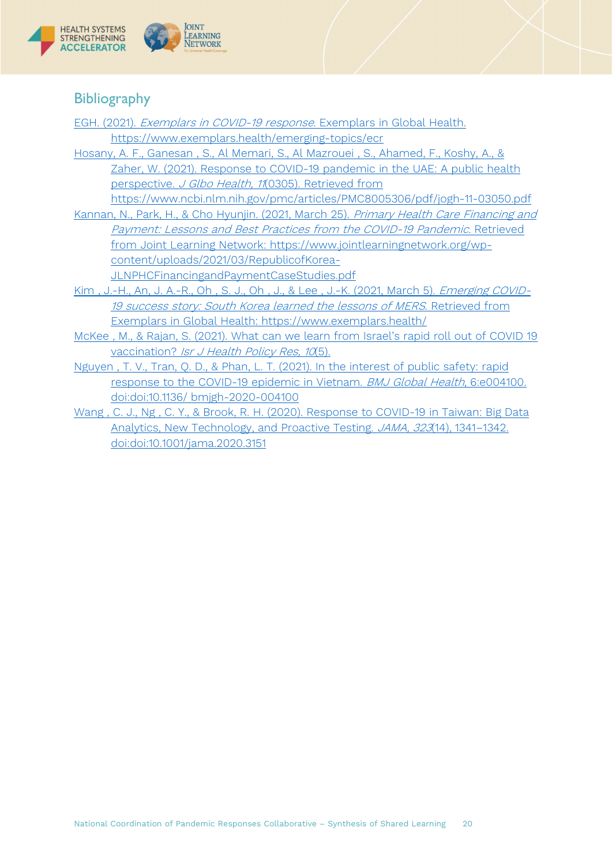

# <span id="page-19-0"></span>**Bibliography**

- EGH. (2021). [Exemplars in COVID-19 response.](file:///C:%5CUsers%5Cafolsom%5CAppData%5CLocal%5CMicrosoft%5CWindows%5CINetCache%5CContent.Outlook%5CJ1Q2A3GQ%5CEGH.%20(2021).%20Exemplars%20in%20COVID-19%20response.%20Exemplars%20in%20Global%20Health.%20https:%5Cwww.exemplars.health%5Cemerging-topics%5CecrHosany,%20A.%20F.,%20Ganesan%20,%20S.,%20Al%20Memari,%20S.,%20Al%20Mazrouei%20,%20S.,%20Ahamed,%20F.,%20Koshy,%20A.,%20&%20Zaher,%20W.%20(2021).%20Response%20to%20COVID-19%20pandemic%20in%20the%20UAE:%20A%20public%20health%20perspective.%20J%20Glbo%20Health,%2011(0305).%20Retrieved%20from%20https:%5Cwww.ncbi.nlm.nih.gov%5Cpmc%5Carticles%5CPMC8005306%5Cpdf%5Cjogh-11-03050.pdfKannan,%20N.,%20Park,%20H.,%20&%20Cho%20Hyunjin.%20(2021,%20March%2025).%20Primary%20Health%20Care%20Financing%20and%20Payment:%20Lessons%20and%20Best%20Practices%20from%20the%20COVID-19%20Pandemic.%20Retrieved%20from%20Joint%20Learning%20Network:%20https:%5Cwww.jointlearningnetwork.org%5Cwp-content%5Cuploads%5C2021%5C03%5CRepublicofKorea-JLNPHCFinancingandPaymentCaseStudies.pdfKim%20,%20J.-H.,%20An,%20J.%20A.-R.,%20Oh%20,%20S.%20J.,%20Oh%20,%20J.,%20&%20Lee%20,%20J.-K.%20(2021,%20March%205).%20Emerging%20COVID-19%20success%20story:%20South%20Korea%20learned%20the%20lessons%20of%20MERS.%20Retrieved%20from%20Exemplars%20in%20Global%20Health:%20https:%5Cwww.exemplars.health%5CMcKee%20,%20M.,%20&%20Rajan,%20S.%20(2021).%20What%20can%20we%20learn%20from%20Israel%E2%80%99s%20rapid%20roll%20out%20of%20COVID%2019%20vaccination?%20Isr%20J%20Health%20Policy%20Res,%2010(5).Nguyen%20,%20T.%20V.,%20Tran,%20Q.%20D.,%20&%20Phan,%20L.%20T.%20(2021).%20In%20the%20interest%20of%20public%20safety:%20rapid%20response%20to%20the%20COVID-19%20epidemic%20in%20Vietnam.%20BMJ%20Global%20Health,%206:e004100.%20doi:doi:10.1136%5C%20bmjgh-2020-004100Wang%20,%20C.%20J.,%20Ng%20,%20C.%20Y.,%20&%20Brook,%20R.%20H.%20(2020).%20Response%20to%20COVID-19%20in%20Taiwan:%20Big%20Data%20Analytics,%20New%20Technology,%20and%20Proactive%20Testing.%20JAMA,%20323(14),%201341%E2%80%931342.%20doi:doi:10.1001%5Cjama.2020.3151) Exemplars in Global Health. [https://www.exemplars.health/emerging-topics/ecr](file:///C:%5CUsers%5Cafolsom%5CAppData%5CLocal%5CMicrosoft%5CWindows%5CINetCache%5CContent.Outlook%5CJ1Q2A3GQ%5CEGH.%20(2021).%20Exemplars%20in%20COVID-19%20response.%20Exemplars%20in%20Global%20Health.%20https:%5Cwww.exemplars.health%5Cemerging-topics%5CecrHosany,%20A.%20F.,%20Ganesan%20,%20S.,%20Al%20Memari,%20S.,%20Al%20Mazrouei%20,%20S.,%20Ahamed,%20F.,%20Koshy,%20A.,%20&%20Zaher,%20W.%20(2021).%20Response%20to%20COVID-19%20pandemic%20in%20the%20UAE:%20A%20public%20health%20perspective.%20J%20Glbo%20Health,%2011(0305).%20Retrieved%20from%20https:%5Cwww.ncbi.nlm.nih.gov%5Cpmc%5Carticles%5CPMC8005306%5Cpdf%5Cjogh-11-03050.pdfKannan,%20N.,%20Park,%20H.,%20&%20Cho%20Hyunjin.%20(2021,%20March%2025).%20Primary%20Health%20Care%20Financing%20and%20Payment:%20Lessons%20and%20Best%20Practices%20from%20the%20COVID-19%20Pandemic.%20Retrieved%20from%20Joint%20Learning%20Network:%20https:%5Cwww.jointlearningnetwork.org%5Cwp-content%5Cuploads%5C2021%5C03%5CRepublicofKorea-JLNPHCFinancingandPaymentCaseStudies.pdfKim%20,%20J.-H.,%20An,%20J.%20A.-R.,%20Oh%20,%20S.%20J.,%20Oh%20,%20J.,%20&%20Lee%20,%20J.-K.%20(2021,%20March%205).%20Emerging%20COVID-19%20success%20story:%20South%20Korea%20learned%20the%20lessons%20of%20MERS.%20Retrieved%20from%20Exemplars%20in%20Global%20Health:%20https:%5Cwww.exemplars.health%5CMcKee%20,%20M.,%20&%20Rajan,%20S.%20(2021).%20What%20can%20we%20learn%20from%20Israel%E2%80%99s%20rapid%20roll%20out%20of%20COVID%2019%20vaccination?%20Isr%20J%20Health%20Policy%20Res,%2010(5).Nguyen%20,%20T.%20V.,%20Tran,%20Q.%20D.,%20&%20Phan,%20L.%20T.%20(2021).%20In%20the%20interest%20of%20public%20safety:%20rapid%20response%20to%20the%20COVID-19%20epidemic%20in%20Vietnam.%20BMJ%20Global%20Health,%206:e004100.%20doi:doi:10.1136%5C%20bmjgh-2020-004100Wang%20,%20C.%20J.,%20Ng%20,%20C.%20Y.,%20&%20Brook,%20R.%20H.%20(2020).%20Response%20to%20COVID-19%20in%20Taiwan:%20Big%20Data%20Analytics,%20New%20Technology,%20and%20Proactive%20Testing.%20JAMA,%20323(14),%201341%E2%80%931342.%20doi:doi:10.1001%5Cjama.2020.3151) [Hosany, A. F., Ganesan , S., Al Memari, S., Al Mazrouei , S., Ahamed, F., Koshy, A., &](file:///C:%5CUsers%5Cafolsom%5CAppData%5CLocal%5CMicrosoft%5CWindows%5CINetCache%5CContent.Outlook%5CJ1Q2A3GQ%5CEGH.%20(2021).%20Exemplars%20in%20COVID-19%20response.%20Exemplars%20in%20Global%20Health.%20https:%5Cwww.exemplars.health%5Cemerging-topics%5CecrHosany,%20A.%20F.,%20Ganesan%20,%20S.,%20Al%20Memari,%20S.,%20Al%20Mazrouei%20,%20S.,%20Ahamed,%20F.,%20Koshy,%20A.,%20&%20Zaher,%20W.%20(2021).%20Response%20to%20COVID-19%20pandemic%20in%20the%20UAE:%20A%20public%20health%20perspective.%20J%20Glbo%20Health,%2011(0305).%20Retrieved%20from%20https:%5Cwww.ncbi.nlm.nih.gov%5Cpmc%5Carticles%5CPMC8005306%5Cpdf%5Cjogh-11-03050.pdfKannan,%20N.,%20Park,%20H.,%20&%20Cho%20Hyunjin.%20(2021,%20March%2025).%20Primary%20Health%20Care%20Financing%20and%20Payment:%20Lessons%20and%20Best%20Practices%20from%20the%20COVID-19%20Pandemic.%20Retrieved%20from%20Joint%20Learning%20Network:%20https:%5Cwww.jointlearningnetwork.org%5Cwp-content%5Cuploads%5C2021%5C03%5CRepublicofKorea-JLNPHCFinancingandPaymentCaseStudies.pdfKim%20,%20J.-H.,%20An,%20J.%20A.-R.,%20Oh%20,%20S.%20J.,%20Oh%20,%20J.,%20&%20Lee%20,%20J.-K.%20(2021,%20March%205).%20Emerging%20COVID-19%20success%20story:%20South%20Korea%20learned%20the%20lessons%20of%20MERS.%20Retrieved%20from%20Exemplars%20in%20Global%20Health:%20https:%5Cwww.exemplars.health%5CMcKee%20,%20M.,%20&%20Rajan,%20S.%20(2021).%20What%20can%20we%20learn%20from%20Israel%E2%80%99s%20rapid%20roll%20out%20of%20COVID%2019%20vaccination?%20Isr%20J%20Health%20Policy%20Res,%2010(5).Nguyen%20,%20T.%20V.,%20Tran,%20Q.%20D.,%20&%20Phan,%20L.%20T.%20(2021).%20In%20the%20interest%20of%20public%20safety:%20rapid%20response%20to%20the%20COVID-19%20epidemic%20in%20Vietnam.%20BMJ%20Global%20Health,%206:e004100.%20doi:doi:10.1136%5C%20bmjgh-2020-004100Wang%20,%20C.%20J.,%20Ng%20,%20C.%20Y.,%20&%20Brook,%20R.%20H.%20(2020).%20Response%20to%20COVID-19%20in%20Taiwan:%20Big%20Data%20Analytics,%20New%20Technology,%20and%20Proactive%20Testing.%20JAMA,%20323(14),%201341%E2%80%931342.%20doi:doi:10.1001%5Cjama.2020.3151)  [Zaher, W. \(2021\). Response to COVID-19 pandemic in the UAE: A public health](file:///C:%5CUsers%5Cafolsom%5CAppData%5CLocal%5CMicrosoft%5CWindows%5CINetCache%5CContent.Outlook%5CJ1Q2A3GQ%5CEGH.%20(2021).%20Exemplars%20in%20COVID-19%20response.%20Exemplars%20in%20Global%20Health.%20https:%5Cwww.exemplars.health%5Cemerging-topics%5CecrHosany,%20A.%20F.,%20Ganesan%20,%20S.,%20Al%20Memari,%20S.,%20Al%20Mazrouei%20,%20S.,%20Ahamed,%20F.,%20Koshy,%20A.,%20&%20Zaher,%20W.%20(2021).%20Response%20to%20COVID-19%20pandemic%20in%20the%20UAE:%20A%20public%20health%20perspective.%20J%20Glbo%20Health,%2011(0305).%20Retrieved%20from%20https:%5Cwww.ncbi.nlm.nih.gov%5Cpmc%5Carticles%5CPMC8005306%5Cpdf%5Cjogh-11-03050.pdfKannan,%20N.,%20Park,%20H.,%20&%20Cho%20Hyunjin.%20(2021,%20March%2025).%20Primary%20Health%20Care%20Financing%20and%20Payment:%20Lessons%20and%20Best%20Practices%20from%20the%20COVID-19%20Pandemic.%20Retrieved%20from%20Joint%20Learning%20Network:%20https:%5Cwww.jointlearningnetwork.org%5Cwp-content%5Cuploads%5C2021%5C03%5CRepublicofKorea-JLNPHCFinancingandPaymentCaseStudies.pdfKim%20,%20J.-H.,%20An,%20J.%20A.-R.,%20Oh%20,%20S.%20J.,%20Oh%20,%20J.,%20&%20Lee%20,%20J.-K.%20(2021,%20March%205).%20Emerging%20COVID-19%20success%20story:%20South%20Korea%20learned%20the%20lessons%20of%20MERS.%20Retrieved%20from%20Exemplars%20in%20Global%20Health:%20https:%5Cwww.exemplars.health%5CMcKee%20,%20M.,%20&%20Rajan,%20S.%20(2021).%20What%20can%20we%20learn%20from%20Israel%E2%80%99s%20rapid%20roll%20out%20of%20COVID%2019%20vaccination?%20Isr%20J%20Health%20Policy%20Res,%2010(5).Nguyen%20,%20T.%20V.,%20Tran,%20Q.%20D.,%20&%20Phan,%20L.%20T.%20(2021).%20In%20the%20interest%20of%20public%20safety:%20rapid%20response%20to%20the%20COVID-19%20epidemic%20in%20Vietnam.%20BMJ%20Global%20Health,%206:e004100.%20doi:doi:10.1136%5C%20bmjgh-2020-004100Wang%20,%20C.%20J.,%20Ng%20,%20C.%20Y.,%20&%20Brook,%20R.%20H.%20(2020).%20Response%20to%20COVID-19%20in%20Taiwan:%20Big%20Data%20Analytics,%20New%20Technology,%20and%20Proactive%20Testing.%20JAMA,%20323(14),%201341%E2%80%931342.%20doi:doi:10.1001%5Cjama.2020.3151) 
	- perspective. J Glbo Health, 11[\(0305\). Retrieved from](file:///C:%5CUsers%5Cafolsom%5CAppData%5CLocal%5CMicrosoft%5CWindows%5CINetCache%5CContent.Outlook%5CJ1Q2A3GQ%5CEGH.%20(2021).%20Exemplars%20in%20COVID-19%20response.%20Exemplars%20in%20Global%20Health.%20https:%5Cwww.exemplars.health%5Cemerging-topics%5CecrHosany,%20A.%20F.,%20Ganesan%20,%20S.,%20Al%20Memari,%20S.,%20Al%20Mazrouei%20,%20S.,%20Ahamed,%20F.,%20Koshy,%20A.,%20&%20Zaher,%20W.%20(2021).%20Response%20to%20COVID-19%20pandemic%20in%20the%20UAE:%20A%20public%20health%20perspective.%20J%20Glbo%20Health,%2011(0305).%20Retrieved%20from%20https:%5Cwww.ncbi.nlm.nih.gov%5Cpmc%5Carticles%5CPMC8005306%5Cpdf%5Cjogh-11-03050.pdfKannan,%20N.,%20Park,%20H.,%20&%20Cho%20Hyunjin.%20(2021,%20March%2025).%20Primary%20Health%20Care%20Financing%20and%20Payment:%20Lessons%20and%20Best%20Practices%20from%20the%20COVID-19%20Pandemic.%20Retrieved%20from%20Joint%20Learning%20Network:%20https:%5Cwww.jointlearningnetwork.org%5Cwp-content%5Cuploads%5C2021%5C03%5CRepublicofKorea-JLNPHCFinancingandPaymentCaseStudies.pdfKim%20,%20J.-H.,%20An,%20J.%20A.-R.,%20Oh%20,%20S.%20J.,%20Oh%20,%20J.,%20&%20Lee%20,%20J.-K.%20(2021,%20March%205).%20Emerging%20COVID-19%20success%20story:%20South%20Korea%20learned%20the%20lessons%20of%20MERS.%20Retrieved%20from%20Exemplars%20in%20Global%20Health:%20https:%5Cwww.exemplars.health%5CMcKee%20,%20M.,%20&%20Rajan,%20S.%20(2021).%20What%20can%20we%20learn%20from%20Israel%E2%80%99s%20rapid%20roll%20out%20of%20COVID%2019%20vaccination?%20Isr%20J%20Health%20Policy%20Res,%2010(5).Nguyen%20,%20T.%20V.,%20Tran,%20Q.%20D.,%20&%20Phan,%20L.%20T.%20(2021).%20In%20the%20interest%20of%20public%20safety:%20rapid%20response%20to%20the%20COVID-19%20epidemic%20in%20Vietnam.%20BMJ%20Global%20Health,%206:e004100.%20doi:doi:10.1136%5C%20bmjgh-2020-004100Wang%20,%20C.%20J.,%20Ng%20,%20C.%20Y.,%20&%20Brook,%20R.%20H.%20(2020).%20Response%20to%20COVID-19%20in%20Taiwan:%20Big%20Data%20Analytics,%20New%20Technology,%20and%20Proactive%20Testing.%20JAMA,%20323(14),%201341%E2%80%931342.%20doi:doi:10.1001%5Cjama.2020.3151)  [https://www.ncbi.nlm.nih.gov/pmc/articles/PMC8005306/pdf/jogh-11-03050.pdf](file:///C:%5CUsers%5Cafolsom%5CAppData%5CLocal%5CMicrosoft%5CWindows%5CINetCache%5CContent.Outlook%5CJ1Q2A3GQ%5CEGH.%20(2021).%20Exemplars%20in%20COVID-19%20response.%20Exemplars%20in%20Global%20Health.%20https:%5Cwww.exemplars.health%5Cemerging-topics%5CecrHosany,%20A.%20F.,%20Ganesan%20,%20S.,%20Al%20Memari,%20S.,%20Al%20Mazrouei%20,%20S.,%20Ahamed,%20F.,%20Koshy,%20A.,%20&%20Zaher,%20W.%20(2021).%20Response%20to%20COVID-19%20pandemic%20in%20the%20UAE:%20A%20public%20health%20perspective.%20J%20Glbo%20Health,%2011(0305).%20Retrieved%20from%20https:%5Cwww.ncbi.nlm.nih.gov%5Cpmc%5Carticles%5CPMC8005306%5Cpdf%5Cjogh-11-03050.pdfKannan,%20N.,%20Park,%20H.,%20&%20Cho%20Hyunjin.%20(2021,%20March%2025).%20Primary%20Health%20Care%20Financing%20and%20Payment:%20Lessons%20and%20Best%20Practices%20from%20the%20COVID-19%20Pandemic.%20Retrieved%20from%20Joint%20Learning%20Network:%20https:%5Cwww.jointlearningnetwork.org%5Cwp-content%5Cuploads%5C2021%5C03%5CRepublicofKorea-JLNPHCFinancingandPaymentCaseStudies.pdfKim%20,%20J.-H.,%20An,%20J.%20A.-R.,%20Oh%20,%20S.%20J.,%20Oh%20,%20J.,%20&%20Lee%20,%20J.-K.%20(2021,%20March%205).%20Emerging%20COVID-19%20success%20story:%20South%20Korea%20learned%20the%20lessons%20of%20MERS.%20Retrieved%20from%20Exemplars%20in%20Global%20Health:%20https:%5Cwww.exemplars.health%5CMcKee%20,%20M.,%20&%20Rajan,%20S.%20(2021).%20What%20can%20we%20learn%20from%20Israel%E2%80%99s%20rapid%20roll%20out%20of%20COVID%2019%20vaccination?%20Isr%20J%20Health%20Policy%20Res,%2010(5).Nguyen%20,%20T.%20V.,%20Tran,%20Q.%20D.,%20&%20Phan,%20L.%20T.%20(2021).%20In%20the%20interest%20of%20public%20safety:%20rapid%20response%20to%20the%20COVID-19%20epidemic%20in%20Vietnam.%20BMJ%20Global%20Health,%206:e004100.%20doi:doi:10.1136%5C%20bmjgh-2020-004100Wang%20,%20C.%20J.,%20Ng%20,%20C.%20Y.,%20&%20Brook,%20R.%20H.%20(2020).%20Response%20to%20COVID-19%20in%20Taiwan:%20Big%20Data%20Analytics,%20New%20Technology,%20and%20Proactive%20Testing.%20JAMA,%20323(14),%201341%E2%80%931342.%20doi:doi:10.1001%5Cjama.2020.3151)
- [Kannan, N., Park, H., & Cho Hyunjin. \(2021, March 25\).](file:///C:%5CUsers%5Cafolsom%5CAppData%5CLocal%5CMicrosoft%5CWindows%5CINetCache%5CContent.Outlook%5CJ1Q2A3GQ%5CEGH.%20(2021).%20Exemplars%20in%20COVID-19%20response.%20Exemplars%20in%20Global%20Health.%20https:%5Cwww.exemplars.health%5Cemerging-topics%5CecrHosany,%20A.%20F.,%20Ganesan%20,%20S.,%20Al%20Memari,%20S.,%20Al%20Mazrouei%20,%20S.,%20Ahamed,%20F.,%20Koshy,%20A.,%20&%20Zaher,%20W.%20(2021).%20Response%20to%20COVID-19%20pandemic%20in%20the%20UAE:%20A%20public%20health%20perspective.%20J%20Glbo%20Health,%2011(0305).%20Retrieved%20from%20https:%5Cwww.ncbi.nlm.nih.gov%5Cpmc%5Carticles%5CPMC8005306%5Cpdf%5Cjogh-11-03050.pdfKannan,%20N.,%20Park,%20H.,%20&%20Cho%20Hyunjin.%20(2021,%20March%2025).%20Primary%20Health%20Care%20Financing%20and%20Payment:%20Lessons%20and%20Best%20Practices%20from%20the%20COVID-19%20Pandemic.%20Retrieved%20from%20Joint%20Learning%20Network:%20https:%5Cwww.jointlearningnetwork.org%5Cwp-content%5Cuploads%5C2021%5C03%5CRepublicofKorea-JLNPHCFinancingandPaymentCaseStudies.pdfKim%20,%20J.-H.,%20An,%20J.%20A.-R.,%20Oh%20,%20S.%20J.,%20Oh%20,%20J.,%20&%20Lee%20,%20J.-K.%20(2021,%20March%205).%20Emerging%20COVID-19%20success%20story:%20South%20Korea%20learned%20the%20lessons%20of%20MERS.%20Retrieved%20from%20Exemplars%20in%20Global%20Health:%20https:%5Cwww.exemplars.health%5CMcKee%20,%20M.,%20&%20Rajan,%20S.%20(2021).%20What%20can%20we%20learn%20from%20Israel%E2%80%99s%20rapid%20roll%20out%20of%20COVID%2019%20vaccination?%20Isr%20J%20Health%20Policy%20Res,%2010(5).Nguyen%20,%20T.%20V.,%20Tran,%20Q.%20D.,%20&%20Phan,%20L.%20T.%20(2021).%20In%20the%20interest%20of%20public%20safety:%20rapid%20response%20to%20the%20COVID-19%20epidemic%20in%20Vietnam.%20BMJ%20Global%20Health,%206:e004100.%20doi:doi:10.1136%5C%20bmjgh-2020-004100Wang%20,%20C.%20J.,%20Ng%20,%20C.%20Y.,%20&%20Brook,%20R.%20H.%20(2020).%20Response%20to%20COVID-19%20in%20Taiwan:%20Big%20Data%20Analytics,%20New%20Technology,%20and%20Proactive%20Testing.%20JAMA,%20323(14),%201341%E2%80%931342.%20doi:doi:10.1001%5Cjama.2020.3151) Primary Health Care Financing and [Payment: Lessons and Best Practices from the COVID-19 Pandemic.](file:///C:%5CUsers%5Cafolsom%5CAppData%5CLocal%5CMicrosoft%5CWindows%5CINetCache%5CContent.Outlook%5CJ1Q2A3GQ%5CEGH.%20(2021).%20Exemplars%20in%20COVID-19%20response.%20Exemplars%20in%20Global%20Health.%20https:%5Cwww.exemplars.health%5Cemerging-topics%5CecrHosany,%20A.%20F.,%20Ganesan%20,%20S.,%20Al%20Memari,%20S.,%20Al%20Mazrouei%20,%20S.,%20Ahamed,%20F.,%20Koshy,%20A.,%20&%20Zaher,%20W.%20(2021).%20Response%20to%20COVID-19%20pandemic%20in%20the%20UAE:%20A%20public%20health%20perspective.%20J%20Glbo%20Health,%2011(0305).%20Retrieved%20from%20https:%5Cwww.ncbi.nlm.nih.gov%5Cpmc%5Carticles%5CPMC8005306%5Cpdf%5Cjogh-11-03050.pdfKannan,%20N.,%20Park,%20H.,%20&%20Cho%20Hyunjin.%20(2021,%20March%2025).%20Primary%20Health%20Care%20Financing%20and%20Payment:%20Lessons%20and%20Best%20Practices%20from%20the%20COVID-19%20Pandemic.%20Retrieved%20from%20Joint%20Learning%20Network:%20https:%5Cwww.jointlearningnetwork.org%5Cwp-content%5Cuploads%5C2021%5C03%5CRepublicofKorea-JLNPHCFinancingandPaymentCaseStudies.pdfKim%20,%20J.-H.,%20An,%20J.%20A.-R.,%20Oh%20,%20S.%20J.,%20Oh%20,%20J.,%20&%20Lee%20,%20J.-K.%20(2021,%20March%205).%20Emerging%20COVID-19%20success%20story:%20South%20Korea%20learned%20the%20lessons%20of%20MERS.%20Retrieved%20from%20Exemplars%20in%20Global%20Health:%20https:%5Cwww.exemplars.health%5CMcKee%20,%20M.,%20&%20Rajan,%20S.%20(2021).%20What%20can%20we%20learn%20from%20Israel%E2%80%99s%20rapid%20roll%20out%20of%20COVID%2019%20vaccination?%20Isr%20J%20Health%20Policy%20Res,%2010(5).Nguyen%20,%20T.%20V.,%20Tran,%20Q.%20D.,%20&%20Phan,%20L.%20T.%20(2021).%20In%20the%20interest%20of%20public%20safety:%20rapid%20response%20to%20the%20COVID-19%20epidemic%20in%20Vietnam.%20BMJ%20Global%20Health,%206:e004100.%20doi:doi:10.1136%5C%20bmjgh-2020-004100Wang%20,%20C.%20J.,%20Ng%20,%20C.%20Y.,%20&%20Brook,%20R.%20H.%20(2020).%20Response%20to%20COVID-19%20in%20Taiwan:%20Big%20Data%20Analytics,%20New%20Technology,%20and%20Proactive%20Testing.%20JAMA,%20323(14),%201341%E2%80%931342.%20doi:doi:10.1001%5Cjama.2020.3151) Retrieved [from Joint Learning Network: https://www.jointlearningnetwork.org/wp](file:///C:%5CUsers%5Cafolsom%5CAppData%5CLocal%5CMicrosoft%5CWindows%5CINetCache%5CContent.Outlook%5CJ1Q2A3GQ%5CEGH.%20(2021).%20Exemplars%20in%20COVID-19%20response.%20Exemplars%20in%20Global%20Health.%20https:%5Cwww.exemplars.health%5Cemerging-topics%5CecrHosany,%20A.%20F.,%20Ganesan%20,%20S.,%20Al%20Memari,%20S.,%20Al%20Mazrouei%20,%20S.,%20Ahamed,%20F.,%20Koshy,%20A.,%20&%20Zaher,%20W.%20(2021).%20Response%20to%20COVID-19%20pandemic%20in%20the%20UAE:%20A%20public%20health%20perspective.%20J%20Glbo%20Health,%2011(0305).%20Retrieved%20from%20https:%5Cwww.ncbi.nlm.nih.gov%5Cpmc%5Carticles%5CPMC8005306%5Cpdf%5Cjogh-11-03050.pdfKannan,%20N.,%20Park,%20H.,%20&%20Cho%20Hyunjin.%20(2021,%20March%2025).%20Primary%20Health%20Care%20Financing%20and%20Payment:%20Lessons%20and%20Best%20Practices%20from%20the%20COVID-19%20Pandemic.%20Retrieved%20from%20Joint%20Learning%20Network:%20https:%5Cwww.jointlearningnetwork.org%5Cwp-content%5Cuploads%5C2021%5C03%5CRepublicofKorea-JLNPHCFinancingandPaymentCaseStudies.pdfKim%20,%20J.-H.,%20An,%20J.%20A.-R.,%20Oh%20,%20S.%20J.,%20Oh%20,%20J.,%20&%20Lee%20,%20J.-K.%20(2021,%20March%205).%20Emerging%20COVID-19%20success%20story:%20South%20Korea%20learned%20the%20lessons%20of%20MERS.%20Retrieved%20from%20Exemplars%20in%20Global%20Health:%20https:%5Cwww.exemplars.health%5CMcKee%20,%20M.,%20&%20Rajan,%20S.%20(2021).%20What%20can%20we%20learn%20from%20Israel%E2%80%99s%20rapid%20roll%20out%20of%20COVID%2019%20vaccination?%20Isr%20J%20Health%20Policy%20Res,%2010(5).Nguyen%20,%20T.%20V.,%20Tran,%20Q.%20D.,%20&%20Phan,%20L.%20T.%20(2021).%20In%20the%20interest%20of%20public%20safety:%20rapid%20response%20to%20the%20COVID-19%20epidemic%20in%20Vietnam.%20BMJ%20Global%20Health,%206:e004100.%20doi:doi:10.1136%5C%20bmjgh-2020-004100Wang%20,%20C.%20J.,%20Ng%20,%20C.%20Y.,%20&%20Brook,%20R.%20H.%20(2020).%20Response%20to%20COVID-19%20in%20Taiwan:%20Big%20Data%20Analytics,%20New%20Technology,%20and%20Proactive%20Testing.%20JAMA,%20323(14),%201341%E2%80%931342.%20doi:doi:10.1001%5Cjama.2020.3151)[content/uploads/2021/03/RepublicofKorea-](file:///C:%5CUsers%5Cafolsom%5CAppData%5CLocal%5CMicrosoft%5CWindows%5CINetCache%5CContent.Outlook%5CJ1Q2A3GQ%5CEGH.%20(2021).%20Exemplars%20in%20COVID-19%20response.%20Exemplars%20in%20Global%20Health.%20https:%5Cwww.exemplars.health%5Cemerging-topics%5CecrHosany,%20A.%20F.,%20Ganesan%20,%20S.,%20Al%20Memari,%20S.,%20Al%20Mazrouei%20,%20S.,%20Ahamed,%20F.,%20Koshy,%20A.,%20&%20Zaher,%20W.%20(2021).%20Response%20to%20COVID-19%20pandemic%20in%20the%20UAE:%20A%20public%20health%20perspective.%20J%20Glbo%20Health,%2011(0305).%20Retrieved%20from%20https:%5Cwww.ncbi.nlm.nih.gov%5Cpmc%5Carticles%5CPMC8005306%5Cpdf%5Cjogh-11-03050.pdfKannan,%20N.,%20Park,%20H.,%20&%20Cho%20Hyunjin.%20(2021,%20March%2025).%20Primary%20Health%20Care%20Financing%20and%20Payment:%20Lessons%20and%20Best%20Practices%20from%20the%20COVID-19%20Pandemic.%20Retrieved%20from%20Joint%20Learning%20Network:%20https:%5Cwww.jointlearningnetwork.org%5Cwp-content%5Cuploads%5C2021%5C03%5CRepublicofKorea-JLNPHCFinancingandPaymentCaseStudies.pdfKim%20,%20J.-H.,%20An,%20J.%20A.-R.,%20Oh%20,%20S.%20J.,%20Oh%20,%20J.,%20&%20Lee%20,%20J.-K.%20(2021,%20March%205).%20Emerging%20COVID-19%20success%20story:%20South%20Korea%20learned%20the%20lessons%20of%20MERS.%20Retrieved%20from%20Exemplars%20in%20Global%20Health:%20https:%5Cwww.exemplars.health%5CMcKee%20,%20M.,%20&%20Rajan,%20S.%20(2021).%20What%20can%20we%20learn%20from%20Israel%E2%80%99s%20rapid%20roll%20out%20of%20COVID%2019%20vaccination?%20Isr%20J%20Health%20Policy%20Res,%2010(5).Nguyen%20,%20T.%20V.,%20Tran,%20Q.%20D.,%20&%20Phan,%20L.%20T.%20(2021).%20In%20the%20interest%20of%20public%20safety:%20rapid%20response%20to%20the%20COVID-19%20epidemic%20in%20Vietnam.%20BMJ%20Global%20Health,%206:e004100.%20doi:doi:10.1136%5C%20bmjgh-2020-004100Wang%20,%20C.%20J.,%20Ng%20,%20C.%20Y.,%20&%20Brook,%20R.%20H.%20(2020).%20Response%20to%20COVID-19%20in%20Taiwan:%20Big%20Data%20Analytics,%20New%20Technology,%20and%20Proactive%20Testing.%20JAMA,%20323(14),%201341%E2%80%931342.%20doi:doi:10.1001%5Cjama.2020.3151)[JLNPHCFinancingandPaymentCaseStudies.pdf](file:///C:%5CUsers%5Cafolsom%5CAppData%5CLocal%5CMicrosoft%5CWindows%5CINetCache%5CContent.Outlook%5CJ1Q2A3GQ%5CEGH.%20(2021).%20Exemplars%20in%20COVID-19%20response.%20Exemplars%20in%20Global%20Health.%20https:%5Cwww.exemplars.health%5Cemerging-topics%5CecrHosany,%20A.%20F.,%20Ganesan%20,%20S.,%20Al%20Memari,%20S.,%20Al%20Mazrouei%20,%20S.,%20Ahamed,%20F.,%20Koshy,%20A.,%20&%20Zaher,%20W.%20(2021).%20Response%20to%20COVID-19%20pandemic%20in%20the%20UAE:%20A%20public%20health%20perspective.%20J%20Glbo%20Health,%2011(0305).%20Retrieved%20from%20https:%5Cwww.ncbi.nlm.nih.gov%5Cpmc%5Carticles%5CPMC8005306%5Cpdf%5Cjogh-11-03050.pdfKannan,%20N.,%20Park,%20H.,%20&%20Cho%20Hyunjin.%20(2021,%20March%2025).%20Primary%20Health%20Care%20Financing%20and%20Payment:%20Lessons%20and%20Best%20Practices%20from%20the%20COVID-19%20Pandemic.%20Retrieved%20from%20Joint%20Learning%20Network:%20https:%5Cwww.jointlearningnetwork.org%5Cwp-content%5Cuploads%5C2021%5C03%5CRepublicofKorea-JLNPHCFinancingandPaymentCaseStudies.pdfKim%20,%20J.-H.,%20An,%20J.%20A.-R.,%20Oh%20,%20S.%20J.,%20Oh%20,%20J.,%20&%20Lee%20,%20J.-K.%20(2021,%20March%205).%20Emerging%20COVID-19%20success%20story:%20South%20Korea%20learned%20the%20lessons%20of%20MERS.%20Retrieved%20from%20Exemplars%20in%20Global%20Health:%20https:%5Cwww.exemplars.health%5CMcKee%20,%20M.,%20&%20Rajan,%20S.%20(2021).%20What%20can%20we%20learn%20from%20Israel%E2%80%99s%20rapid%20roll%20out%20of%20COVID%2019%20vaccination?%20Isr%20J%20Health%20Policy%20Res,%2010(5).Nguyen%20,%20T.%20V.,%20Tran,%20Q.%20D.,%20&%20Phan,%20L.%20T.%20(2021).%20In%20the%20interest%20of%20public%20safety:%20rapid%20response%20to%20the%20COVID-19%20epidemic%20in%20Vietnam.%20BMJ%20Global%20Health,%206:e004100.%20doi:doi:10.1136%5C%20bmjgh-2020-004100Wang%20,%20C.%20J.,%20Ng%20,%20C.%20Y.,%20&%20Brook,%20R.%20H.%20(2020).%20Response%20to%20COVID-19%20in%20Taiwan:%20Big%20Data%20Analytics,%20New%20Technology,%20and%20Proactive%20Testing.%20JAMA,%20323(14),%201341%E2%80%931342.%20doi:doi:10.1001%5Cjama.2020.3151)
- [Kim , J.-H., An, J. A.-R., Oh , S. J., Oh , J., & Lee , J.-K. \(2021, March 5\).](file:///C:%5CUsers%5Cafolsom%5CAppData%5CLocal%5CMicrosoft%5CWindows%5CINetCache%5CContent.Outlook%5CJ1Q2A3GQ%5CEGH.%20(2021).%20Exemplars%20in%20COVID-19%20response.%20Exemplars%20in%20Global%20Health.%20https:%5Cwww.exemplars.health%5Cemerging-topics%5CecrHosany,%20A.%20F.,%20Ganesan%20,%20S.,%20Al%20Memari,%20S.,%20Al%20Mazrouei%20,%20S.,%20Ahamed,%20F.,%20Koshy,%20A.,%20&%20Zaher,%20W.%20(2021).%20Response%20to%20COVID-19%20pandemic%20in%20the%20UAE:%20A%20public%20health%20perspective.%20J%20Glbo%20Health,%2011(0305).%20Retrieved%20from%20https:%5Cwww.ncbi.nlm.nih.gov%5Cpmc%5Carticles%5CPMC8005306%5Cpdf%5Cjogh-11-03050.pdfKannan,%20N.,%20Park,%20H.,%20&%20Cho%20Hyunjin.%20(2021,%20March%2025).%20Primary%20Health%20Care%20Financing%20and%20Payment:%20Lessons%20and%20Best%20Practices%20from%20the%20COVID-19%20Pandemic.%20Retrieved%20from%20Joint%20Learning%20Network:%20https:%5Cwww.jointlearningnetwork.org%5Cwp-content%5Cuploads%5C2021%5C03%5CRepublicofKorea-JLNPHCFinancingandPaymentCaseStudies.pdfKim%20,%20J.-H.,%20An,%20J.%20A.-R.,%20Oh%20,%20S.%20J.,%20Oh%20,%20J.,%20&%20Lee%20,%20J.-K.%20(2021,%20March%205).%20Emerging%20COVID-19%20success%20story:%20South%20Korea%20learned%20the%20lessons%20of%20MERS.%20Retrieved%20from%20Exemplars%20in%20Global%20Health:%20https:%5Cwww.exemplars.health%5CMcKee%20,%20M.,%20&%20Rajan,%20S.%20(2021).%20What%20can%20we%20learn%20from%20Israel%E2%80%99s%20rapid%20roll%20out%20of%20COVID%2019%20vaccination?%20Isr%20J%20Health%20Policy%20Res,%2010(5).Nguyen%20,%20T.%20V.,%20Tran,%20Q.%20D.,%20&%20Phan,%20L.%20T.%20(2021).%20In%20the%20interest%20of%20public%20safety:%20rapid%20response%20to%20the%20COVID-19%20epidemic%20in%20Vietnam.%20BMJ%20Global%20Health,%206:e004100.%20doi:doi:10.1136%5C%20bmjgh-2020-004100Wang%20,%20C.%20J.,%20Ng%20,%20C.%20Y.,%20&%20Brook,%20R.%20H.%20(2020).%20Response%20to%20COVID-19%20in%20Taiwan:%20Big%20Data%20Analytics,%20New%20Technology,%20and%20Proactive%20Testing.%20JAMA,%20323(14),%201341%E2%80%931342.%20doi:doi:10.1001%5Cjama.2020.3151) Emerging COVID-[19 success story: South Korea learned the lessons of MERS](file:///C:%5CUsers%5Cafolsom%5CAppData%5CLocal%5CMicrosoft%5CWindows%5CINetCache%5CContent.Outlook%5CJ1Q2A3GQ%5CEGH.%20(2021).%20Exemplars%20in%20COVID-19%20response.%20Exemplars%20in%20Global%20Health.%20https:%5Cwww.exemplars.health%5Cemerging-topics%5CecrHosany,%20A.%20F.,%20Ganesan%20,%20S.,%20Al%20Memari,%20S.,%20Al%20Mazrouei%20,%20S.,%20Ahamed,%20F.,%20Koshy,%20A.,%20&%20Zaher,%20W.%20(2021).%20Response%20to%20COVID-19%20pandemic%20in%20the%20UAE:%20A%20public%20health%20perspective.%20J%20Glbo%20Health,%2011(0305).%20Retrieved%20from%20https:%5Cwww.ncbi.nlm.nih.gov%5Cpmc%5Carticles%5CPMC8005306%5Cpdf%5Cjogh-11-03050.pdfKannan,%20N.,%20Park,%20H.,%20&%20Cho%20Hyunjin.%20(2021,%20March%2025).%20Primary%20Health%20Care%20Financing%20and%20Payment:%20Lessons%20and%20Best%20Practices%20from%20the%20COVID-19%20Pandemic.%20Retrieved%20from%20Joint%20Learning%20Network:%20https:%5Cwww.jointlearningnetwork.org%5Cwp-content%5Cuploads%5C2021%5C03%5CRepublicofKorea-JLNPHCFinancingandPaymentCaseStudies.pdfKim%20,%20J.-H.,%20An,%20J.%20A.-R.,%20Oh%20,%20S.%20J.,%20Oh%20,%20J.,%20&%20Lee%20,%20J.-K.%20(2021,%20March%205).%20Emerging%20COVID-19%20success%20story:%20South%20Korea%20learned%20the%20lessons%20of%20MERS.%20Retrieved%20from%20Exemplars%20in%20Global%20Health:%20https:%5Cwww.exemplars.health%5CMcKee%20,%20M.,%20&%20Rajan,%20S.%20(2021).%20What%20can%20we%20learn%20from%20Israel%E2%80%99s%20rapid%20roll%20out%20of%20COVID%2019%20vaccination?%20Isr%20J%20Health%20Policy%20Res,%2010(5).Nguyen%20,%20T.%20V.,%20Tran,%20Q.%20D.,%20&%20Phan,%20L.%20T.%20(2021).%20In%20the%20interest%20of%20public%20safety:%20rapid%20response%20to%20the%20COVID-19%20epidemic%20in%20Vietnam.%20BMJ%20Global%20Health,%206:e004100.%20doi:doi:10.1136%5C%20bmjgh-2020-004100Wang%20,%20C.%20J.,%20Ng%20,%20C.%20Y.,%20&%20Brook,%20R.%20H.%20(2020).%20Response%20to%20COVID-19%20in%20Taiwan:%20Big%20Data%20Analytics,%20New%20Technology,%20and%20Proactive%20Testing.%20JAMA,%20323(14),%201341%E2%80%931342.%20doi:doi:10.1001%5Cjama.2020.3151). Retrieved from [Exemplars in Global Health: https://www.exemplars.health/](file:///C:%5CUsers%5Cafolsom%5CAppData%5CLocal%5CMicrosoft%5CWindows%5CINetCache%5CContent.Outlook%5CJ1Q2A3GQ%5CEGH.%20(2021).%20Exemplars%20in%20COVID-19%20response.%20Exemplars%20in%20Global%20Health.%20https:%5Cwww.exemplars.health%5Cemerging-topics%5CecrHosany,%20A.%20F.,%20Ganesan%20,%20S.,%20Al%20Memari,%20S.,%20Al%20Mazrouei%20,%20S.,%20Ahamed,%20F.,%20Koshy,%20A.,%20&%20Zaher,%20W.%20(2021).%20Response%20to%20COVID-19%20pandemic%20in%20the%20UAE:%20A%20public%20health%20perspective.%20J%20Glbo%20Health,%2011(0305).%20Retrieved%20from%20https:%5Cwww.ncbi.nlm.nih.gov%5Cpmc%5Carticles%5CPMC8005306%5Cpdf%5Cjogh-11-03050.pdfKannan,%20N.,%20Park,%20H.,%20&%20Cho%20Hyunjin.%20(2021,%20March%2025).%20Primary%20Health%20Care%20Financing%20and%20Payment:%20Lessons%20and%20Best%20Practices%20from%20the%20COVID-19%20Pandemic.%20Retrieved%20from%20Joint%20Learning%20Network:%20https:%5Cwww.jointlearningnetwork.org%5Cwp-content%5Cuploads%5C2021%5C03%5CRepublicofKorea-JLNPHCFinancingandPaymentCaseStudies.pdfKim%20,%20J.-H.,%20An,%20J.%20A.-R.,%20Oh%20,%20S.%20J.,%20Oh%20,%20J.,%20&%20Lee%20,%20J.-K.%20(2021,%20March%205).%20Emerging%20COVID-19%20success%20story:%20South%20Korea%20learned%20the%20lessons%20of%20MERS.%20Retrieved%20from%20Exemplars%20in%20Global%20Health:%20https:%5Cwww.exemplars.health%5CMcKee%20,%20M.,%20&%20Rajan,%20S.%20(2021).%20What%20can%20we%20learn%20from%20Israel%E2%80%99s%20rapid%20roll%20out%20of%20COVID%2019%20vaccination?%20Isr%20J%20Health%20Policy%20Res,%2010(5).Nguyen%20,%20T.%20V.,%20Tran,%20Q.%20D.,%20&%20Phan,%20L.%20T.%20(2021).%20In%20the%20interest%20of%20public%20safety:%20rapid%20response%20to%20the%20COVID-19%20epidemic%20in%20Vietnam.%20BMJ%20Global%20Health,%206:e004100.%20doi:doi:10.1136%5C%20bmjgh-2020-004100Wang%20,%20C.%20J.,%20Ng%20,%20C.%20Y.,%20&%20Brook,%20R.%20H.%20(2020).%20Response%20to%20COVID-19%20in%20Taiwan:%20Big%20Data%20Analytics,%20New%20Technology,%20and%20Proactive%20Testing.%20JAMA,%20323(14),%201341%E2%80%931342.%20doi:doi:10.1001%5Cjama.2020.3151)
- [McKee , M., & Rajan, S. \(2021\). What can we learn from Israel's rapid roll out of COVID 19](file:///C:%5CUsers%5Cafolsom%5CAppData%5CLocal%5CMicrosoft%5CWindows%5CINetCache%5CContent.Outlook%5CJ1Q2A3GQ%5CEGH.%20(2021).%20Exemplars%20in%20COVID-19%20response.%20Exemplars%20in%20Global%20Health.%20https:%5Cwww.exemplars.health%5Cemerging-topics%5CecrHosany,%20A.%20F.,%20Ganesan%20,%20S.,%20Al%20Memari,%20S.,%20Al%20Mazrouei%20,%20S.,%20Ahamed,%20F.,%20Koshy,%20A.,%20&%20Zaher,%20W.%20(2021).%20Response%20to%20COVID-19%20pandemic%20in%20the%20UAE:%20A%20public%20health%20perspective.%20J%20Glbo%20Health,%2011(0305).%20Retrieved%20from%20https:%5Cwww.ncbi.nlm.nih.gov%5Cpmc%5Carticles%5CPMC8005306%5Cpdf%5Cjogh-11-03050.pdfKannan,%20N.,%20Park,%20H.,%20&%20Cho%20Hyunjin.%20(2021,%20March%2025).%20Primary%20Health%20Care%20Financing%20and%20Payment:%20Lessons%20and%20Best%20Practices%20from%20the%20COVID-19%20Pandemic.%20Retrieved%20from%20Joint%20Learning%20Network:%20https:%5Cwww.jointlearningnetwork.org%5Cwp-content%5Cuploads%5C2021%5C03%5CRepublicofKorea-JLNPHCFinancingandPaymentCaseStudies.pdfKim%20,%20J.-H.,%20An,%20J.%20A.-R.,%20Oh%20,%20S.%20J.,%20Oh%20,%20J.,%20&%20Lee%20,%20J.-K.%20(2021,%20March%205).%20Emerging%20COVID-19%20success%20story:%20South%20Korea%20learned%20the%20lessons%20of%20MERS.%20Retrieved%20from%20Exemplars%20in%20Global%20Health:%20https:%5Cwww.exemplars.health%5CMcKee%20,%20M.,%20&%20Rajan,%20S.%20(2021).%20What%20can%20we%20learn%20from%20Israel%E2%80%99s%20rapid%20roll%20out%20of%20COVID%2019%20vaccination?%20Isr%20J%20Health%20Policy%20Res,%2010(5).Nguyen%20,%20T.%20V.,%20Tran,%20Q.%20D.,%20&%20Phan,%20L.%20T.%20(2021).%20In%20the%20interest%20of%20public%20safety:%20rapid%20response%20to%20the%20COVID-19%20epidemic%20in%20Vietnam.%20BMJ%20Global%20Health,%206:e004100.%20doi:doi:10.1136%5C%20bmjgh-2020-004100Wang%20,%20C.%20J.,%20Ng%20,%20C.%20Y.,%20&%20Brook,%20R.%20H.%20(2020).%20Response%20to%20COVID-19%20in%20Taiwan:%20Big%20Data%20Analytics,%20New%20Technology,%20and%20Proactive%20Testing.%20JAMA,%20323(14),%201341%E2%80%931342.%20doi:doi:10.1001%5Cjama.2020.3151)  [vaccination?](file:///C:%5CUsers%5Cafolsom%5CAppData%5CLocal%5CMicrosoft%5CWindows%5CINetCache%5CContent.Outlook%5CJ1Q2A3GQ%5CEGH.%20(2021).%20Exemplars%20in%20COVID-19%20response.%20Exemplars%20in%20Global%20Health.%20https:%5Cwww.exemplars.health%5Cemerging-topics%5CecrHosany,%20A.%20F.,%20Ganesan%20,%20S.,%20Al%20Memari,%20S.,%20Al%20Mazrouei%20,%20S.,%20Ahamed,%20F.,%20Koshy,%20A.,%20&%20Zaher,%20W.%20(2021).%20Response%20to%20COVID-19%20pandemic%20in%20the%20UAE:%20A%20public%20health%20perspective.%20J%20Glbo%20Health,%2011(0305).%20Retrieved%20from%20https:%5Cwww.ncbi.nlm.nih.gov%5Cpmc%5Carticles%5CPMC8005306%5Cpdf%5Cjogh-11-03050.pdfKannan,%20N.,%20Park,%20H.,%20&%20Cho%20Hyunjin.%20(2021,%20March%2025).%20Primary%20Health%20Care%20Financing%20and%20Payment:%20Lessons%20and%20Best%20Practices%20from%20the%20COVID-19%20Pandemic.%20Retrieved%20from%20Joint%20Learning%20Network:%20https:%5Cwww.jointlearningnetwork.org%5Cwp-content%5Cuploads%5C2021%5C03%5CRepublicofKorea-JLNPHCFinancingandPaymentCaseStudies.pdfKim%20,%20J.-H.,%20An,%20J.%20A.-R.,%20Oh%20,%20S.%20J.,%20Oh%20,%20J.,%20&%20Lee%20,%20J.-K.%20(2021,%20March%205).%20Emerging%20COVID-19%20success%20story:%20South%20Korea%20learned%20the%20lessons%20of%20MERS.%20Retrieved%20from%20Exemplars%20in%20Global%20Health:%20https:%5Cwww.exemplars.health%5CMcKee%20,%20M.,%20&%20Rajan,%20S.%20(2021).%20What%20can%20we%20learn%20from%20Israel%E2%80%99s%20rapid%20roll%20out%20of%20COVID%2019%20vaccination?%20Isr%20J%20Health%20Policy%20Res,%2010(5).Nguyen%20,%20T.%20V.,%20Tran,%20Q.%20D.,%20&%20Phan,%20L.%20T.%20(2021).%20In%20the%20interest%20of%20public%20safety:%20rapid%20response%20to%20the%20COVID-19%20epidemic%20in%20Vietnam.%20BMJ%20Global%20Health,%206:e004100.%20doi:doi:10.1136%5C%20bmjgh-2020-004100Wang%20,%20C.%20J.,%20Ng%20,%20C.%20Y.,%20&%20Brook,%20R.%20H.%20(2020).%20Response%20to%20COVID-19%20in%20Taiwan:%20Big%20Data%20Analytics,%20New%20Technology,%20and%20Proactive%20Testing.%20JAMA,%20323(14),%201341%E2%80%931342.%20doi:doi:10.1001%5Cjama.2020.3151) Isr J Health Policy Res, 10(5).
- [Nguyen , T. V., Tran, Q. D., & Phan, L. T. \(2021\). In the interest of public safety: rapid](file:///C:%5CUsers%5Cafolsom%5CAppData%5CLocal%5CMicrosoft%5CWindows%5CINetCache%5CContent.Outlook%5CJ1Q2A3GQ%5CEGH.%20(2021).%20Exemplars%20in%20COVID-19%20response.%20Exemplars%20in%20Global%20Health.%20https:%5Cwww.exemplars.health%5Cemerging-topics%5CecrHosany,%20A.%20F.,%20Ganesan%20,%20S.,%20Al%20Memari,%20S.,%20Al%20Mazrouei%20,%20S.,%20Ahamed,%20F.,%20Koshy,%20A.,%20&%20Zaher,%20W.%20(2021).%20Response%20to%20COVID-19%20pandemic%20in%20the%20UAE:%20A%20public%20health%20perspective.%20J%20Glbo%20Health,%2011(0305).%20Retrieved%20from%20https:%5Cwww.ncbi.nlm.nih.gov%5Cpmc%5Carticles%5CPMC8005306%5Cpdf%5Cjogh-11-03050.pdfKannan,%20N.,%20Park,%20H.,%20&%20Cho%20Hyunjin.%20(2021,%20March%2025).%20Primary%20Health%20Care%20Financing%20and%20Payment:%20Lessons%20and%20Best%20Practices%20from%20the%20COVID-19%20Pandemic.%20Retrieved%20from%20Joint%20Learning%20Network:%20https:%5Cwww.jointlearningnetwork.org%5Cwp-content%5Cuploads%5C2021%5C03%5CRepublicofKorea-JLNPHCFinancingandPaymentCaseStudies.pdfKim%20,%20J.-H.,%20An,%20J.%20A.-R.,%20Oh%20,%20S.%20J.,%20Oh%20,%20J.,%20&%20Lee%20,%20J.-K.%20(2021,%20March%205).%20Emerging%20COVID-19%20success%20story:%20South%20Korea%20learned%20the%20lessons%20of%20MERS.%20Retrieved%20from%20Exemplars%20in%20Global%20Health:%20https:%5Cwww.exemplars.health%5CMcKee%20,%20M.,%20&%20Rajan,%20S.%20(2021).%20What%20can%20we%20learn%20from%20Israel%E2%80%99s%20rapid%20roll%20out%20of%20COVID%2019%20vaccination?%20Isr%20J%20Health%20Policy%20Res,%2010(5).Nguyen%20,%20T.%20V.,%20Tran,%20Q.%20D.,%20&%20Phan,%20L.%20T.%20(2021).%20In%20the%20interest%20of%20public%20safety:%20rapid%20response%20to%20the%20COVID-19%20epidemic%20in%20Vietnam.%20BMJ%20Global%20Health,%206:e004100.%20doi:doi:10.1136%5C%20bmjgh-2020-004100Wang%20,%20C.%20J.,%20Ng%20,%20C.%20Y.,%20&%20Brook,%20R.%20H.%20(2020).%20Response%20to%20COVID-19%20in%20Taiwan:%20Big%20Data%20Analytics,%20New%20Technology,%20and%20Proactive%20Testing.%20JAMA,%20323(14),%201341%E2%80%931342.%20doi:doi:10.1001%5Cjama.2020.3151)  [response to the COVID-19 epidemic in Vietnam.](file:///C:%5CUsers%5Cafolsom%5CAppData%5CLocal%5CMicrosoft%5CWindows%5CINetCache%5CContent.Outlook%5CJ1Q2A3GQ%5CEGH.%20(2021).%20Exemplars%20in%20COVID-19%20response.%20Exemplars%20in%20Global%20Health.%20https:%5Cwww.exemplars.health%5Cemerging-topics%5CecrHosany,%20A.%20F.,%20Ganesan%20,%20S.,%20Al%20Memari,%20S.,%20Al%20Mazrouei%20,%20S.,%20Ahamed,%20F.,%20Koshy,%20A.,%20&%20Zaher,%20W.%20(2021).%20Response%20to%20COVID-19%20pandemic%20in%20the%20UAE:%20A%20public%20health%20perspective.%20J%20Glbo%20Health,%2011(0305).%20Retrieved%20from%20https:%5Cwww.ncbi.nlm.nih.gov%5Cpmc%5Carticles%5CPMC8005306%5Cpdf%5Cjogh-11-03050.pdfKannan,%20N.,%20Park,%20H.,%20&%20Cho%20Hyunjin.%20(2021,%20March%2025).%20Primary%20Health%20Care%20Financing%20and%20Payment:%20Lessons%20and%20Best%20Practices%20from%20the%20COVID-19%20Pandemic.%20Retrieved%20from%20Joint%20Learning%20Network:%20https:%5Cwww.jointlearningnetwork.org%5Cwp-content%5Cuploads%5C2021%5C03%5CRepublicofKorea-JLNPHCFinancingandPaymentCaseStudies.pdfKim%20,%20J.-H.,%20An,%20J.%20A.-R.,%20Oh%20,%20S.%20J.,%20Oh%20,%20J.,%20&%20Lee%20,%20J.-K.%20(2021,%20March%205).%20Emerging%20COVID-19%20success%20story:%20South%20Korea%20learned%20the%20lessons%20of%20MERS.%20Retrieved%20from%20Exemplars%20in%20Global%20Health:%20https:%5Cwww.exemplars.health%5CMcKee%20,%20M.,%20&%20Rajan,%20S.%20(2021).%20What%20can%20we%20learn%20from%20Israel%E2%80%99s%20rapid%20roll%20out%20of%20COVID%2019%20vaccination?%20Isr%20J%20Health%20Policy%20Res,%2010(5).Nguyen%20,%20T.%20V.,%20Tran,%20Q.%20D.,%20&%20Phan,%20L.%20T.%20(2021).%20In%20the%20interest%20of%20public%20safety:%20rapid%20response%20to%20the%20COVID-19%20epidemic%20in%20Vietnam.%20BMJ%20Global%20Health,%206:e004100.%20doi:doi:10.1136%5C%20bmjgh-2020-004100Wang%20,%20C.%20J.,%20Ng%20,%20C.%20Y.,%20&%20Brook,%20R.%20H.%20(2020).%20Response%20to%20COVID-19%20in%20Taiwan:%20Big%20Data%20Analytics,%20New%20Technology,%20and%20Proactive%20Testing.%20JAMA,%20323(14),%201341%E2%80%931342.%20doi:doi:10.1001%5Cjama.2020.3151) BMJ Global Health, 6:e004100. [doi:doi:10.1136/ bmjgh-2020-004100](file:///C:%5CUsers%5Cafolsom%5CAppData%5CLocal%5CMicrosoft%5CWindows%5CINetCache%5CContent.Outlook%5CJ1Q2A3GQ%5CEGH.%20(2021).%20Exemplars%20in%20COVID-19%20response.%20Exemplars%20in%20Global%20Health.%20https:%5Cwww.exemplars.health%5Cemerging-topics%5CecrHosany,%20A.%20F.,%20Ganesan%20,%20S.,%20Al%20Memari,%20S.,%20Al%20Mazrouei%20,%20S.,%20Ahamed,%20F.,%20Koshy,%20A.,%20&%20Zaher,%20W.%20(2021).%20Response%20to%20COVID-19%20pandemic%20in%20the%20UAE:%20A%20public%20health%20perspective.%20J%20Glbo%20Health,%2011(0305).%20Retrieved%20from%20https:%5Cwww.ncbi.nlm.nih.gov%5Cpmc%5Carticles%5CPMC8005306%5Cpdf%5Cjogh-11-03050.pdfKannan,%20N.,%20Park,%20H.,%20&%20Cho%20Hyunjin.%20(2021,%20March%2025).%20Primary%20Health%20Care%20Financing%20and%20Payment:%20Lessons%20and%20Best%20Practices%20from%20the%20COVID-19%20Pandemic.%20Retrieved%20from%20Joint%20Learning%20Network:%20https:%5Cwww.jointlearningnetwork.org%5Cwp-content%5Cuploads%5C2021%5C03%5CRepublicofKorea-JLNPHCFinancingandPaymentCaseStudies.pdfKim%20,%20J.-H.,%20An,%20J.%20A.-R.,%20Oh%20,%20S.%20J.,%20Oh%20,%20J.,%20&%20Lee%20,%20J.-K.%20(2021,%20March%205).%20Emerging%20COVID-19%20success%20story:%20South%20Korea%20learned%20the%20lessons%20of%20MERS.%20Retrieved%20from%20Exemplars%20in%20Global%20Health:%20https:%5Cwww.exemplars.health%5CMcKee%20,%20M.,%20&%20Rajan,%20S.%20(2021).%20What%20can%20we%20learn%20from%20Israel%E2%80%99s%20rapid%20roll%20out%20of%20COVID%2019%20vaccination?%20Isr%20J%20Health%20Policy%20Res,%2010(5).Nguyen%20,%20T.%20V.,%20Tran,%20Q.%20D.,%20&%20Phan,%20L.%20T.%20(2021).%20In%20the%20interest%20of%20public%20safety:%20rapid%20response%20to%20the%20COVID-19%20epidemic%20in%20Vietnam.%20BMJ%20Global%20Health,%206:e004100.%20doi:doi:10.1136%5C%20bmjgh-2020-004100Wang%20,%20C.%20J.,%20Ng%20,%20C.%20Y.,%20&%20Brook,%20R.%20H.%20(2020).%20Response%20to%20COVID-19%20in%20Taiwan:%20Big%20Data%20Analytics,%20New%20Technology,%20and%20Proactive%20Testing.%20JAMA,%20323(14),%201341%E2%80%931342.%20doi:doi:10.1001%5Cjama.2020.3151)
- Wang , C. J., Ng , C. Y., & Brook, [R. H. \(2020\). Response to COVID-19 in Taiwan: Big Data](file:///C:%5CUsers%5Cafolsom%5CAppData%5CLocal%5CMicrosoft%5CWindows%5CINetCache%5CContent.Outlook%5CJ1Q2A3GQ%5CEGH.%20(2021).%20Exemplars%20in%20COVID-19%20response.%20Exemplars%20in%20Global%20Health.%20https:%5Cwww.exemplars.health%5Cemerging-topics%5CecrHosany,%20A.%20F.,%20Ganesan%20,%20S.,%20Al%20Memari,%20S.,%20Al%20Mazrouei%20,%20S.,%20Ahamed,%20F.,%20Koshy,%20A.,%20&%20Zaher,%20W.%20(2021).%20Response%20to%20COVID-19%20pandemic%20in%20the%20UAE:%20A%20public%20health%20perspective.%20J%20Glbo%20Health,%2011(0305).%20Retrieved%20from%20https:%5Cwww.ncbi.nlm.nih.gov%5Cpmc%5Carticles%5CPMC8005306%5Cpdf%5Cjogh-11-03050.pdfKannan,%20N.,%20Park,%20H.,%20&%20Cho%20Hyunjin.%20(2021,%20March%2025).%20Primary%20Health%20Care%20Financing%20and%20Payment:%20Lessons%20and%20Best%20Practices%20from%20the%20COVID-19%20Pandemic.%20Retrieved%20from%20Joint%20Learning%20Network:%20https:%5Cwww.jointlearningnetwork.org%5Cwp-content%5Cuploads%5C2021%5C03%5CRepublicofKorea-JLNPHCFinancingandPaymentCaseStudies.pdfKim%20,%20J.-H.,%20An,%20J.%20A.-R.,%20Oh%20,%20S.%20J.,%20Oh%20,%20J.,%20&%20Lee%20,%20J.-K.%20(2021,%20March%205).%20Emerging%20COVID-19%20success%20story:%20South%20Korea%20learned%20the%20lessons%20of%20MERS.%20Retrieved%20from%20Exemplars%20in%20Global%20Health:%20https:%5Cwww.exemplars.health%5CMcKee%20,%20M.,%20&%20Rajan,%20S.%20(2021).%20What%20can%20we%20learn%20from%20Israel%E2%80%99s%20rapid%20roll%20out%20of%20COVID%2019%20vaccination?%20Isr%20J%20Health%20Policy%20Res,%2010(5).Nguyen%20,%20T.%20V.,%20Tran,%20Q.%20D.,%20&%20Phan,%20L.%20T.%20(2021).%20In%20the%20interest%20of%20public%20safety:%20rapid%20response%20to%20the%20COVID-19%20epidemic%20in%20Vietnam.%20BMJ%20Global%20Health,%206:e004100.%20doi:doi:10.1136%5C%20bmjgh-2020-004100Wang%20,%20C.%20J.,%20Ng%20,%20C.%20Y.,%20&%20Brook,%20R.%20H.%20(2020).%20Response%20to%20COVID-19%20in%20Taiwan:%20Big%20Data%20Analytics,%20New%20Technology,%20and%20Proactive%20Testing.%20JAMA,%20323(14),%201341%E2%80%931342.%20doi:doi:10.1001%5Cjama.2020.3151)  [Analytics, New Technology, and Proactive Testing.](file:///C:%5CUsers%5Cafolsom%5CAppData%5CLocal%5CMicrosoft%5CWindows%5CINetCache%5CContent.Outlook%5CJ1Q2A3GQ%5CEGH.%20(2021).%20Exemplars%20in%20COVID-19%20response.%20Exemplars%20in%20Global%20Health.%20https:%5Cwww.exemplars.health%5Cemerging-topics%5CecrHosany,%20A.%20F.,%20Ganesan%20,%20S.,%20Al%20Memari,%20S.,%20Al%20Mazrouei%20,%20S.,%20Ahamed,%20F.,%20Koshy,%20A.,%20&%20Zaher,%20W.%20(2021).%20Response%20to%20COVID-19%20pandemic%20in%20the%20UAE:%20A%20public%20health%20perspective.%20J%20Glbo%20Health,%2011(0305).%20Retrieved%20from%20https:%5Cwww.ncbi.nlm.nih.gov%5Cpmc%5Carticles%5CPMC8005306%5Cpdf%5Cjogh-11-03050.pdfKannan,%20N.,%20Park,%20H.,%20&%20Cho%20Hyunjin.%20(2021,%20March%2025).%20Primary%20Health%20Care%20Financing%20and%20Payment:%20Lessons%20and%20Best%20Practices%20from%20the%20COVID-19%20Pandemic.%20Retrieved%20from%20Joint%20Learning%20Network:%20https:%5Cwww.jointlearningnetwork.org%5Cwp-content%5Cuploads%5C2021%5C03%5CRepublicofKorea-JLNPHCFinancingandPaymentCaseStudies.pdfKim%20,%20J.-H.,%20An,%20J.%20A.-R.,%20Oh%20,%20S.%20J.,%20Oh%20,%20J.,%20&%20Lee%20,%20J.-K.%20(2021,%20March%205).%20Emerging%20COVID-19%20success%20story:%20South%20Korea%20learned%20the%20lessons%20of%20MERS.%20Retrieved%20from%20Exemplars%20in%20Global%20Health:%20https:%5Cwww.exemplars.health%5CMcKee%20,%20M.,%20&%20Rajan,%20S.%20(2021).%20What%20can%20we%20learn%20from%20Israel%E2%80%99s%20rapid%20roll%20out%20of%20COVID%2019%20vaccination?%20Isr%20J%20Health%20Policy%20Res,%2010(5).Nguyen%20,%20T.%20V.,%20Tran,%20Q.%20D.,%20&%20Phan,%20L.%20T.%20(2021).%20In%20the%20interest%20of%20public%20safety:%20rapid%20response%20to%20the%20COVID-19%20epidemic%20in%20Vietnam.%20BMJ%20Global%20Health,%206:e004100.%20doi:doi:10.1136%5C%20bmjgh-2020-004100Wang%20,%20C.%20J.,%20Ng%20,%20C.%20Y.,%20&%20Brook,%20R.%20H.%20(2020).%20Response%20to%20COVID-19%20in%20Taiwan:%20Big%20Data%20Analytics,%20New%20Technology,%20and%20Proactive%20Testing.%20JAMA,%20323(14),%201341%E2%80%931342.%20doi:doi:10.1001%5Cjama.2020.3151) JAMA, 323(14), 1341–1342. [doi:doi:10.1001/jama.2020.3151](file:///C:%5CUsers%5Cafolsom%5CAppData%5CLocal%5CMicrosoft%5CWindows%5CINetCache%5CContent.Outlook%5CJ1Q2A3GQ%5CEGH.%20(2021).%20Exemplars%20in%20COVID-19%20response.%20Exemplars%20in%20Global%20Health.%20https:%5Cwww.exemplars.health%5Cemerging-topics%5CecrHosany,%20A.%20F.,%20Ganesan%20,%20S.,%20Al%20Memari,%20S.,%20Al%20Mazrouei%20,%20S.,%20Ahamed,%20F.,%20Koshy,%20A.,%20&%20Zaher,%20W.%20(2021).%20Response%20to%20COVID-19%20pandemic%20in%20the%20UAE:%20A%20public%20health%20perspective.%20J%20Glbo%20Health,%2011(0305).%20Retrieved%20from%20https:%5Cwww.ncbi.nlm.nih.gov%5Cpmc%5Carticles%5CPMC8005306%5Cpdf%5Cjogh-11-03050.pdfKannan,%20N.,%20Park,%20H.,%20&%20Cho%20Hyunjin.%20(2021,%20March%2025).%20Primary%20Health%20Care%20Financing%20and%20Payment:%20Lessons%20and%20Best%20Practices%20from%20the%20COVID-19%20Pandemic.%20Retrieved%20from%20Joint%20Learning%20Network:%20https:%5Cwww.jointlearningnetwork.org%5Cwp-content%5Cuploads%5C2021%5C03%5CRepublicofKorea-JLNPHCFinancingandPaymentCaseStudies.pdfKim%20,%20J.-H.,%20An,%20J.%20A.-R.,%20Oh%20,%20S.%20J.,%20Oh%20,%20J.,%20&%20Lee%20,%20J.-K.%20(2021,%20March%205).%20Emerging%20COVID-19%20success%20story:%20South%20Korea%20learned%20the%20lessons%20of%20MERS.%20Retrieved%20from%20Exemplars%20in%20Global%20Health:%20https:%5Cwww.exemplars.health%5CMcKee%20,%20M.,%20&%20Rajan,%20S.%20(2021).%20What%20can%20we%20learn%20from%20Israel%E2%80%99s%20rapid%20roll%20out%20of%20COVID%2019%20vaccination?%20Isr%20J%20Health%20Policy%20Res,%2010(5).Nguyen%20,%20T.%20V.,%20Tran,%20Q.%20D.,%20&%20Phan,%20L.%20T.%20(2021).%20In%20the%20interest%20of%20public%20safety:%20rapid%20response%20to%20the%20COVID-19%20epidemic%20in%20Vietnam.%20BMJ%20Global%20Health,%206:e004100.%20doi:doi:10.1136%5C%20bmjgh-2020-004100Wang%20,%20C.%20J.,%20Ng%20,%20C.%20Y.,%20&%20Brook,%20R.%20H.%20(2020).%20Response%20to%20COVID-19%20in%20Taiwan:%20Big%20Data%20Analytics,%20New%20Technology,%20and%20Proactive%20Testing.%20JAMA,%20323(14),%201341%E2%80%931342.%20doi:doi:10.1001%5Cjama.2020.3151)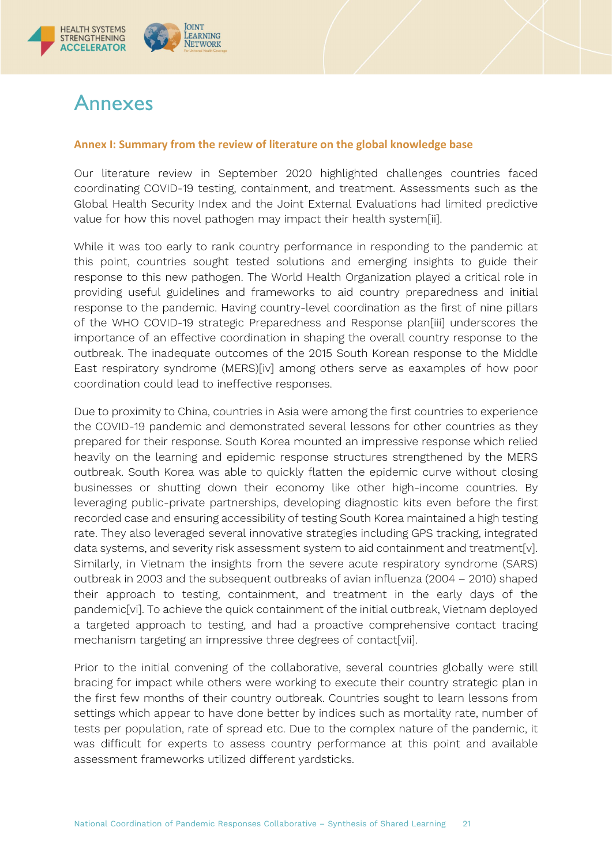

# <span id="page-20-0"></span>Annexes

### <span id="page-20-1"></span>**Annex I: Summary from the review of literature on the global knowledge base**

Our literature review in September 2020 highlighted challenges countries faced coordinating COVID-19 testing, containment, and treatment. Assessments such as the Global Health Security Index and the Joint External Evaluations had limited predictive value for how this novel pathogen may impact their health system[ii].

While it was too early to rank country performance in responding to the pandemic at this point, countries sought tested solutions and emerging insights to guide their response to this new pathogen. The World Health Organization played a critical role in providing useful guidelines and frameworks to aid country preparedness and initial response to the pandemic. Having country-level coordination as the first of nine pillars of the WHO COVID-19 strategic Preparedness and Response plan[iii] underscores the importance of an effective coordination in shaping the overall country response to the outbreak. The inadequate outcomes of the 2015 South Korean response to the Middle East respiratory syndrome (MERS)[iv] among others serve as eaxamples of how poor coordination could lead to ineffective responses.

Due to proximity to China, countries in Asia were among the first countries to experience the COVID-19 pandemic and demonstrated several lessons for other countries as they prepared for their response. South Korea mounted an impressive response which relied heavily on the learning and epidemic response structures strengthened by the MERS outbreak. South Korea was able to quickly flatten the epidemic curve without closing businesses or shutting down their economy like other high-income countries. By leveraging public-private partnerships, developing diagnostic kits even before the first recorded case and ensuring accessibility of testing South Korea maintained a high testing rate. They also leveraged several innovative strategies including GPS tracking, integrated data systems, and severity risk assessment system to aid containment and treatment[v]. Similarly, in Vietnam the insights from the severe acute respiratory syndrome (SARS) outbreak in 2003 and the subsequent outbreaks of avian influenza (2004 – 2010) shaped their approach to testing, containment, and treatment in the early days of the pandemic[vi]. To achieve the quick containment of the initial outbreak, Vietnam deployed a targeted approach to testing, and had a proactive comprehensive contact tracing mechanism targeting an impressive three degrees of contact[vii].

Prior to the initial convening of the collaborative, several countries globally were still bracing for impact while others were working to execute their country strategic plan in the first few months of their country outbreak. Countries sought to learn lessons from settings which appear to have done better by indices such as mortality rate, number of tests per population, rate of spread etc. Due to the complex nature of the pandemic, it was difficult for experts to assess country performance at this point and available assessment frameworks utilized different yardsticks.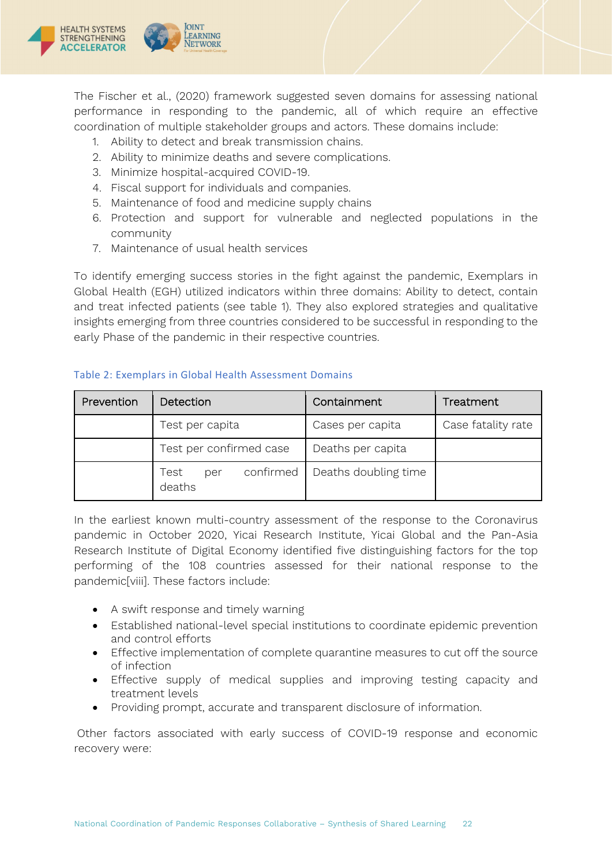

The Fischer et al., (2020) framework suggested seven domains for assessing national performance in responding to the pandemic, all of which require an effective coordination of multiple stakeholder groups and actors. These domains include:

- 1. Ability to detect and break transmission chains.
- 2. Ability to minimize deaths and severe complications.
- 3. Minimize hospital-acquired COVID-19.
- 4. Fiscal support for individuals and companies.
- 5. Maintenance of food and medicine supply chains
- 6. Protection and support for vulnerable and neglected populations in the community
- 7. Maintenance of usual health services

To identify emerging success stories in the fight against the pandemic, Exemplars in Global Health (EGH) utilized indicators within three domains: Ability to detect, contain and treat infected patients (see table 1). They also explored strategies and qualitative insights emerging from three countries considered to be successful in responding to the early Phase of the pandemic in their respective countries.

| Prevention | Detection                          | Containment          | Treatment          |
|------------|------------------------------------|----------------------|--------------------|
|            | Test per capita                    | Cases per capita     | Case fatality rate |
|            | Test per confirmed case            | Deaths per capita    |                    |
|            | confirmed<br>Test<br>per<br>deaths | Deaths doubling time |                    |

### Table 2: Exemplars in Global Health Assessment Domains

In the earliest known multi-country assessment of the response to the Coronavirus pandemic in October 2020, Yicai Research Institute, Yicai Global and the Pan-Asia Research Institute of Digital Economy identified five distinguishing factors for the top performing of the 108 countries assessed for their national response to the pandemic[viii]. These factors include:

- A swift response and timely warning
- Established national-level special institutions to coordinate epidemic prevention and control efforts
- Effective implementation of complete quarantine measures to cut off the source of infection
- Effective supply of medical supplies and improving testing capacity and treatment levels
- Providing prompt, accurate and transparent disclosure of information.

Other factors associated with early success of COVID-19 response and economic recovery were: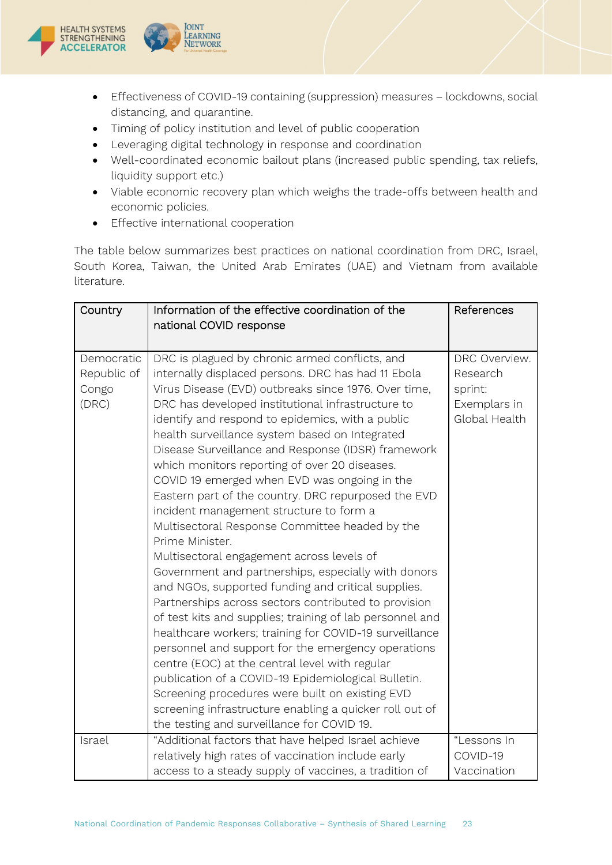



- Timing of policy institution and level of public cooperation
- Leveraging digital technology in response and coordination
- Well-coordinated economic bailout plans (increased public spending, tax reliefs, liquidity support etc.)
- Viable economic recovery plan which weighs the trade-offs between health and economic policies.
- Effective international cooperation

**OINT** 

LEARNING

**NETWORK** 

The table below summarizes best practices on national coordination from DRC, Israel, South Korea, Taiwan, the United Arab Emirates (UAE) and Vietnam from available literature.

| Country                                     | Information of the effective coordination of the<br>national COVID response                                                                                                                                                                                                                                                                                                                                                                                                                                                                                                                                                                                                                                                                                                                                                                                                                                                                                                                                                                                                                                                                                                                                                                                                                                              | References                                                            |
|---------------------------------------------|--------------------------------------------------------------------------------------------------------------------------------------------------------------------------------------------------------------------------------------------------------------------------------------------------------------------------------------------------------------------------------------------------------------------------------------------------------------------------------------------------------------------------------------------------------------------------------------------------------------------------------------------------------------------------------------------------------------------------------------------------------------------------------------------------------------------------------------------------------------------------------------------------------------------------------------------------------------------------------------------------------------------------------------------------------------------------------------------------------------------------------------------------------------------------------------------------------------------------------------------------------------------------------------------------------------------------|-----------------------------------------------------------------------|
| Democratic<br>Republic of<br>Congo<br>(DRC) | DRC is plagued by chronic armed conflicts, and<br>internally displaced persons. DRC has had 11 Ebola<br>Virus Disease (EVD) outbreaks since 1976. Over time,<br>DRC has developed institutional infrastructure to<br>identify and respond to epidemics, with a public<br>health surveillance system based on Integrated<br>Disease Surveillance and Response (IDSR) framework<br>which monitors reporting of over 20 diseases.<br>COVID 19 emerged when EVD was ongoing in the<br>Eastern part of the country. DRC repurposed the EVD<br>incident management structure to form a<br>Multisectoral Response Committee headed by the<br>Prime Minister.<br>Multisectoral engagement across levels of<br>Government and partnerships, especially with donors<br>and NGOs, supported funding and critical supplies.<br>Partnerships across sectors contributed to provision<br>of test kits and supplies; training of lab personnel and<br>healthcare workers; training for COVID-19 surveillance<br>personnel and support for the emergency operations<br>centre (EOC) at the central level with regular<br>publication of a COVID-19 Epidemiological Bulletin.<br>Screening procedures were built on existing EVD<br>screening infrastructure enabling a quicker roll out of<br>the testing and surveillance for COVID 19. | DRC Overview.<br>Research<br>sprint:<br>Exemplars in<br>Global Health |
| Israel                                      | "Additional factors that have helped Israel achieve<br>relatively high rates of vaccination include early<br>access to a steady supply of vaccines, a tradition of                                                                                                                                                                                                                                                                                                                                                                                                                                                                                                                                                                                                                                                                                                                                                                                                                                                                                                                                                                                                                                                                                                                                                       | "Lessons In<br>COVID-19<br>Vaccination                                |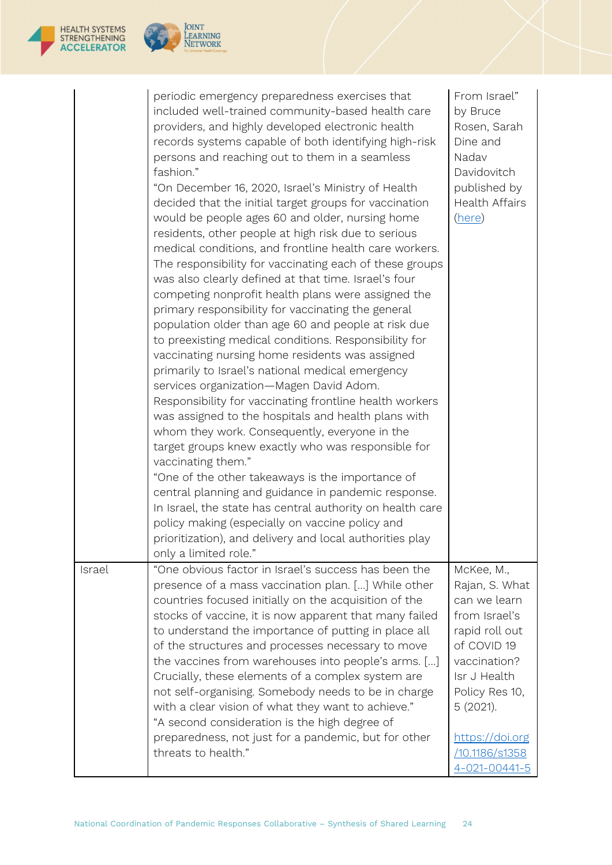|        | periodic emergency preparedness exercises that<br>included well-trained community-based health care<br>providers, and highly developed electronic health<br>records systems capable of both identifying high-risk<br>persons and reaching out to them in a seamless<br>fashion."<br>"On December 16, 2020, Israel's Ministry of Health<br>decided that the initial target groups for vaccination<br>would be people ages 60 and older, nursing home<br>residents, other people at high risk due to serious<br>medical conditions, and frontline health care workers.<br>The responsibility for vaccinating each of these groups<br>was also clearly defined at that time. Israel's four<br>competing nonprofit health plans were assigned the<br>primary responsibility for vaccinating the general<br>population older than age 60 and people at risk due<br>to preexisting medical conditions. Responsibility for<br>vaccinating nursing home residents was assigned<br>primarily to Israel's national medical emergency<br>services organization-Magen David Adom.<br>Responsibility for vaccinating frontline health workers<br>was assigned to the hospitals and health plans with<br>whom they work. Consequently, everyone in the<br>target groups knew exactly who was responsible for<br>vaccinating them."<br>"One of the other takeaways is the importance of<br>central planning and guidance in pandemic response.<br>In Israel, the state has central authority on health care<br>policy making (especially on vaccine policy and<br>prioritization), and delivery and local authorities play<br>only a limited role." | From Israel"<br>by Bruce<br>Rosen, Sarah<br>Dine and<br>Nadav<br>Davidovitch<br>published by<br><b>Health Affairs</b><br>(here)                                                                                             |
|--------|--------------------------------------------------------------------------------------------------------------------------------------------------------------------------------------------------------------------------------------------------------------------------------------------------------------------------------------------------------------------------------------------------------------------------------------------------------------------------------------------------------------------------------------------------------------------------------------------------------------------------------------------------------------------------------------------------------------------------------------------------------------------------------------------------------------------------------------------------------------------------------------------------------------------------------------------------------------------------------------------------------------------------------------------------------------------------------------------------------------------------------------------------------------------------------------------------------------------------------------------------------------------------------------------------------------------------------------------------------------------------------------------------------------------------------------------------------------------------------------------------------------------------------------------------------------------------------------------------------------------------------------|-----------------------------------------------------------------------------------------------------------------------------------------------------------------------------------------------------------------------------|
| Israel | "One obvious factor in Israel's success has been the<br>presence of a mass vaccination plan. [] While other<br>countries focused initially on the acquisition of the<br>stocks of vaccine, it is now apparent that many failed<br>to understand the importance of putting in place all<br>of the structures and processes necessary to move<br>the vaccines from warehouses into people's arms. []<br>Crucially, these elements of a complex system are<br>not self-organising. Somebody needs to be in charge<br>with a clear vision of what they want to achieve."<br>"A second consideration is the high degree of<br>preparedness, not just for a pandemic, but for other<br>threats to health."                                                                                                                                                                                                                                                                                                                                                                                                                                                                                                                                                                                                                                                                                                                                                                                                                                                                                                                                 | McKee, M.,<br>Rajan, S. What<br>can we learn<br>from Israel's<br>rapid roll out<br>of COVID 19<br>vaccination?<br>Isr J Health<br>Policy Res 10,<br>5 (2021).<br>https://doi.org<br>/10.1186/s1358<br>$4 - 021 - 00441 - 5$ |

JOINT<br>LEARNING<br>NETWORK

HEALTH SYSTEMS<br>STRENGTHENING<br>**ACCELERATOR**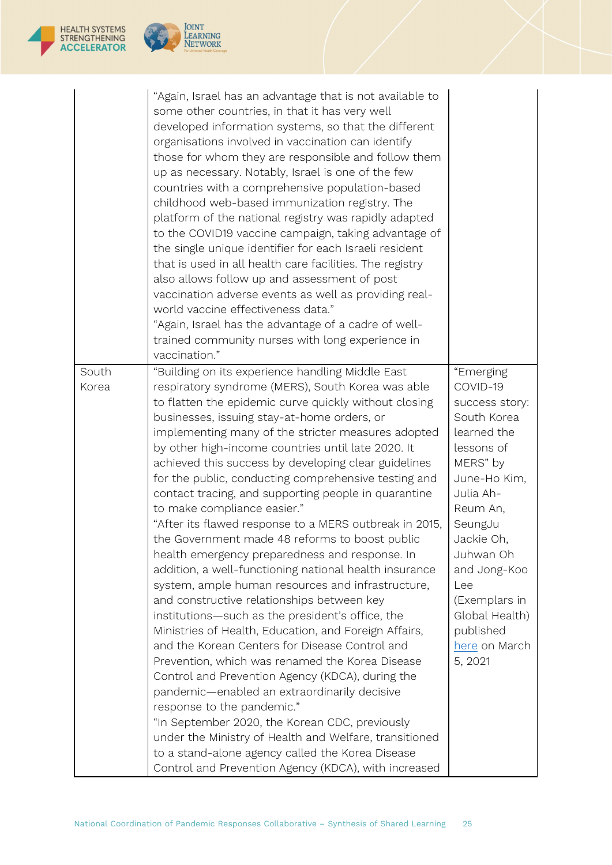|                | "Again, Israel has an advantage that is not available to<br>some other countries, in that it has very well<br>developed information systems, so that the different<br>organisations involved in vaccination can identify<br>those for whom they are responsible and follow them<br>up as necessary. Notably, Israel is one of the few<br>countries with a comprehensive population-based<br>childhood web-based immunization registry. The<br>platform of the national registry was rapidly adapted<br>to the COVID19 vaccine campaign, taking advantage of<br>the single unique identifier for each Israeli resident<br>that is used in all health care facilities. The registry<br>also allows follow up and assessment of post<br>vaccination adverse events as well as providing real-<br>world vaccine effectiveness data."<br>"Again, Israel has the advantage of a cadre of well-<br>trained community nurses with long experience in<br>vaccination."                                                                                                                                                                                                                                                                                                                                                                                                                                                                           |                                                                                                                                                                                                                                                                                   |
|----------------|-----------------------------------------------------------------------------------------------------------------------------------------------------------------------------------------------------------------------------------------------------------------------------------------------------------------------------------------------------------------------------------------------------------------------------------------------------------------------------------------------------------------------------------------------------------------------------------------------------------------------------------------------------------------------------------------------------------------------------------------------------------------------------------------------------------------------------------------------------------------------------------------------------------------------------------------------------------------------------------------------------------------------------------------------------------------------------------------------------------------------------------------------------------------------------------------------------------------------------------------------------------------------------------------------------------------------------------------------------------------------------------------------------------------------------------------|-----------------------------------------------------------------------------------------------------------------------------------------------------------------------------------------------------------------------------------------------------------------------------------|
| South<br>Korea | "Building on its experience handling Middle East<br>respiratory syndrome (MERS), South Korea was able<br>to flatten the epidemic curve quickly without closing<br>businesses, issuing stay-at-home orders, or<br>implementing many of the stricter measures adopted<br>by other high-income countries until late 2020. It<br>achieved this success by developing clear guidelines<br>for the public, conducting comprehensive testing and<br>contact tracing, and supporting people in quarantine<br>to make compliance easier."<br>"After its flawed response to a MERS outbreak in 2015,<br>the Government made 48 reforms to boost public<br>health emergency preparedness and response. In<br>addition, a well-functioning national health insurance<br>system, ample human resources and infrastructure,<br>and constructive relationships between key<br>institutions-such as the president's office, the<br>Ministries of Health, Education, and Foreign Affairs,<br>and the Korean Centers for Disease Control and<br>Prevention, which was renamed the Korea Disease<br>Control and Prevention Agency (KDCA), during the<br>pandemic—enabled an extraordinarily decisive<br>response to the pandemic."<br>"In September 2020, the Korean CDC, previously<br>under the Ministry of Health and Welfare, transitioned<br>to a stand-alone agency called the Korea Disease<br>Control and Prevention Agency (KDCA), with increased | "Emerging<br>COVID-19<br>success story:<br>South Korea<br>learned the<br>lessons of<br>MERS" by<br>June-Ho Kim,<br>Julia Ah-<br>Reum An,<br>SeungJu<br>Jackie Oh,<br>Juhwan Oh<br>and Jong-Koo<br>Lee<br>(Exemplars in<br>Global Health)<br>published<br>here on March<br>5, 2021 |

JOINT<br>LEARNING<br>NETWORK

HEALTH SYSTEMS<br>STRENGTHENING<br>**ACCELERATOR**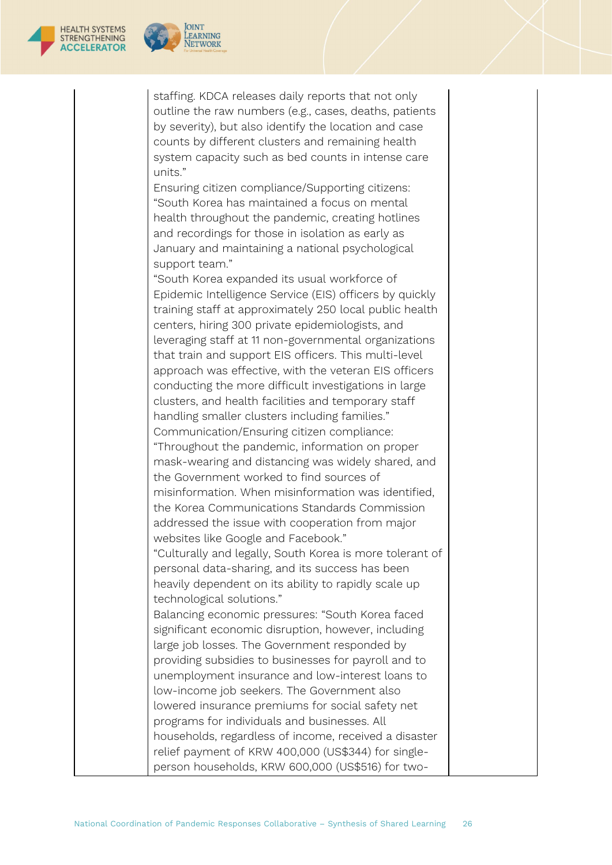

staffing. KDCA releases daily reports that not only outline the raw numbers (e.g., cases, deaths, patients by severity), but also identify the location and case

counts by different clusters and remaining health system capacity such as bed counts in intense care units."

Ensuring citizen compliance/Supporting citizens: "South Korea has maintained a focus on mental health throughout the pandemic, creating hotlines and recordings for those in isolation as early as January and maintaining a national psychological support team."

"South Korea expanded its usual workforce of Epidemic Intelligence Service (EIS) officers by quickly training staff at approximately 250 local public health centers, hiring 300 private epidemiologists, and leveraging staff at 11 non-governmental organizations that train and support EIS officers. This multi-level approach was effective, with the veteran EIS officers conducting the more difficult investigations in large clusters, and health facilities and temporary staff handling smaller clusters including families." Communication/Ensuring citizen compliance: "Throughout the pandemic, information on proper mask-wearing and distancing was widely shared, and the Government worked to find sources of misinformation. When misinformation was identified, the Korea Communications Standards Commission addressed the issue with cooperation from major websites like Google and Facebook." "Culturally and legally, South Korea is more tolerant of personal data-sharing, and its success has been heavily dependent on its ability to rapidly scale up technological solutions." Balancing economic pressures: "South Korea faced significant economic disruption, however, including large job losses. The Government responded by providing subsidies to businesses for payroll and to unemployment insurance and low-interest loans to low-income job seekers. The Government also lowered insurance premiums for social safety net

programs for individuals and businesses. All households, regardless of income, received a disaster relief payment of KRW 400,000 (US\$344) for singleperson households, KRW 600,000 (US\$516) for two-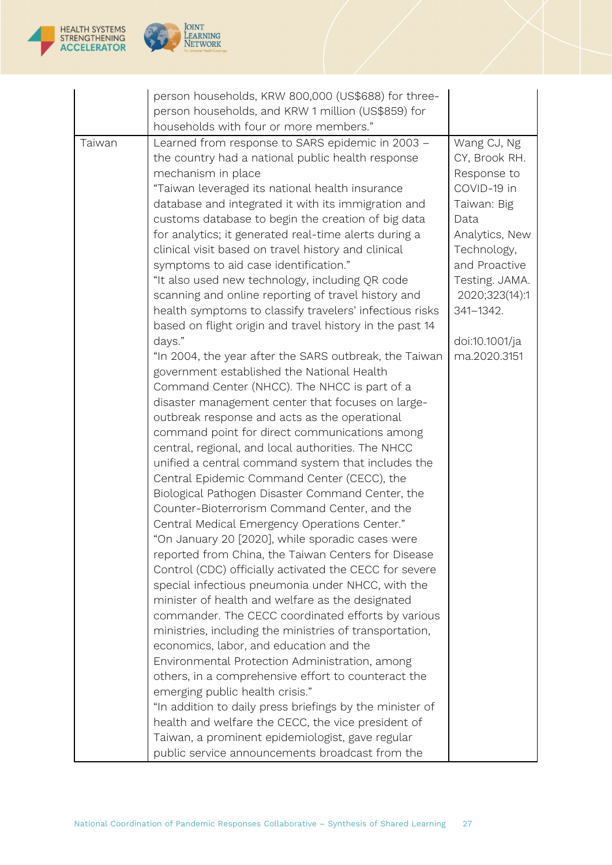



|        | person households, KRW 800,000 (US\$688) for three-<br>person households, and KRW 1 million (US\$859) for<br>households with four or more members."                                                                                                                                                                                                                                                                                                                                                                                                                                                                                                                                                                                                                                                                                                                                                                                                                                                                                                                                                                                                                                                                                                                                                                                                                                                                                                                                                                                                                                                                                                                                                                                                                                                                                                                                                                                                                                                                                                                                                                                           |                                                                                                                                                                                                                        |
|--------|-----------------------------------------------------------------------------------------------------------------------------------------------------------------------------------------------------------------------------------------------------------------------------------------------------------------------------------------------------------------------------------------------------------------------------------------------------------------------------------------------------------------------------------------------------------------------------------------------------------------------------------------------------------------------------------------------------------------------------------------------------------------------------------------------------------------------------------------------------------------------------------------------------------------------------------------------------------------------------------------------------------------------------------------------------------------------------------------------------------------------------------------------------------------------------------------------------------------------------------------------------------------------------------------------------------------------------------------------------------------------------------------------------------------------------------------------------------------------------------------------------------------------------------------------------------------------------------------------------------------------------------------------------------------------------------------------------------------------------------------------------------------------------------------------------------------------------------------------------------------------------------------------------------------------------------------------------------------------------------------------------------------------------------------------------------------------------------------------------------------------------------------------|------------------------------------------------------------------------------------------------------------------------------------------------------------------------------------------------------------------------|
| Taiwan | Learned from response to SARS epidemic in 2003 -<br>the country had a national public health response<br>mechanism in place<br>"Taiwan leveraged its national health insurance<br>database and integrated it with its immigration and<br>customs database to begin the creation of big data<br>for analytics; it generated real-time alerts during a<br>clinical visit based on travel history and clinical<br>symptoms to aid case identification."<br>"It also used new technology, including QR code<br>scanning and online reporting of travel history and<br>health symptoms to classify travelers' infectious risks<br>based on flight origin and travel history in the past 14<br>days."<br>"In 2004, the year after the SARS outbreak, the Taiwan<br>government established the National Health<br>Command Center (NHCC). The NHCC is part of a<br>disaster management center that focuses on large-<br>outbreak response and acts as the operational<br>command point for direct communications among<br>central, regional, and local authorities. The NHCC<br>unified a central command system that includes the<br>Central Epidemic Command Center (CECC), the<br>Biological Pathogen Disaster Command Center, the<br>Counter-Bioterrorism Command Center, and the<br>Central Medical Emergency Operations Center."<br>"On January 20 [2020], while sporadic cases were<br>reported from China, the Taiwan Centers for Disease<br>Control (CDC) officially activated the CECC for severe<br>special infectious pneumonia under NHCC, with the<br>minister of health and welfare as the designated<br>commander. The CECC coordinated efforts by various<br>ministries, including the ministries of transportation,<br>economics, labor, and education and the<br>Environmental Protection Administration, among<br>others, in a comprehensive effort to counteract the<br>emerging public health crisis."<br>"In addition to daily press briefings by the minister of<br>health and welfare the CECC, the vice president of<br>Taiwan, a prominent epidemiologist, gave regular<br>public service announcements broadcast from the | Wang CJ, Ng<br>CY, Brook RH.<br>Response to<br>COVID-19 in<br>Taiwan: Big<br>Data<br>Analytics, New<br>Technology,<br>and Proactive<br>Testing. JAMA.<br>2020;323(14):1<br>341-1342.<br>doi:10.1001/ja<br>ma.2020.3151 |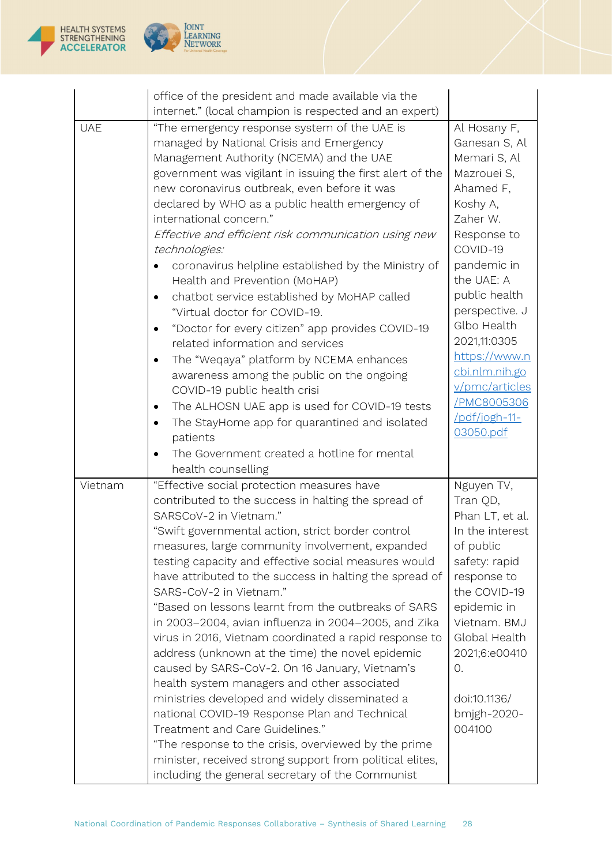



|            | office of the president and made available via the                                   |                             |
|------------|--------------------------------------------------------------------------------------|-----------------------------|
|            | internet." (local champion is respected and an expert)                               |                             |
| <b>UAE</b> | "The emergency response system of the UAE is                                         | Al Hosany F,                |
|            | managed by National Crisis and Emergency                                             | Ganesan S, Al               |
|            | Management Authority (NCEMA) and the UAE                                             | Memari S, Al                |
|            | government was vigilant in issuing the first alert of the                            | Mazrouei S,                 |
|            | new coronavirus outbreak, even before it was                                         | Ahamed F,                   |
|            | declared by WHO as a public health emergency of                                      | Koshy A,                    |
|            | international concern."                                                              | Zaher W.                    |
|            | Effective and efficient risk communication using new<br>technologies:                | Response to<br>COVID-19     |
|            | coronavirus helpline established by the Ministry of                                  | pandemic in                 |
|            | Health and Prevention (MoHAP)                                                        | the UAE: A                  |
|            | chatbot service established by MoHAP called                                          | public health               |
|            | "Virtual doctor for COVID-19.                                                        | perspective. J              |
|            | "Doctor for every citizen" app provides COVID-19<br>related information and services | Glbo Health<br>2021,11:0305 |
|            | The "Weqaya" platform by NCEMA enhances                                              | https://www.n               |
|            | awareness among the public on the ongoing                                            | cbi.nlm.nih.go              |
|            | COVID-19 public health crisi                                                         | v/pmc/articles              |
|            | The ALHOSN UAE app is used for COVID-19 tests<br>٠                                   | /PMC8005306                 |
|            | The StayHome app for quarantined and isolated<br>٠                                   | /pdf/jogh-11-               |
|            | patients                                                                             | 03050.pdf                   |
|            | The Government created a hotline for mental                                          |                             |
|            | health counselling                                                                   |                             |
| Vietnam    | "Effective social protection measures have                                           | Nguyen TV,                  |
|            | contributed to the success in halting the spread of                                  | Tran QD,                    |
|            | SARSCoV-2 in Vietnam."                                                               | Phan LT, et al.             |
|            | "Swift governmental action, strict border control                                    | In the interest             |
|            | measures, large community involvement, expanded                                      | of public                   |
|            | testing capacity and effective social measures would                                 | safety: rapid               |
|            | have attributed to the success in halting the spread of<br>SARS-CoV-2 in Vietnam."   | response to<br>the COVID-19 |
|            | "Based on lessons learnt from the outbreaks of SARS                                  | epidemic in                 |
|            | in 2003-2004, avian influenza in 2004-2005, and Zika                                 | Vietnam. BMJ                |
|            | virus in 2016, Vietnam coordinated a rapid response to                               | Global Health               |
|            | address (unknown at the time) the novel epidemic                                     | 2021;6:e00410               |
|            | caused by SARS-CoV-2. On 16 January, Vietnam's                                       | 0.                          |
|            | health system managers and other associated                                          |                             |
|            | ministries developed and widely disseminated a                                       | doi:10.1136/                |
|            | national COVID-19 Response Plan and Technical                                        | bmjgh-2020-                 |
|            | Treatment and Care Guidelines."                                                      | 004100                      |
|            | "The response to the crisis, overviewed by the prime                                 |                             |
|            | minister, received strong support from political elites,                             |                             |
|            | including the general secretary of the Communist                                     |                             |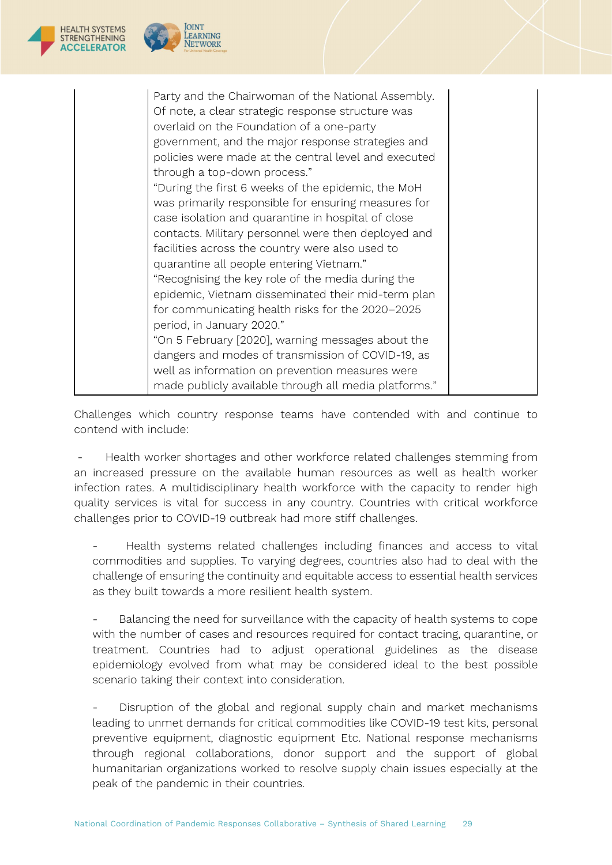| <b>HEALTH SYSTEMS</b><br><b>ACCELERATOR</b> | <b>OINT</b>                                                                                                                                                                                                                                                                                                                                                                                                                                                                                                                                                                                                                                                                                                                                                                                                                                                                                                                                                                                                                                  |  |
|---------------------------------------------|----------------------------------------------------------------------------------------------------------------------------------------------------------------------------------------------------------------------------------------------------------------------------------------------------------------------------------------------------------------------------------------------------------------------------------------------------------------------------------------------------------------------------------------------------------------------------------------------------------------------------------------------------------------------------------------------------------------------------------------------------------------------------------------------------------------------------------------------------------------------------------------------------------------------------------------------------------------------------------------------------------------------------------------------|--|
|                                             | Party and the Chairwoman of the National Assembly.<br>Of note, a clear strategic response structure was<br>overlaid on the Foundation of a one-party<br>government, and the major response strategies and<br>policies were made at the central level and executed<br>through a top-down process."<br>"During the first 6 weeks of the epidemic, the MoH<br>was primarily responsible for ensuring measures for<br>case isolation and quarantine in hospital of close<br>contacts. Military personnel were then deployed and<br>facilities across the country were also used to<br>quarantine all people entering Vietnam."<br>"Recognising the key role of the media during the<br>epidemic, Vietnam disseminated their mid-term plan<br>for communicating health risks for the 2020-2025<br>period, in January 2020."<br>"On 5 February [2020], warning messages about the<br>dangers and modes of transmission of COVID-19, as<br>well as information on prevention measures were<br>made publicly available through all media platforms." |  |

Challenges which country response teams have contended with and continue to contend with include:

- Health worker shortages and other workforce related challenges stemming from an increased pressure on the available human resources as well as health worker infection rates. A multidisciplinary health workforce with the capacity to render high quality services is vital for success in any country. Countries with critical workforce challenges prior to COVID-19 outbreak had more stiff challenges.

Health systems related challenges including finances and access to vital commodities and supplies. To varying degrees, countries also had to deal with the challenge of ensuring the continuity and equitable access to essential health services as they built towards a more resilient health system.

Balancing the need for surveillance with the capacity of health systems to cope with the number of cases and resources required for contact tracing, quarantine, or treatment. Countries had to adjust operational guidelines as the disease epidemiology evolved from what may be considered ideal to the best possible scenario taking their context into consideration.

Disruption of the global and regional supply chain and market mechanisms leading to unmet demands for critical commodities like COVID-19 test kits, personal preventive equipment, diagnostic equipment Etc. National response mechanisms through regional collaborations, donor support and the support of global humanitarian organizations worked to resolve supply chain issues especially at the peak of the pandemic in their countries.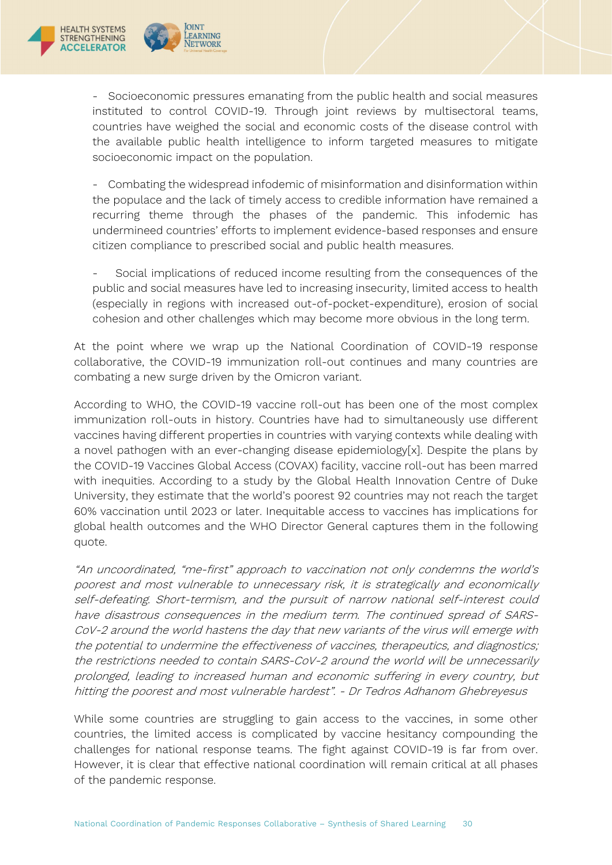

**OINT** 

LEARNING

**NETWORK** 

- Socioeconomic pressures emanating from the public health and social measures instituted to control COVID-19. Through joint reviews by multisectoral teams, countries have weighed the social and economic costs of the disease control with the available public health intelligence to inform targeted measures to mitigate socioeconomic impact on the population.

- Combating the widespread infodemic of misinformation and disinformation within the populace and the lack of timely access to credible information have remained a recurring theme through the phases of the pandemic. This infodemic has undermineed countries' efforts to implement evidence-based responses and ensure citizen compliance to prescribed social and public health measures.

- Social implications of reduced income resulting from the consequences of the public and social measures have led to increasing insecurity, limited access to health (especially in regions with increased out-of-pocket-expenditure), erosion of social cohesion and other challenges which may become more obvious in the long term.

At the point where we wrap up the National Coordination of COVID-19 response collaborative, the COVID-19 immunization roll-out continues and many countries are combating a new surge driven by the Omicron variant.

According to WHO, the COVID-19 vaccine roll-out has been one of the most complex immunization roll-outs in history. Countries have had to simultaneously use different vaccines having different properties in countries with varying contexts while dealing with a novel pathogen with an ever-changing disease epidemiology[x]. Despite the plans by the COVID-19 Vaccines Global Access (COVAX) facility, vaccine roll-out has been marred with inequities. According to a study by the Global Health Innovation Centre of Duke University, they estimate that the world's poorest 92 countries may not reach the target 60% vaccination until 2023 or later. Inequitable access to vaccines has implications for global health outcomes and the WHO Director General captures them in the following quote.

"An uncoordinated, "me-first" approach to vaccination not only condemns the world's poorest and most vulnerable to unnecessary risk, it is strategically and economically self-defeating. Short-termism, and the pursuit of narrow national self-interest could have disastrous consequences in the medium term. The continued spread of SARS-CoV-2 around the world hastens the day that new variants of the virus will emerge with the potential to undermine the effectiveness of vaccines, therapeutics, and diagnostics; the restrictions needed to contain SARS-CoV-2 around the world will be unnecessarily prolonged, leading to increased human and economic suffering in every country, but hitting the poorest and most vulnerable hardest". - Dr Tedros Adhanom Ghebreyesus

While some countries are struggling to gain access to the vaccines, in some other countries, the limited access is complicated by vaccine hesitancy compounding the challenges for national response teams. The fight against COVID-19 is far from over. However, it is clear that effective national coordination will remain critical at all phases of the pandemic response.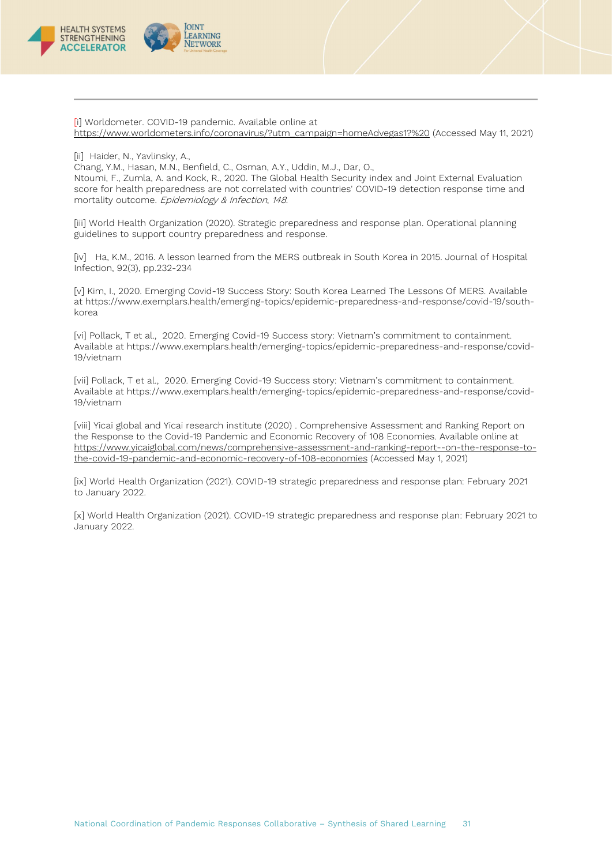

[i] Worldometer. COVID-19 pandemic. Available online a[t](https://www.worldometers.info/coronavirus/?utm_campaign=homeAdvegas1?%20) [https://www.worldometers.info/coronavirus/?utm\\_campaign=homeAdvegas1?%20](https://www.worldometers.info/coronavirus/?utm_campaign=homeAdvegas1?%20) (Accessed May 11, 2021)

[ii] Haider, N., Yavlinsky, A.,

Chang, Y.M., Hasan, M.N., Benfield, C., Osman, A.Y., Uddin, M.J., Dar, O.,

Ntoumi, F., Zumla, A. and Kock, R., 2020. The Global Health Security index and Joint External Evaluation score for health preparedness are not correlated with countries' COVID-19 detection response time and mortality outcome. Epidemiology & Infection, 148.

[iii] World Health Organization (2020). Strategic preparedness and response plan. Operational planning guidelines to support country preparedness and response.

[iv] Ha, K.M., 2016. A lesson learned from the MERS outbreak in South Korea in 2015. Journal of Hospital Infection, 92(3), pp.232-234

[v] Kim, I., 2020. Emerging Covid-19 Success Story: South Korea Learned The Lessons Of MERS. Available at https://www.exemplars.health/emerging-topics/epidemic-preparedness-and-response/covid-19/southkorea

[vi] Pollack, T et al., 2020. Emerging Covid-19 Success story: Vietnam's commitment to containment. Available at https://www.exemplars.health/emerging-topics/epidemic-preparedness-and-response/covid-19/vietnam

[vii] Pollack, T et al., 2020. Emerging Covid-19 Success story: Vietnam's commitment to containment. Available at https://www.exemplars.health/emerging-topics/epidemic-preparedness-and-response/covid-19/vietnam

[viii] Yicai global and Yicai research institute (2020) . Comprehensive Assessment and Ranking Report on the Response to the Covid-19 Pandemic and Economic Recovery of 108 Economies. Available online a[t](https://www.yicaiglobal.com/news/comprehensive-assessment-and-ranking-report--on-the-response-to-the-covid-19-pandemic-and-economic-recovery-of-108-economies) [https://www.yicaiglobal.com/news/comprehensive-assessment-and-ranking-report--on-the-response-to](https://www.yicaiglobal.com/news/comprehensive-assessment-and-ranking-report--on-the-response-to-the-covid-19-pandemic-and-economic-recovery-of-108-economies)[the-covid-19-pandemic-and-economic-recovery-of-108-economies](https://www.yicaiglobal.com/news/comprehensive-assessment-and-ranking-report--on-the-response-to-the-covid-19-pandemic-and-economic-recovery-of-108-economies) (Accessed May 1, 2021)

[ix] World Health Organization (2021). COVID-19 strategic preparedness and response plan: February 2021 to January 2022.

[x] World Health Organization (2021). COVID-19 strategic preparedness and response plan: February 2021 to January 2022.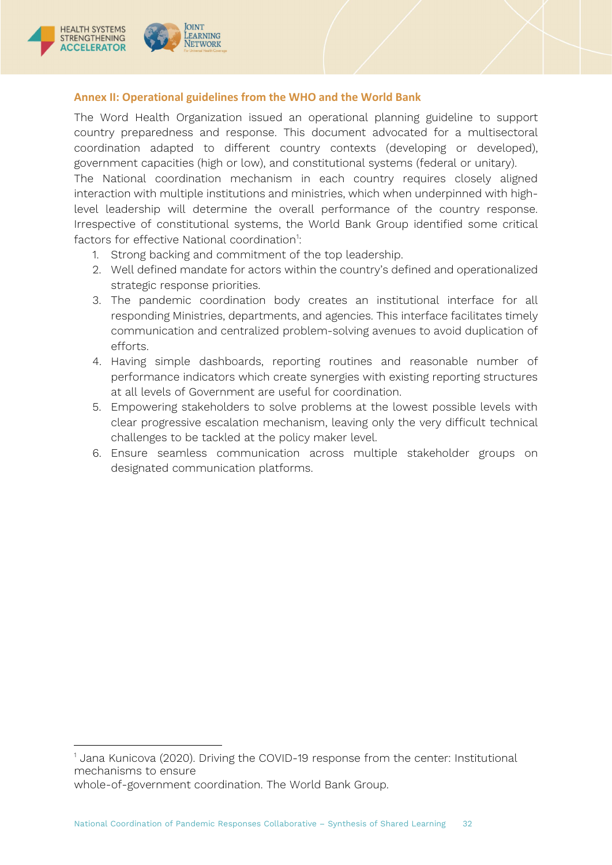

# <span id="page-31-0"></span>**Annex II: Operational guidelines from the WHO and the World Bank**

The Word Health Organization issued an operational planning guideline to support country preparedness and response. This document advocated for a multisectoral coordination adapted to different country contexts (developing or developed), government capacities (high or low), and constitutional systems (federal or unitary). The National coordination mechanism in each country requires closely aligned interaction with multiple institutions and ministries, which when underpinned with high-

level leadership will determine the overall performance of the country response. Irrespective of constitutional systems, the World Bank Group identified some critical factors for effective National coordination<sup>1</sup>:

- 1. Strong backing and commitment of the top leadership.
- 2. Well defined mandate for actors within the country's defined and operationalized strategic response priorities.
- 3. The pandemic coordination body creates an institutional interface for all responding Ministries, departments, and agencies. This interface facilitates timely communication and centralized problem-solving avenues to avoid duplication of efforts.
- 4. Having simple dashboards, reporting routines and reasonable number of performance indicators which create synergies with existing reporting structures at all levels of Government are useful for coordination.
- 5. Empowering stakeholders to solve problems at the lowest possible levels with clear progressive escalation mechanism, leaving only the very difficult technical challenges to be tackled at the policy maker level.
- 6. Ensure seamless communication across multiple stakeholder groups on designated communication platforms.

whole-of-government coordination. The World Bank Group.

<span id="page-31-1"></span><sup>&</sup>lt;sup>1</sup> Jana Kunicova (2020). Driving the COVID-19 response from the center: Institutional mechanisms to ensure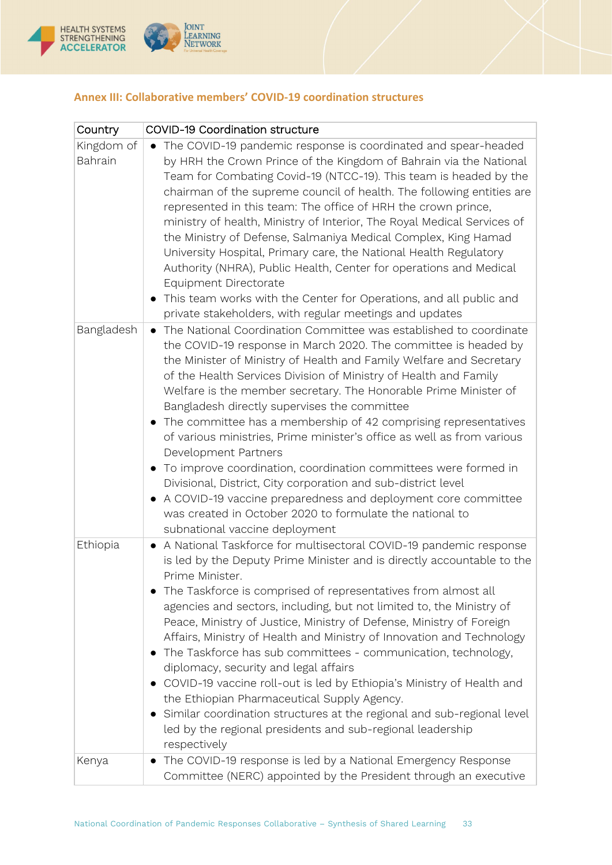

| Country               | <b>COVID-19 Coordination structure</b>                                                                                                                                                                                                                                                                                                                                                                                                                                                                                                                                                                                                                                                                                                                                                                                                                                                     |
|-----------------------|--------------------------------------------------------------------------------------------------------------------------------------------------------------------------------------------------------------------------------------------------------------------------------------------------------------------------------------------------------------------------------------------------------------------------------------------------------------------------------------------------------------------------------------------------------------------------------------------------------------------------------------------------------------------------------------------------------------------------------------------------------------------------------------------------------------------------------------------------------------------------------------------|
| Kingdom of<br>Bahrain | • The COVID-19 pandemic response is coordinated and spear-headed<br>by HRH the Crown Prince of the Kingdom of Bahrain via the National<br>Team for Combating Covid-19 (NTCC-19). This team is headed by the<br>chairman of the supreme council of health. The following entities are<br>represented in this team: The office of HRH the crown prince,<br>ministry of health, Ministry of Interior, The Royal Medical Services of<br>the Ministry of Defense, Salmaniya Medical Complex, King Hamad<br>University Hospital, Primary care, the National Health Regulatory<br>Authority (NHRA), Public Health, Center for operations and Medical<br>Equipment Directorate<br>This team works with the Center for Operations, and all public and<br>private stakeholders, with regular meetings and updates                                                                                    |
| Bangladesh            | The National Coordination Committee was established to coordinate<br>$\bullet$<br>the COVID-19 response in March 2020. The committee is headed by<br>the Minister of Ministry of Health and Family Welfare and Secretary<br>of the Health Services Division of Ministry of Health and Family<br>Welfare is the member secretary. The Honorable Prime Minister of<br>Bangladesh directly supervises the committee<br>The committee has a membership of 42 comprising representatives<br>of various ministries, Prime minister's office as well as from various<br>Development Partners<br>To improve coordination, coordination committees were formed in<br>Divisional, District, City corporation and sub-district level<br>• A COVID-19 vaccine preparedness and deployment core committee<br>was created in October 2020 to formulate the national to<br>subnational vaccine deployment |
| Ethiopia              | A National Taskforce for multisectoral COVID-19 pandemic response<br>is led by the Deputy Prime Minister and is directly accountable to the<br>Prime Minister.<br>The Taskforce is comprised of representatives from almost all<br>agencies and sectors, including, but not limited to, the Ministry of<br>Peace, Ministry of Justice, Ministry of Defense, Ministry of Foreign<br>Affairs, Ministry of Health and Ministry of Innovation and Technology<br>The Taskforce has sub committees - communication, technology,<br>diplomacy, security and legal affairs<br>COVID-19 vaccine roll-out is led by Ethiopia's Ministry of Health and<br>the Ethiopian Pharmaceutical Supply Agency.<br>Similar coordination structures at the regional and sub-regional level<br>led by the regional presidents and sub-regional leadership<br>respectively                                         |
| Kenya                 | The COVID-19 response is led by a National Emergency Response<br>Committee (NERC) appointed by the President through an executive                                                                                                                                                                                                                                                                                                                                                                                                                                                                                                                                                                                                                                                                                                                                                          |

# <span id="page-32-0"></span>**Annex III: Collaborative members' COVID-19 coordination structures**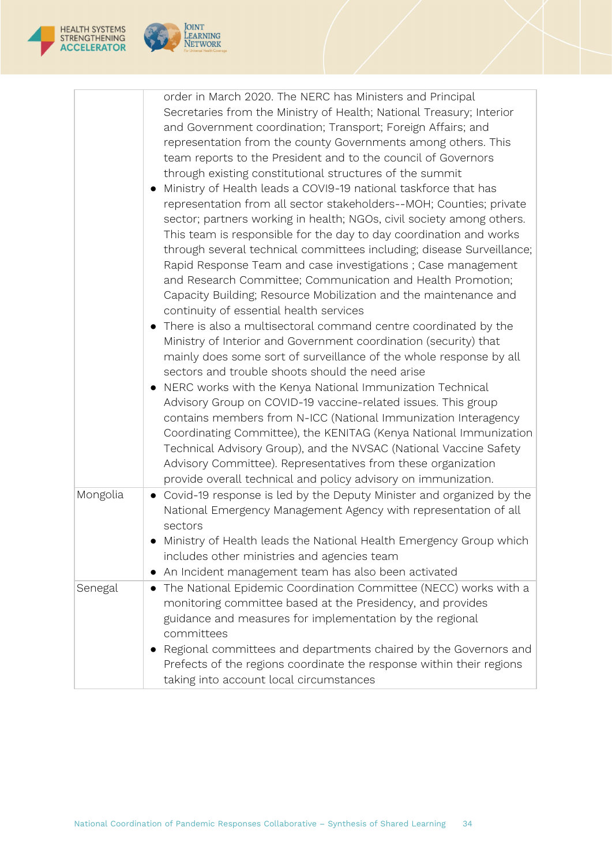

 $\Gamma$ 



| Mongolia | order in March 2020. The NERC has Ministers and Principal<br>Secretaries from the Ministry of Health; National Treasury; Interior<br>and Government coordination; Transport; Foreign Affairs; and<br>representation from the county Governments among others. This<br>team reports to the President and to the council of Governors<br>through existing constitutional structures of the summit<br>Ministry of Health leads a COVI9-19 national taskforce that has<br>representation from all sector stakeholders--MOH; Counties; private<br>sector; partners working in health; NGOs, civil society among others.<br>This team is responsible for the day to day coordination and works<br>through several technical committees including; disease Surveillance;<br>Rapid Response Team and case investigations ; Case management<br>and Research Committee; Communication and Health Promotion;<br>Capacity Building; Resource Mobilization and the maintenance and<br>continuity of essential health services<br>There is also a multisectoral command centre coordinated by the<br>Ministry of Interior and Government coordination (security) that<br>mainly does some sort of surveillance of the whole response by all<br>sectors and trouble shoots should the need arise<br>NERC works with the Kenya National Immunization Technical<br>Advisory Group on COVID-19 vaccine-related issues. This group<br>contains members from N-ICC (National Immunization Interagency<br>Coordinating Committee), the KENITAG (Kenya National Immunization<br>Technical Advisory Group), and the NVSAC (National Vaccine Safety<br>Advisory Committee). Representatives from these organization<br>provide overall technical and policy advisory on immunization.<br>Covid-19 response is led by the Deputy Minister and organized by the<br>National Emergency Management Agency with representation of all<br>sectors |
|----------|---------------------------------------------------------------------------------------------------------------------------------------------------------------------------------------------------------------------------------------------------------------------------------------------------------------------------------------------------------------------------------------------------------------------------------------------------------------------------------------------------------------------------------------------------------------------------------------------------------------------------------------------------------------------------------------------------------------------------------------------------------------------------------------------------------------------------------------------------------------------------------------------------------------------------------------------------------------------------------------------------------------------------------------------------------------------------------------------------------------------------------------------------------------------------------------------------------------------------------------------------------------------------------------------------------------------------------------------------------------------------------------------------------------------------------------------------------------------------------------------------------------------------------------------------------------------------------------------------------------------------------------------------------------------------------------------------------------------------------------------------------------------------------------------------------------------------------------------------------------------------------------------------------------------|
|          | Ministry of Health leads the National Health Emergency Group which<br>includes other ministries and agencies team<br>An Incident management team has also been activated                                                                                                                                                                                                                                                                                                                                                                                                                                                                                                                                                                                                                                                                                                                                                                                                                                                                                                                                                                                                                                                                                                                                                                                                                                                                                                                                                                                                                                                                                                                                                                                                                                                                                                                                            |
| Senegal  | The National Epidemic Coordination Committee (NECC) works with a<br>$\bullet$<br>monitoring committee based at the Presidency, and provides<br>guidance and measures for implementation by the regional<br>committees<br>Regional committees and departments chaired by the Governors and<br>Prefects of the regions coordinate the response within their regions<br>taking into account local circumstances                                                                                                                                                                                                                                                                                                                                                                                                                                                                                                                                                                                                                                                                                                                                                                                                                                                                                                                                                                                                                                                                                                                                                                                                                                                                                                                                                                                                                                                                                                        |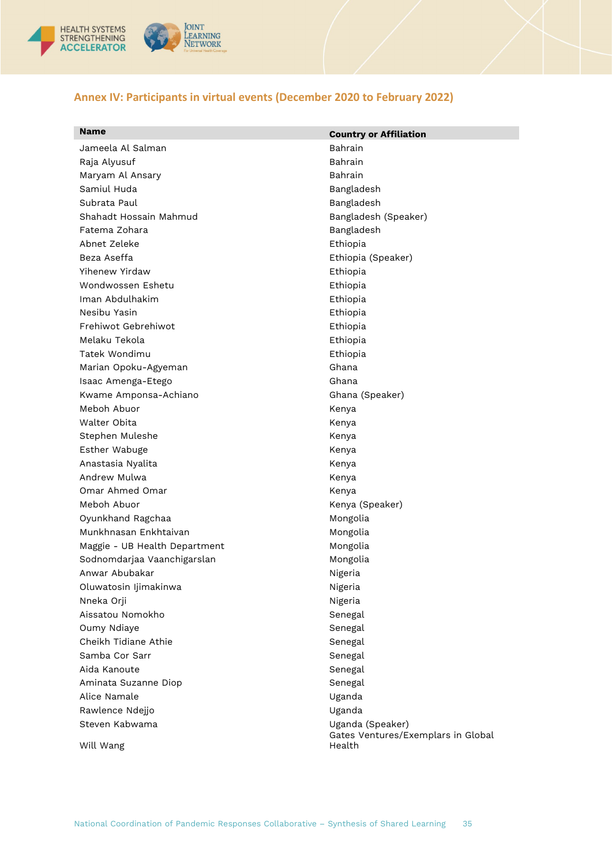

# <span id="page-34-0"></span>**Annex IV: Participants in virtual events (December 2020 to February 2022)**

| <b>Name</b>                   | <b>Country or Affiliation</b>                          |
|-------------------------------|--------------------------------------------------------|
| Jameela Al Salman             | <b>Bahrain</b>                                         |
| Raja Alyusuf                  | Bahrain                                                |
| Maryam Al Ansary              | Bahrain                                                |
| Samiul Huda                   | Bangladesh                                             |
| Subrata Paul                  | Bangladesh                                             |
| Shahadt Hossain Mahmud        | Bangladesh (Speaker)                                   |
| Fatema Zohara                 | Bangladesh                                             |
| Abnet Zeleke                  | Ethiopia                                               |
| Beza Aseffa                   | Ethiopia (Speaker)                                     |
| Yihenew Yirdaw                | Ethiopia                                               |
| Wondwossen Eshetu             | Ethiopia                                               |
| Iman Abdulhakim               | Ethiopia                                               |
| Nesibu Yasin                  | Ethiopia                                               |
| Frehiwot Gebrehiwot           | Ethiopia                                               |
| Melaku Tekola                 | Ethiopia                                               |
| Tatek Wondimu                 | Ethiopia                                               |
| Marian Opoku-Agyeman          | Ghana                                                  |
| Isaac Amenga-Etego            | Ghana                                                  |
| Kwame Amponsa-Achiano         | Ghana (Speaker)                                        |
| Meboh Abuor                   | Kenya                                                  |
| Walter Obita                  | Kenya                                                  |
| Stephen Muleshe               | Kenya                                                  |
| Esther Wabuge                 | Kenya                                                  |
| Anastasia Nyalita             | Kenya                                                  |
| Andrew Mulwa                  | Kenya                                                  |
| Omar Ahmed Omar               | Kenya                                                  |
| Meboh Abuor                   | Kenya (Speaker)                                        |
| Oyunkhand Ragchaa             | Mongolia                                               |
| Munkhnasan Enkhtaivan         | Mongolia                                               |
| Maggie - UB Health Department | Mongolia                                               |
| Sodnomdarjaa Vaanchigarslan   | Mongolia                                               |
| Anwar Abubakar                | Nigeria                                                |
| Oluwatosin Ijimakinwa         | Nigeria                                                |
| Nneka Orji                    | Nigeria                                                |
| Aissatou Nomokho              | Senegal                                                |
| Oumy Ndiaye                   | Senegal                                                |
| Cheikh Tidiane Athie          | Senegal                                                |
| Samba Cor Sarr                | Senegal                                                |
| Aida Kanoute                  | Senegal                                                |
| Aminata Suzanne Diop          | Senegal                                                |
| Alice Namale                  | Uganda                                                 |
| Rawlence Ndejjo               | Uganda                                                 |
| Steven Kabwama                | Uganda (Speaker)<br>Gates Ventures/Exemplars in Global |
| Will Wang                     | Health                                                 |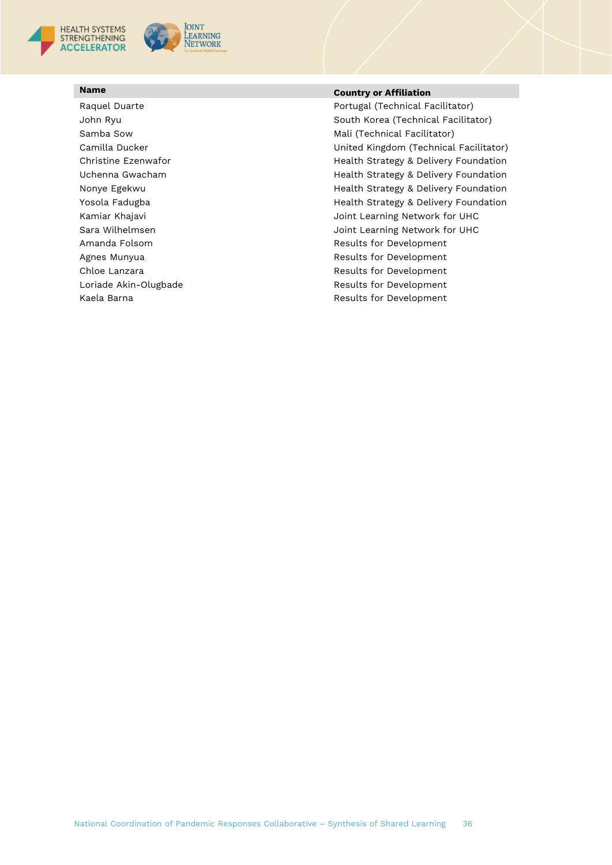



# **Name Country or Affiliation**

Raquel Duarte **Portugal (Technical Facilitator)** John Ryu South Korea (Technical Facilitator) Samba Sow **Mali** (Technical Facilitator) Camilla Ducker **National Camilla Ducker Camilla Ducker** United Kingdom (Technical Facilitator) Christine Ezenwafor **Health Strategy & Delivery Foundation** Uchenna Gwacham Health Strategy & Delivery Foundation Nonye Egekwu **Markatibar 1999** Health Strategy & Delivery Foundation Yosola Fadugba **Health Strategy & Delivery Foundation** Kamiar Khajavi **Albumiar Khajavi** Joint Learning Network for UHC Sara Wilhelmsen Joint Learning Network for UHC Amanda Folsom **Amanda Folsom** Results for Development Agnes Munyua **Agnes Munyua** Results for Development Chloe Lanzara **Results for Development** Results for Development Loriade Akin-Olugbade **Results for Development** Kaela Barna Results for Development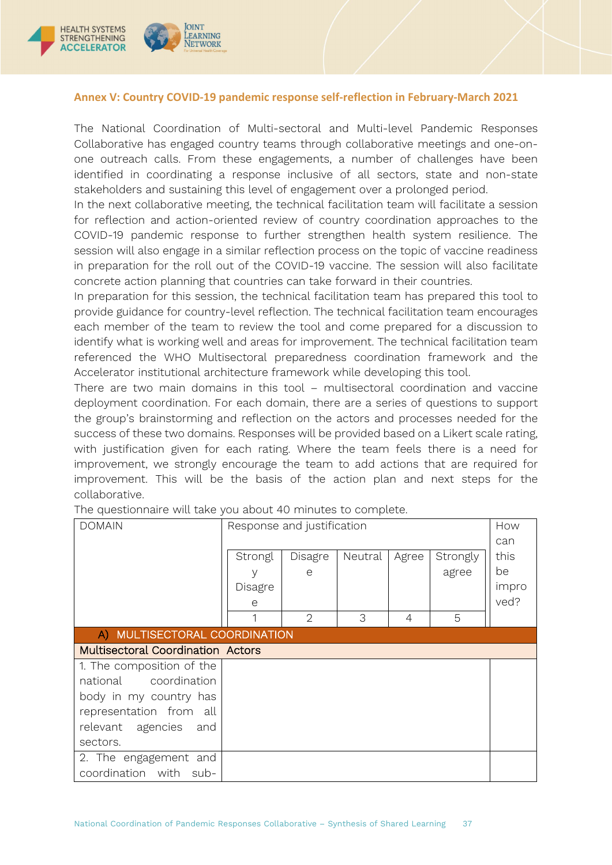

### <span id="page-36-0"></span>**Annex V: Country COVID-19 pandemic response self-reflection in February-March 2021**

The National Coordination of Multi-sectoral and Multi-level Pandemic Responses Collaborative has engaged country teams through collaborative meetings and one-onone outreach calls. From these engagements, a number of challenges have been identified in coordinating a response inclusive of all sectors, state and non-state stakeholders and sustaining this level of engagement over a prolonged period.

In the next collaborative meeting, the technical facilitation team will facilitate a session for reflection and action-oriented review of country coordination approaches to the COVID-19 pandemic response to further strengthen health system resilience. The session will also engage in a similar reflection process on the topic of vaccine readiness in preparation for the roll out of the COVID-19 vaccine. The session will also facilitate concrete action planning that countries can take forward in their countries.

In preparation for this session, the technical facilitation team has prepared this tool to provide guidance for country-level reflection. The technical facilitation team encourages each member of the team to review the tool and come prepared for a discussion to identify what is working well and areas for improvement. The technical facilitation team referenced the WHO Multisectoral preparedness coordination framework and the Accelerator institutional architecture framework while developing this tool.

There are two main domains in this tool – multisectoral coordination and vaccine deployment coordination. For each domain, there are a series of questions to support the group's brainstorming and reflection on the actors and processes needed for the success of these two domains. Responses will be provided based on a Likert scale rating, with justification given for each rating. Where the team feels there is a need for improvement, we strongly encourage the team to add actions that are required for improvement. This will be the basis of the action plan and next steps for the collaborative.

| <b>DOMAIN</b>                            | Response and justification |                |         |       | How      |       |
|------------------------------------------|----------------------------|----------------|---------|-------|----------|-------|
|                                          |                            |                |         |       |          | can   |
|                                          | Strongl                    | Disagre        | Neutral | Agree | Strongly | this  |
|                                          | V                          | e              |         |       | agree    | be    |
|                                          | Disagre                    |                |         |       |          | impro |
|                                          | е                          |                |         |       |          | ved?  |
|                                          |                            | $\overline{2}$ | 3       | 4     | 5        |       |
| A) MULTISECTORAL COORDINATION            |                            |                |         |       |          |       |
| <b>Multisectoral Coordination Actors</b> |                            |                |         |       |          |       |
| 1. The composition of the                |                            |                |         |       |          |       |
| national coordination                    |                            |                |         |       |          |       |
| body in my country has                   |                            |                |         |       |          |       |
| representation from all                  |                            |                |         |       |          |       |
| relevant agencies and                    |                            |                |         |       |          |       |
| sectors.                                 |                            |                |         |       |          |       |
| 2. The engagement and                    |                            |                |         |       |          |       |
| coordination with sub-                   |                            |                |         |       |          |       |

The questionnaire will take you about 40 minutes to complete.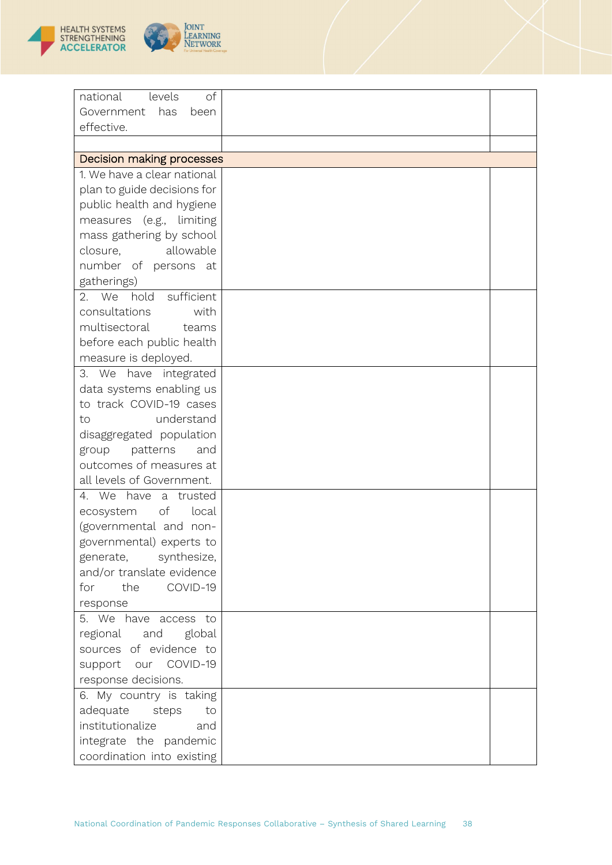

| <b>CITAT</b><br>Learning<br><b>NETWORK</b><br>For Universal Health Coverage |  |
|-----------------------------------------------------------------------------|--|
|                                                                             |  |

| of<br>national<br>levels        |  |
|---------------------------------|--|
| has<br>Government<br>been       |  |
| effective.                      |  |
|                                 |  |
| Decision making processes       |  |
| 1. We have a clear national     |  |
| plan to guide decisions for     |  |
| public health and hygiene       |  |
| measures (e.g., limiting        |  |
| mass gathering by school        |  |
| allowable<br>closure,           |  |
| number of persons at            |  |
| gatherings)                     |  |
| 2. We<br>hold sufficient        |  |
| consultations<br>with           |  |
| multisectoral<br>teams          |  |
| before each public health       |  |
| measure is deployed.            |  |
| have integrated<br>3. We        |  |
| data systems enabling us        |  |
| to track COVID-19 cases         |  |
| understand<br>to                |  |
| disaggregated population        |  |
| patterns<br>group<br>and        |  |
| outcomes of measures at         |  |
| all levels of Government.       |  |
| 4. We have<br>a trusted         |  |
| $\circ f$<br>ecosystem<br>local |  |
| (governmental and non-          |  |
| governmental) experts to        |  |
| generate,<br>synthesize,        |  |
| and/or translate evidence       |  |
| the<br>COVID-19<br>for          |  |
| response                        |  |
| 5. We have access to            |  |
| regional and global             |  |
| sources of evidence to          |  |
| support our COVID-19            |  |
| response decisions.             |  |
| 6. My country is taking         |  |
| adequate<br>steps<br>to         |  |
| institutionalize<br>and         |  |
| integrate the pandemic          |  |
| coordination into existing      |  |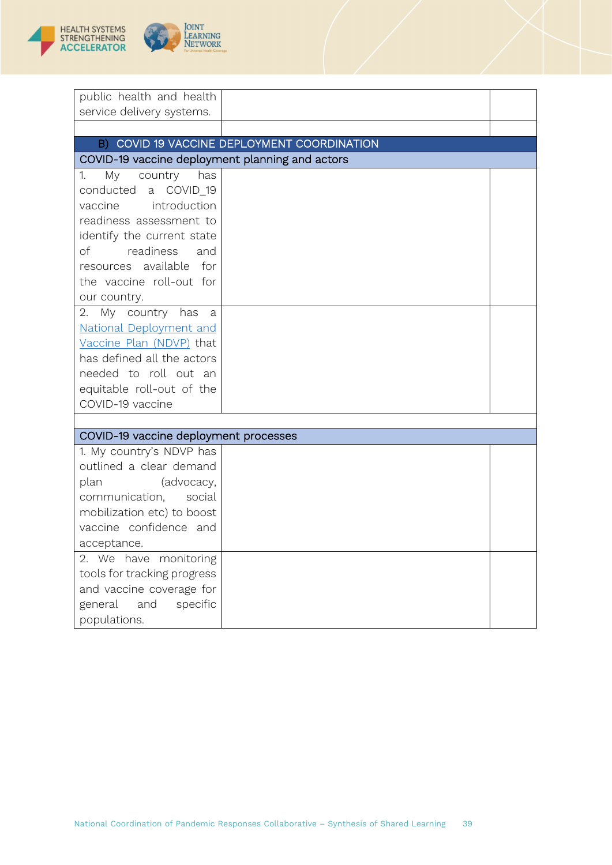

| public health and health                        |                                             |  |
|-------------------------------------------------|---------------------------------------------|--|
| service delivery systems.                       |                                             |  |
|                                                 |                                             |  |
|                                                 | B) COVID 19 VACCINE DEPLOYMENT COORDINATION |  |
| COVID-19 vaccine deployment planning and actors |                                             |  |
| My<br>country<br>1.<br>has                      |                                             |  |
| conducted a COVID_19                            |                                             |  |
| vaccine introduction                            |                                             |  |
| readiness assessment to                         |                                             |  |
| identify the current state                      |                                             |  |
| of<br>readiness<br>and                          |                                             |  |
| resources available for                         |                                             |  |
| the vaccine roll-out for                        |                                             |  |
| our country.                                    |                                             |  |
| My country has<br>2.<br>a a                     |                                             |  |
| National Deployment and                         |                                             |  |
| Vaccine Plan (NDVP) that                        |                                             |  |
| has defined all the actors                      |                                             |  |
| needed to roll out an                           |                                             |  |
| equitable roll-out of the                       |                                             |  |
| COVID-19 vaccine                                |                                             |  |
|                                                 |                                             |  |
| COVID-19 vaccine deployment processes           |                                             |  |
| 1. My country's NDVP has                        |                                             |  |
| outlined a clear demand                         |                                             |  |
| plan<br>(advocacy,                              |                                             |  |
| communication,<br>social                        |                                             |  |
| mobilization etc) to boost                      |                                             |  |
| vaccine confidence and                          |                                             |  |
| acceptance.                                     |                                             |  |
| 2. We have monitoring                           |                                             |  |
| tools for tracking progress                     |                                             |  |
| and vaccine coverage for                        |                                             |  |
| general<br>and<br>specific                      |                                             |  |
| populations.                                    |                                             |  |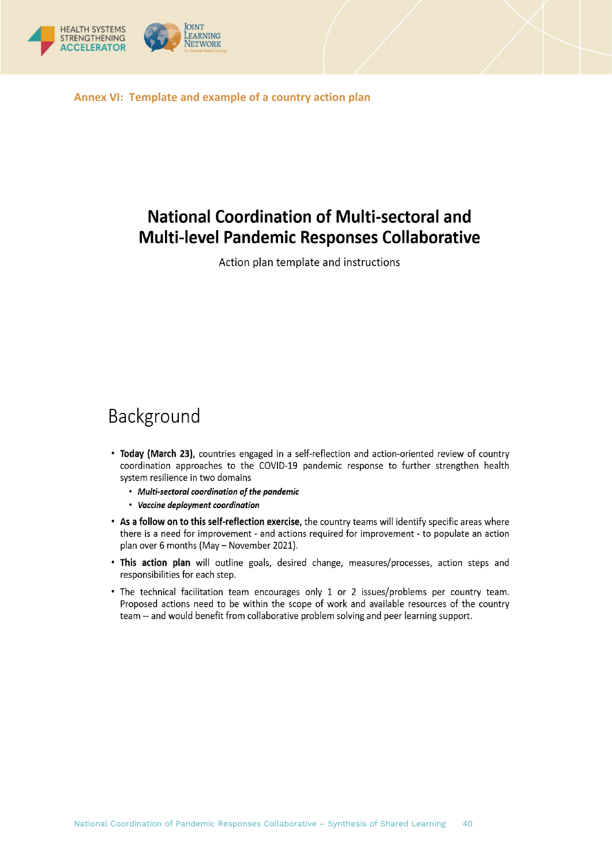

<span id="page-39-0"></span>**Annex VI: Template and example of a country action plan**

# **National Coordination of Multi-sectoral and Multi-level Pandemic Responses Collaborative**

Action plan template and instructions

# Background

- Today (March 23), countries engaged in a self-reflection and action-oriented review of country coordination approaches to the COVID-19 pandemic response to further strengthen health system resilience in two domains
	- Multi-sectoral coordination of the pandemic
	- Vaccine deployment coordination
- . As a follow on to this self-reflection exercise, the country teams will identify specific areas where there is a need for improvement - and actions required for improvement - to populate an action plan over 6 months (May - November 2021).
- . This action plan will outline goals, desired change, measures/processes, action steps and responsibilities for each step.
- The technical facilitation team encourages only 1 or 2 issues/problems per country team. Proposed actions need to be within the scope of work and available resources of the country team -- and would benefit from collaborative problem solving and peer learning support.